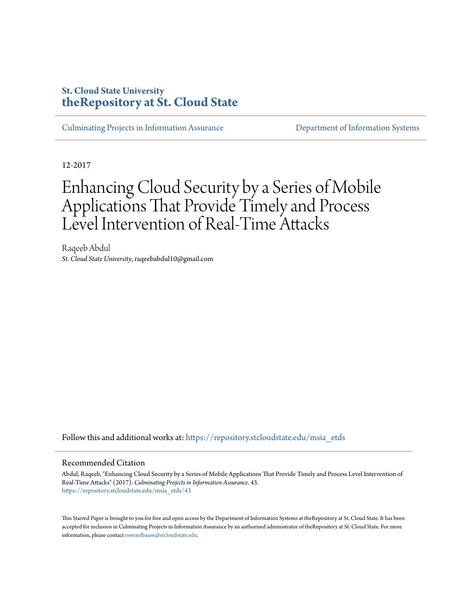## **St. Cloud State University [theRepository at St. Cloud State](https://repository.stcloudstate.edu?utm_source=repository.stcloudstate.edu%2Fmsia_etds%2F43&utm_medium=PDF&utm_campaign=PDFCoverPages)**

[Culminating Projects in Information Assurance](https://repository.stcloudstate.edu/msia_etds?utm_source=repository.stcloudstate.edu%2Fmsia_etds%2F43&utm_medium=PDF&utm_campaign=PDFCoverPages) [Department of Information Systems](https://repository.stcloudstate.edu/iais?utm_source=repository.stcloudstate.edu%2Fmsia_etds%2F43&utm_medium=PDF&utm_campaign=PDFCoverPages)

12-2017

# Enhancing Cloud Security by a Series of Mobile Applications That Provide Timely and Process Level Intervention of Real-Time Attacks

Raqeeb Abdul *St. Cloud State University*, raqeebabdul10@gmail.com

Follow this and additional works at: [https://repository.stcloudstate.edu/msia\\_etds](https://repository.stcloudstate.edu/msia_etds?utm_source=repository.stcloudstate.edu%2Fmsia_etds%2F43&utm_medium=PDF&utm_campaign=PDFCoverPages)

#### Recommended Citation

Abdul, Raqeeb, "Enhancing Cloud Security by a Series of Mobile Applications That Provide Timely and Process Level Intervention of Real-Time Attacks" (2017). *Culminating Projects in Information Assurance*. 43. [https://repository.stcloudstate.edu/msia\\_etds/43](https://repository.stcloudstate.edu/msia_etds/43?utm_source=repository.stcloudstate.edu%2Fmsia_etds%2F43&utm_medium=PDF&utm_campaign=PDFCoverPages)

This Starred Paper is brought to you for free and open access by the Department of Information Systems at theRepository at St. Cloud State. It has been accepted for inclusion in Culminating Projects in Information Assurance by an authorized administrator of theRepository at St. Cloud State. For more information, please contact [rswexelbaum@stcloudstate.edu.](mailto:rswexelbaum@stcloudstate.edu)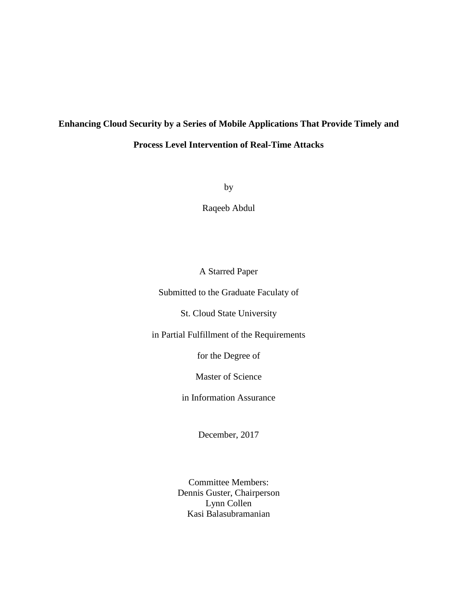## **Enhancing Cloud Security by a Series of Mobile Applications That Provide Timely and Process Level Intervention of Real-Time Attacks**

by

Raqeeb Abdul

## A Starred Paper

Submitted to the Graduate Faculaty of

St. Cloud State University

in Partial Fulfillment of the Requirements

for the Degree of

Master of Science

in Information Assurance

December, 2017

Committee Members: Dennis Guster, Chairperson Lynn Collen Kasi Balasubramanian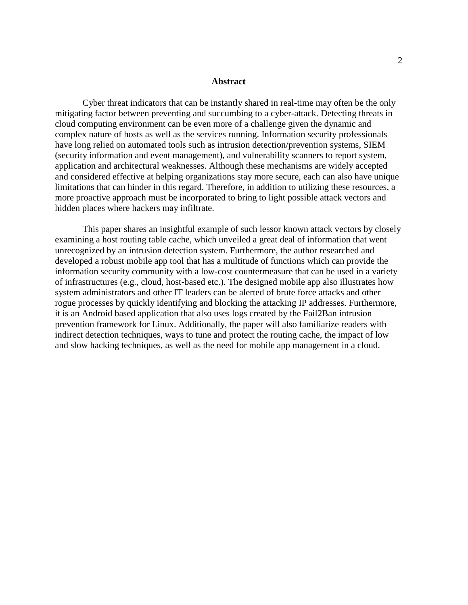#### **Abstract**

Cyber threat indicators that can be instantly shared in real-time may often be the only mitigating factor between preventing and succumbing to a cyber-attack. Detecting threats in cloud computing environment can be even more of a challenge given the dynamic and complex nature of hosts as well as the services running. Information security professionals have long relied on automated tools such as intrusion detection/prevention systems, SIEM (security information and event management), and vulnerability scanners to report system, application and architectural weaknesses. Although these mechanisms are widely accepted and considered effective at helping organizations stay more secure, each can also have unique limitations that can hinder in this regard. Therefore, in addition to utilizing these resources, a more proactive approach must be incorporated to bring to light possible attack vectors and hidden places where hackers may infiltrate.

This paper shares an insightful example of such lessor known attack vectors by closely examining a host routing table cache, which unveiled a great deal of information that went unrecognized by an intrusion detection system. Furthermore, the author researched and developed a robust mobile app tool that has a multitude of functions which can provide the information security community with a low-cost countermeasure that can be used in a variety of infrastructures (e.g., cloud, host-based etc.). The designed mobile app also illustrates how system administrators and other IT leaders can be alerted of brute force attacks and other rogue processes by quickly identifying and blocking the attacking IP addresses. Furthermore, it is an Android based application that also uses logs created by the Fail2Ban intrusion prevention framework for Linux. Additionally, the paper will also familiarize readers with indirect detection techniques, ways to tune and protect the routing cache, the impact of low and slow hacking techniques, as well as the need for mobile app management in a cloud.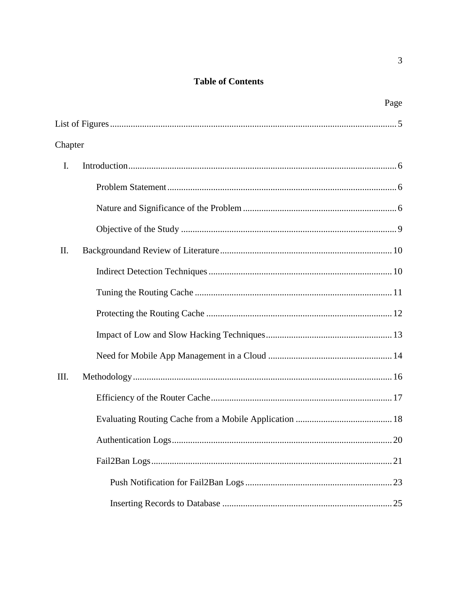## **Table of Contents**

|         | Page |
|---------|------|
|         |      |
| Chapter |      |
| I.      |      |
|         |      |
|         |      |
|         |      |
| II.     |      |
|         |      |
|         |      |
|         |      |
|         |      |
|         |      |
| Ш.      |      |
|         |      |
|         |      |
|         |      |
|         |      |
|         |      |
|         |      |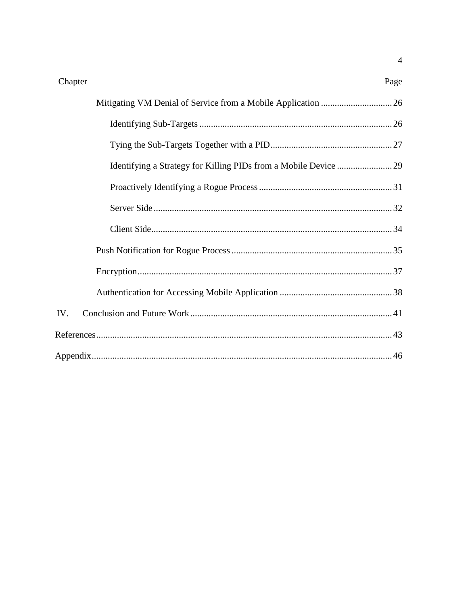| Chapter | Page |
|---------|------|
|         |      |
|         |      |
|         |      |
|         |      |
|         |      |
|         |      |
|         |      |
|         |      |
|         |      |
|         |      |
| IV.     |      |
|         |      |
|         |      |

 $\overline{4}$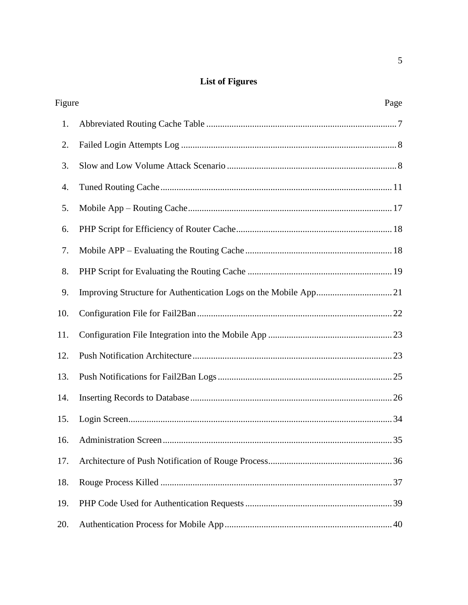## **List of Figures**

| Figure | Page |
|--------|------|
| 1.     |      |
| 2.     |      |
| 3.     |      |
| 4.     |      |
| 5.     |      |
| 6.     |      |
| 7.     |      |
| 8.     |      |
| 9.     |      |
| 10.    |      |
| 11.    |      |
| 12.    |      |
| 13.    |      |
| 14.    |      |
| 15.    |      |
|        | 35   |
| 17.    |      |
| 18.    |      |
| 19.    |      |
| 20.    |      |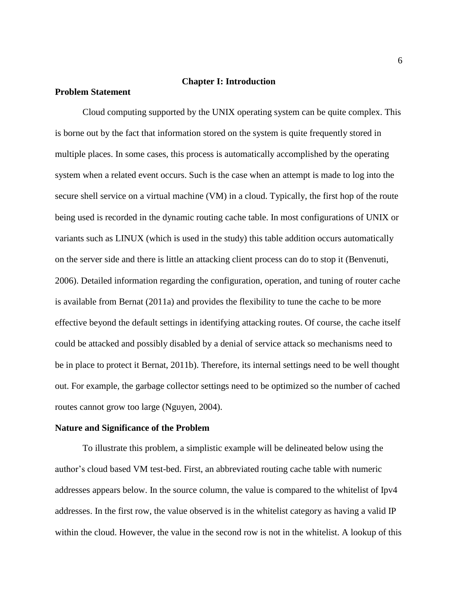#### **Chapter I: Introduction**

#### **Problem Statement**

Cloud computing supported by the UNIX operating system can be quite complex. This is borne out by the fact that information stored on the system is quite frequently stored in multiple places. In some cases, this process is automatically accomplished by the operating system when a related event occurs. Such is the case when an attempt is made to log into the secure shell service on a virtual machine (VM) in a cloud. Typically, the first hop of the route being used is recorded in the dynamic routing cache table. In most configurations of UNIX or variants such as LINUX (which is used in the study) this table addition occurs automatically on the server side and there is little an attacking client process can do to stop it (Benvenuti, 2006). Detailed information regarding the configuration, operation, and tuning of router cache is available from Bernat (2011a) and provides the flexibility to tune the cache to be more effective beyond the default settings in identifying attacking routes. Of course, the cache itself could be attacked and possibly disabled by a denial of service attack so mechanisms need to be in place to protect it Bernat, 2011b). Therefore, its internal settings need to be well thought out. For example, the garbage collector settings need to be optimized so the number of cached routes cannot grow too large (Nguyen, 2004).

#### **Nature and Significance of the Problem**

To illustrate this problem, a simplistic example will be delineated below using the author's cloud based VM test-bed. First, an abbreviated routing cache table with numeric addresses appears below. In the source column, the value is compared to the whitelist of Ipv4 addresses. In the first row, the value observed is in the whitelist category as having a valid IP within the cloud. However, the value in the second row is not in the whitelist. A lookup of this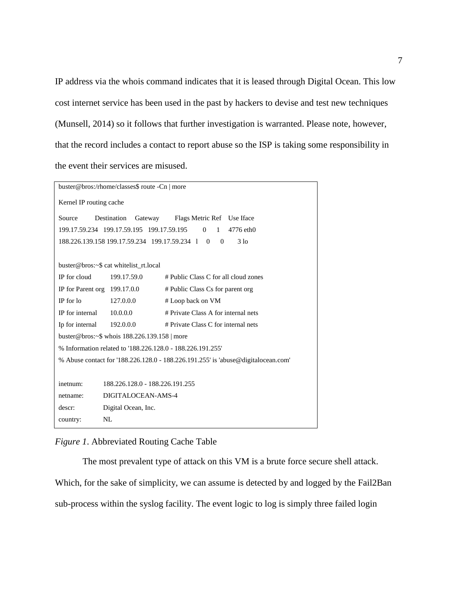IP address via the whois command indicates that it is leased through Digital Ocean. This low cost internet service has been used in the past by hackers to devise and test new techniques (Munsell, 2014) so it follows that further investigation is warranted. Please note, however, that the record includes a contact to report abuse so the ISP is taking some responsibility in the event their services are misused.

|                                                                                   | buster@bros:/rhome/classes\$ route -Cn   more                      |                                       |  |  |  |
|-----------------------------------------------------------------------------------|--------------------------------------------------------------------|---------------------------------------|--|--|--|
| Kernel IP routing cache                                                           |                                                                    |                                       |  |  |  |
| Destination<br>Gateway Flags Metric Ref Use Iface<br>Source                       |                                                                    |                                       |  |  |  |
|                                                                                   | 199.17.59.234 199.17.59.195 199.17.59.195                          | $\Omega$<br>$\mathbf{1}$<br>4776 eth0 |  |  |  |
|                                                                                   | 188,226,139,158 199,17,59,234 199,17,59,234 1 0                    | 3 <sub>10</sub><br>$\Omega$           |  |  |  |
|                                                                                   |                                                                    |                                       |  |  |  |
|                                                                                   | buster@bros:~\$ cat whitelist rt.local                             |                                       |  |  |  |
| IP for cloud                                                                      | 199.17.59.0                                                        | # Public Class C for all cloud zones  |  |  |  |
| IP for Parent org $199.17.0.0$                                                    |                                                                    | # Public Class Cs for parent org      |  |  |  |
| IP for lo                                                                         | 127.0.0.0<br># Loop back on VM                                     |                                       |  |  |  |
| IP for internal $10.0.0.0$                                                        | # Private Class A for internal nets                                |                                       |  |  |  |
|                                                                                   | # Private Class C for internal nets<br>Ip for internal $192.0.0.0$ |                                       |  |  |  |
| buster@bros:~\$ whois 188.226.139.158   more                                      |                                                                    |                                       |  |  |  |
| % Information related to '188.226.128.0 - 188.226.191.255'                        |                                                                    |                                       |  |  |  |
| % Abuse contact for '188.226.128.0 - 188.226.191.255' is 'abuse@digitalocean.com' |                                                                    |                                       |  |  |  |
|                                                                                   |                                                                    |                                       |  |  |  |
| 188.226.128.0 - 188.226.191.255<br>inetnum:                                       |                                                                    |                                       |  |  |  |
| netname:                                                                          | DIGITALOCEAN-AMS-4                                                 |                                       |  |  |  |
| Digital Ocean, Inc.<br>descr:                                                     |                                                                    |                                       |  |  |  |
| country:                                                                          | NL                                                                 |                                       |  |  |  |

#### *Figure 1*. Abbreviated Routing Cache Table

The most prevalent type of attack on this VM is a brute force secure shell attack. Which, for the sake of simplicity, we can assume is detected by and logged by the Fail2Ban sub-process within the syslog facility. The event logic to log is simply three failed login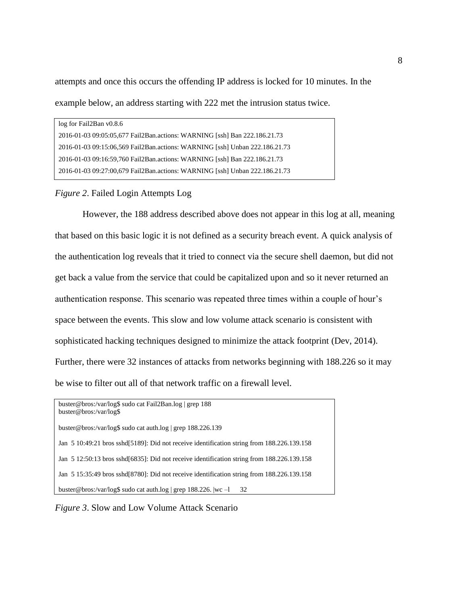attempts and once this occurs the offending IP address is locked for 10 minutes. In the example below, an address starting with 222 met the intrusion status twice.

| log for Fail2Ban v0.8.6                                                     |
|-----------------------------------------------------------------------------|
| 2016-01-03 09:05:05.677 Fail2Ban.actions: WARNING [ssh] Ban 222.186.21.73   |
| 2016-01-03 09:15:06,569 Fail2Ban.actions: WARNING [ssh] Unban 222.186.21.73 |
| 2016-01-03 09:16:59,760 Fail2Ban.actions: WARNING [ssh] Ban 222.186.21.73   |
| 2016-01-03 09:27:00,679 Fail2Ban.actions: WARNING [ssh] Unban 222.186.21.73 |
|                                                                             |

#### *Figure 2*. Failed Login Attempts Log

However, the 188 address described above does not appear in this log at all, meaning that based on this basic logic it is not defined as a security breach event. A quick analysis of the authentication log reveals that it tried to connect via the secure shell daemon, but did not get back a value from the service that could be capitalized upon and so it never returned an authentication response. This scenario was repeated three times within a couple of hour's space between the events. This slow and low volume attack scenario is consistent with sophisticated hacking techniques designed to minimize the attack footprint (Dev, 2014). Further, there were 32 instances of attacks from networks beginning with 188.226 so it may be wise to filter out all of that network traffic on a firewall level.

```
buster@bros:/var/log$ sudo cat Fail2Ban.log | grep 188
buster@bros:/var/log$
buster@bros:/var/log$ sudo cat auth.log | grep 188.226.139
Jan 5 10:49:21 bros sshd[5189]: Did not receive identification string from 188.226.139.158
Jan 5 12:50:13 bros sshd[6835]: Did not receive identification string from 188.226.139.158
Jan 5 15:35:49 bros sshd[8780]: Did not receive identification string from 188.226.139.158
buster@bros:/var/log$ sudo cat auth.log | grep 188.226. |wc –l 32
```
*Figure 3*. Slow and Low Volume Attack Scenario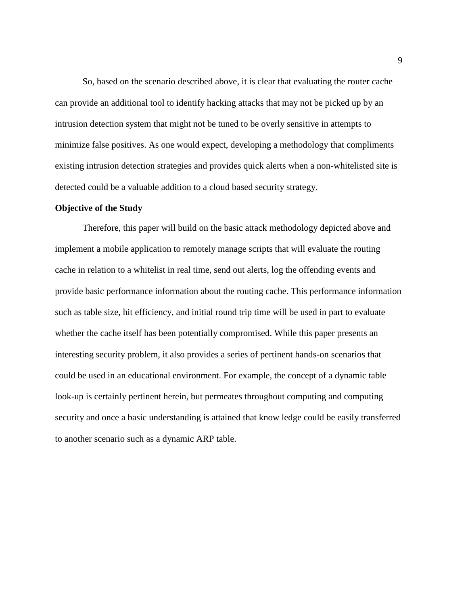So, based on the scenario described above, it is clear that evaluating the router cache can provide an additional tool to identify hacking attacks that may not be picked up by an intrusion detection system that might not be tuned to be overly sensitive in attempts to minimize false positives. As one would expect, developing a methodology that compliments existing intrusion detection strategies and provides quick alerts when a non-whitelisted site is detected could be a valuable addition to a cloud based security strategy.

#### **Objective of the Study**

Therefore, this paper will build on the basic attack methodology depicted above and implement a mobile application to remotely manage scripts that will evaluate the routing cache in relation to a whitelist in real time, send out alerts, log the offending events and provide basic performance information about the routing cache. This performance information such as table size, hit efficiency, and initial round trip time will be used in part to evaluate whether the cache itself has been potentially compromised. While this paper presents an interesting security problem, it also provides a series of pertinent hands-on scenarios that could be used in an educational environment. For example, the concept of a dynamic table look-up is certainly pertinent herein, but permeates throughout computing and computing security and once a basic understanding is attained that know ledge could be easily transferred to another scenario such as a dynamic ARP table.

9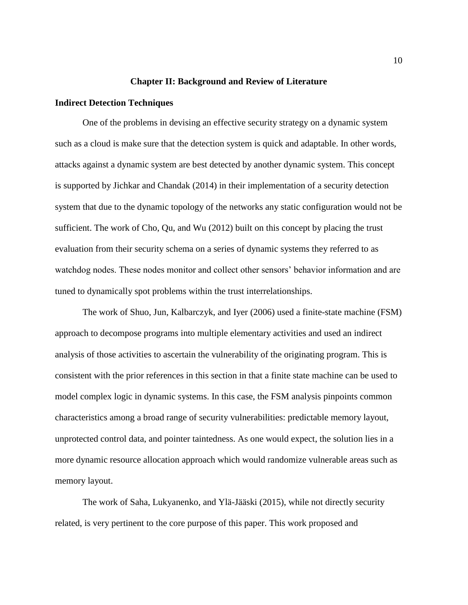#### **Chapter II: Background and Review of Literature**

#### **Indirect Detection Techniques**

One of the problems in devising an effective security strategy on a dynamic system such as a cloud is make sure that the detection system is quick and adaptable. In other words, attacks against a dynamic system are best detected by another dynamic system. This concept is supported by Jichkar and Chandak (2014) in their implementation of a security detection system that due to the dynamic topology of the networks any static configuration would not be sufficient. The work of Cho, Qu, and Wu (2012) built on this concept by placing the trust evaluation from their security schema on a series of dynamic systems they referred to as watchdog nodes. These nodes monitor and collect other sensors' behavior information and are tuned to dynamically spot problems within the trust interrelationships.

The work of Shuo, Jun, Kalbarczyk, and Iyer (2006) used a finite-state machine (FSM) approach to decompose programs into multiple elementary activities and used an indirect analysis of those activities to ascertain the vulnerability of the originating program. This is consistent with the prior references in this section in that a finite state machine can be used to model complex logic in dynamic systems. In this case, the FSM analysis pinpoints common characteristics among a broad range of security vulnerabilities: predictable memory layout, unprotected control data, and pointer taintedness. As one would expect, the solution lies in a more dynamic resource allocation approach which would randomize vulnerable areas such as memory layout.

The work of Saha, Lukyanenko, and Ylä-Jääski (2015), while not directly security related, is very pertinent to the core purpose of this paper. This work proposed and

10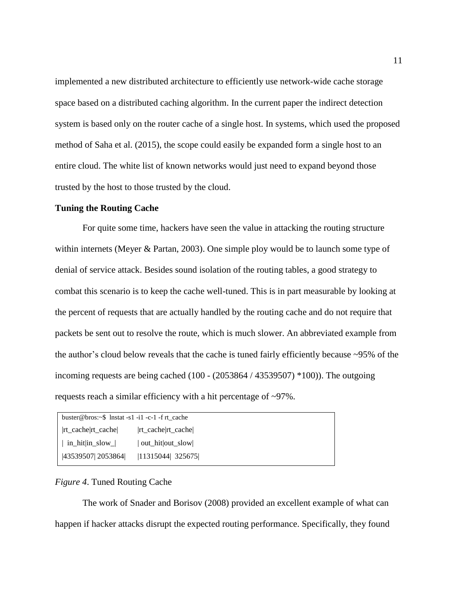implemented a new distributed architecture to efficiently use network-wide cache storage space based on a distributed caching algorithm. In the current paper the indirect detection system is based only on the router cache of a single host. In systems, which used the proposed method of Saha et al. (2015), the scope could easily be expanded form a single host to an entire cloud. The white list of known networks would just need to expand beyond those trusted by the host to those trusted by the cloud.

#### **Tuning the Routing Cache**

For quite some time, hackers have seen the value in attacking the routing structure within internets (Meyer & Partan, 2003). One simple ploy would be to launch some type of denial of service attack. Besides sound isolation of the routing tables, a good strategy to combat this scenario is to keep the cache well-tuned. This is in part measurable by looking at the percent of requests that are actually handled by the routing cache and do not require that packets be sent out to resolve the route, which is much slower. An abbreviated example from the author's cloud below reveals that the cache is tuned fairly efficiently because ~95% of the incoming requests are being cached (100 - (2053864 / 43539507) \*100)). The outgoing requests reach a similar efficiency with a hit percentage of ~97%.

| buster@bros: $\sim$ \$ lnstat -s1 -i1 -c-1 -f rt cache |                   |  |  |  |
|--------------------------------------------------------|-------------------|--|--|--|
|                                                        | rt cache rt cache |  |  |  |
| $\vert$ in hit in slow $\vert$                         | out hit out slow  |  |  |  |
| 43539507  2053864                                      | 11315044  325675  |  |  |  |

#### *Figure 4*. Tuned Routing Cache

The work of Snader and Borisov (2008) provided an excellent example of what can happen if hacker attacks disrupt the expected routing performance. Specifically, they found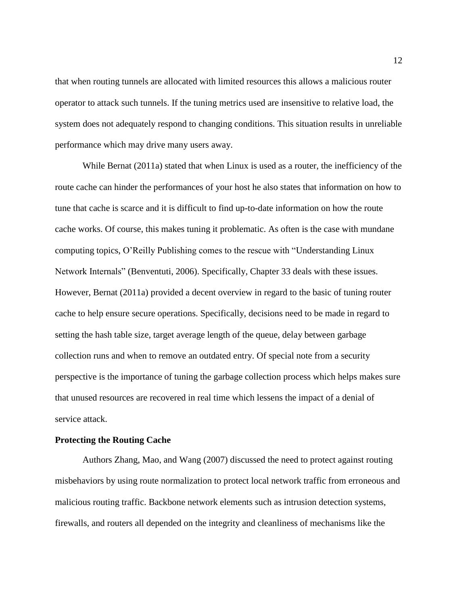that when routing tunnels are allocated with limited resources this allows a malicious router operator to attack such tunnels. If the tuning metrics used are insensitive to relative load, the system does not adequately respond to changing conditions. This situation results in unreliable performance which may drive many users away.

While Bernat (2011a) stated that when Linux is used as a router, the inefficiency of the route cache can hinder the performances of your host he also states that information on how to tune that cache is scarce and it is difficult to find up-to-date information on how the route cache works. Of course, this makes tuning it problematic. As often is the case with mundane computing topics, O'Reilly Publishing comes to the rescue with "Understanding Linux Network Internals" (Benventuti, 2006). Specifically, Chapter 33 deals with these issues. However, Bernat (2011a) provided a decent overview in regard to the basic of tuning router cache to help ensure secure operations. Specifically, decisions need to be made in regard to setting the hash table size, target average length of the queue, delay between garbage collection runs and when to remove an outdated entry. Of special note from a security perspective is the importance of tuning the garbage collection process which helps makes sure that unused resources are recovered in real time which lessens the impact of a denial of service attack.

#### **Protecting the Routing Cache**

Authors Zhang, Mao, and Wang (2007) discussed the need to protect against routing misbehaviors by using route normalization to protect local network traffic from erroneous and malicious routing traffic. Backbone network elements such as intrusion detection systems, firewalls, and routers all depended on the integrity and cleanliness of mechanisms like the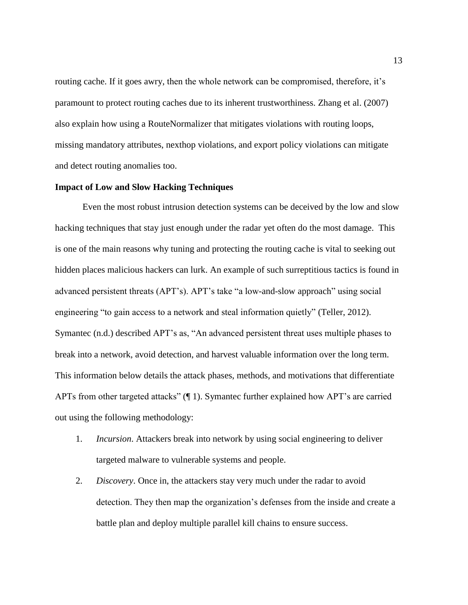routing cache. If it goes awry, then the whole network can be compromised, therefore, it's paramount to protect routing caches due to its inherent trustworthiness. Zhang et al. (2007) also explain how using a RouteNormalizer that mitigates violations with routing loops, missing mandatory attributes, nexthop violations, and export policy violations can mitigate and detect routing anomalies too.

#### **Impact of Low and Slow Hacking Techniques**

Even the most robust intrusion detection systems can be deceived by the low and slow hacking techniques that stay just enough under the radar yet often do the most damage. This is one of the main reasons why tuning and protecting the routing cache is vital to seeking out hidden places malicious hackers can lurk. An example of such surreptitious tactics is found in advanced persistent threats (APT's). APT's take "a low-and-slow approach" using social engineering "to gain access to a network and steal information quietly" (Teller, 2012). Symantec (n.d.) described APT's as, "An advanced persistent threat uses multiple phases to break into a network, avoid detection, and harvest valuable information over the long term. This information below details the attack phases, methods, and motivations that differentiate APTs from other targeted attacks" (¶ 1). Symantec further explained how APT's are carried out using the following methodology:

- 1. *Incursion*. Attackers break into network by using social engineering to deliver targeted malware to vulnerable systems and people.
- 2. *Discovery*. Once in, the attackers stay very much under the radar to avoid detection. They then map the organization's defenses from the inside and create a battle plan and deploy multiple parallel kill chains to ensure success.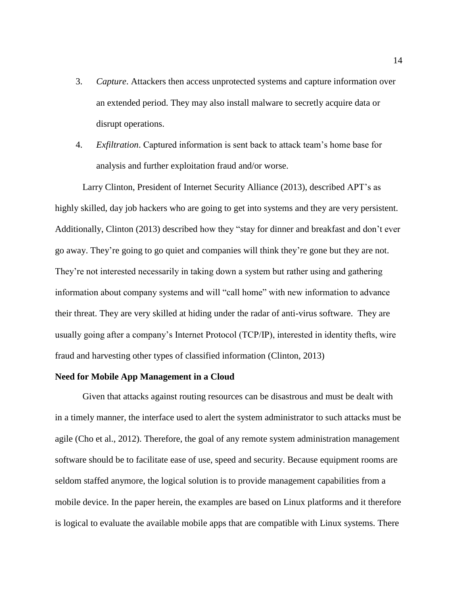- 3. *Capture*. Attackers then access unprotected systems and capture information over an extended period. They may also install malware to secretly acquire data or disrupt operations.
- 4. *Exfiltration*. Captured information is sent back to attack team's home base for analysis and further exploitation fraud and/or worse.

Larry Clinton, President of Internet Security Alliance (2013), described APT's as highly skilled, day job hackers who are going to get into systems and they are very persistent. Additionally, Clinton (2013) described how they "stay for dinner and breakfast and don't ever go away. They're going to go quiet and companies will think they're gone but they are not. They're not interested necessarily in taking down a system but rather using and gathering information about company systems and will "call home" with new information to advance their threat. They are very skilled at hiding under the radar of anti-virus software. They are usually going after a company's Internet Protocol (TCP/IP), interested in identity thefts, wire fraud and harvesting other types of classified information (Clinton, 2013)

#### **Need for Mobile App Management in a Cloud**

Given that attacks against routing resources can be disastrous and must be dealt with in a timely manner, the interface used to alert the system administrator to such attacks must be agile (Cho et al., 2012). Therefore, the goal of any remote system administration management software should be to facilitate ease of use, speed and security. Because equipment rooms are seldom staffed anymore, the logical solution is to provide management capabilities from a mobile device. In the paper herein, the examples are based on Linux platforms and it therefore is logical to evaluate the available mobile apps that are compatible with Linux systems. There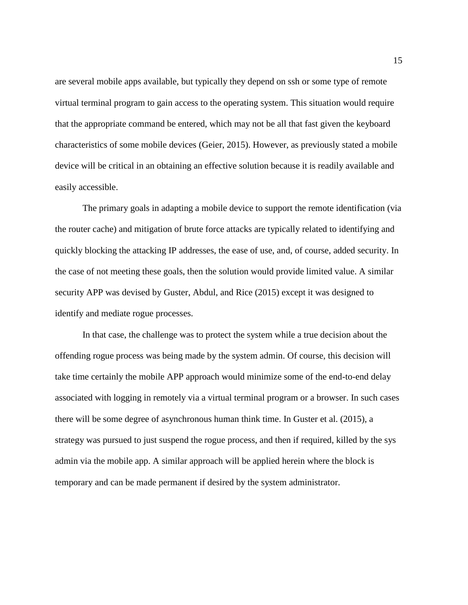are several mobile apps available, but typically they depend on ssh or some type of remote virtual terminal program to gain access to the operating system. This situation would require that the appropriate command be entered, which may not be all that fast given the keyboard characteristics of some mobile devices (Geier, 2015). However, as previously stated a mobile device will be critical in an obtaining an effective solution because it is readily available and easily accessible.

The primary goals in adapting a mobile device to support the remote identification (via the router cache) and mitigation of brute force attacks are typically related to identifying and quickly blocking the attacking IP addresses, the ease of use, and, of course, added security. In the case of not meeting these goals, then the solution would provide limited value. A similar security APP was devised by Guster, Abdul, and Rice (2015) except it was designed to identify and mediate rogue processes.

In that case, the challenge was to protect the system while a true decision about the offending rogue process was being made by the system admin. Of course, this decision will take time certainly the mobile APP approach would minimize some of the end-to-end delay associated with logging in remotely via a virtual terminal program or a browser. In such cases there will be some degree of asynchronous human think time. In Guster et al. (2015), a strategy was pursued to just suspend the rogue process, and then if required, killed by the sys admin via the mobile app. A similar approach will be applied herein where the block is temporary and can be made permanent if desired by the system administrator.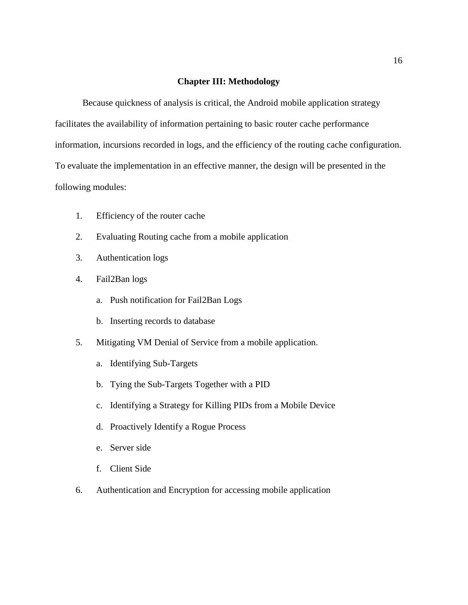#### **Chapter III: Methodology**

Because quickness of analysis is critical, the Android mobile application strategy facilitates the availability of information pertaining to basic router cache performance information, incursions recorded in logs, and the efficiency of the routing cache configuration. To evaluate the implementation in an effective manner, the design will be presented in the following modules:

- 1. Efficiency of the router cache
- 2. Evaluating Routing cache from a mobile application
- 3. Authentication logs
- 4. Fail2Ban logs
	- a. Push notification for Fail2Ban Logs
	- b. Inserting records to database
- 5. Mitigating VM Denial of Service from a mobile application.
	- a. Identifying Sub-Targets
	- b. Tying the Sub-Targets Together with a PID
	- c. Identifying a Strategy for Killing PIDs from a Mobile Device
	- d. Proactively Identify a Rogue Process
	- e. Server side
	- f. Client Side
- 6. Authentication and Encryption for accessing mobile application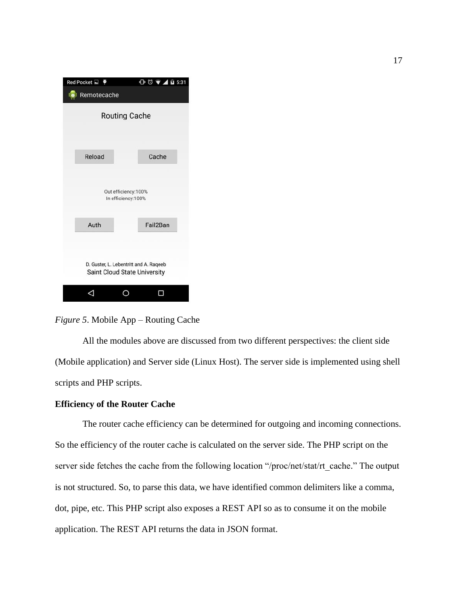| $Red$ Pocket $\Box$ |                                           | $00 \nightharpoonup 40531$                                             |
|---------------------|-------------------------------------------|------------------------------------------------------------------------|
| <b>Remotecache</b>  |                                           |                                                                        |
|                     | <b>Routing Cache</b>                      |                                                                        |
| Reload              |                                           | Cache                                                                  |
|                     | Out efficiency:100%<br>In efficiency:100% |                                                                        |
| Auth                |                                           | Fail2Ban                                                               |
|                     |                                           | D. Guster, L. Lebentritt and A. Rageeb<br>Saint Cloud State University |
|                     |                                           |                                                                        |

*Figure 5*. Mobile App – Routing Cache

All the modules above are discussed from two different perspectives: the client side (Mobile application) and Server side (Linux Host). The server side is implemented using shell scripts and PHP scripts.

#### **Efficiency of the Router Cache**

The router cache efficiency can be determined for outgoing and incoming connections. So the efficiency of the router cache is calculated on the server side. The PHP script on the server side fetches the cache from the following location "/proc/net/stat/rt\_cache." The output is not structured. So, to parse this data, we have identified common delimiters like a comma, dot, pipe, etc. This PHP script also exposes a REST API so as to consume it on the mobile application. The REST API returns the data in JSON format.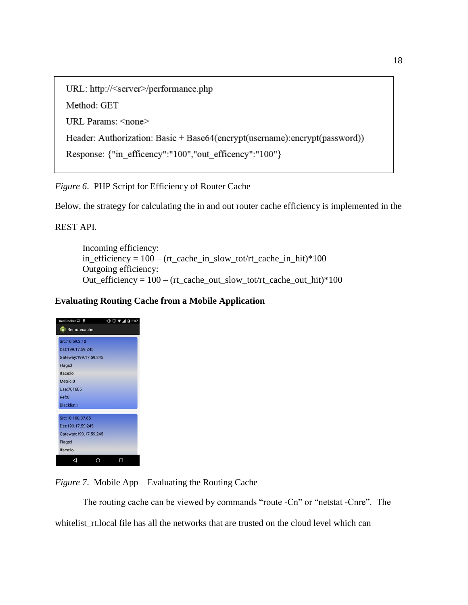```
URL: http://<server>/performance.php
Method: GET
URL Params: <none>
Header: Authorization: Basic + Base64(encrypt(username): encrypt(password))
Response: {"in_efficency":"100","out_efficency":"100"}
```
*Figure 6*. PHP Script for Efficiency of Router Cache

Below, the strategy for calculating the in and out router cache efficiency is implemented in the

REST API.

Incoming efficiency:  $in\_efficiency = 100 - (rt\_cache_in\_slow\_tot/rt\_cache_in\_hit)*100$ Outgoing efficiency: Out\_efficiency =  $100 - (rt\_cache\_out\_slow\_tot/rt\_cache\_out\_hit)*100$ 

### **Evaluating Routing Cache from a Mobile Application**

| Red Pocket &            | $00 \times 115:37$ |
|-------------------------|--------------------|
| <b>Foll</b> Remotecache |                    |
| Src:10.59.2.10          |                    |
|                         |                    |
| Dst:199.17.59.245       |                    |
| Gateway: 199.17.59.245  |                    |
| Flags:I                 |                    |
| Iface:lo                |                    |
| Metric:0                |                    |
| Use:701605              |                    |
| Ref:0                   |                    |
| Blacklist:1             |                    |
| Src:10.100.37.65        |                    |
|                         |                    |
| Dst:199.17.59.245       |                    |
| Gateway: 199.17.59.245  |                    |
| Flags:I                 |                    |
| Iface:lo                |                    |
|                         |                    |

*Figure 7*. Mobile App – Evaluating the Routing Cache

The routing cache can be viewed by commands "route -Cn" or "netstat -Cnre". The whitelist rt.local file has all the networks that are trusted on the cloud level which can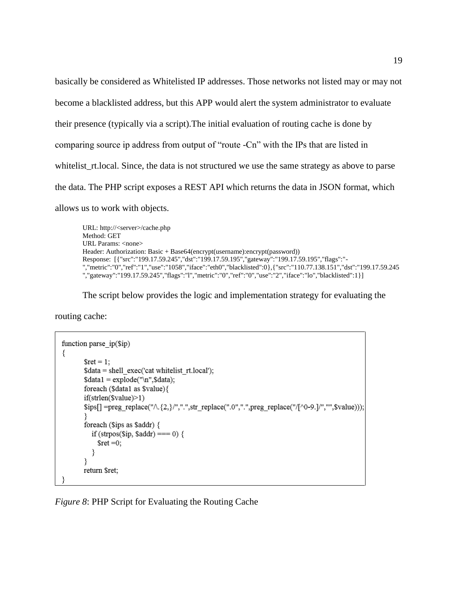basically be considered as Whitelisted IP addresses. Those networks not listed may or may not become a blacklisted address, but this APP would alert the system administrator to evaluate their presence (typically via a script).The initial evaluation of routing cache is done by comparing source ip address from output of "route -Cn" with the IPs that are listed in whitelist\_rt.local. Since, the data is not structured we use the same strategy as above to parse the data. The PHP script exposes a REST API which returns the data in JSON format, which allows us to work with objects.

URL: http://<server>/cache.php Method: GET URL Params: <none> Header: Authorization: Basic + Base64(encrypt(username):encrypt(password)) Response: [{"src":"199.17.59.245","dst":"199.17.59.195","gateway":"199.17.59.195","flags":"- ","metric":"0","ref":"1","use":"1058","iface":"eth0","blacklisted":0},{"src":"110.77.138.151","dst":"199.17.59.245 ","gateway":"199.17.59.245","flags":"l","metric":"0","ref":"0","use":"2","iface":"lo","blacklisted":1}]

The script below provides the logic and implementation strategy for evaluating the

routing cache:

```
function parse ip($ip)
₹
        $ret = 1;\text{Sdata} = \text{shell} exec('cat whitelist rt.local');
        \deltadata1 = explode("\n", \deltadata);
        foreach ($data1 as $value){
        if(strlen($value)>1)
        $ips[] =preg_replace("\land{2,}/",".",str_replace(".0",".",preg_replace("/[\land0-9.]/","",$value)));
        foreach ($ips as $addr) {
           if (strpos($ip, $addr) === 0) {
             \text{Sret} = 0;
           ₹
        ł
        return $ret;
```
*Figure 8*: PHP Script for Evaluating the Routing Cache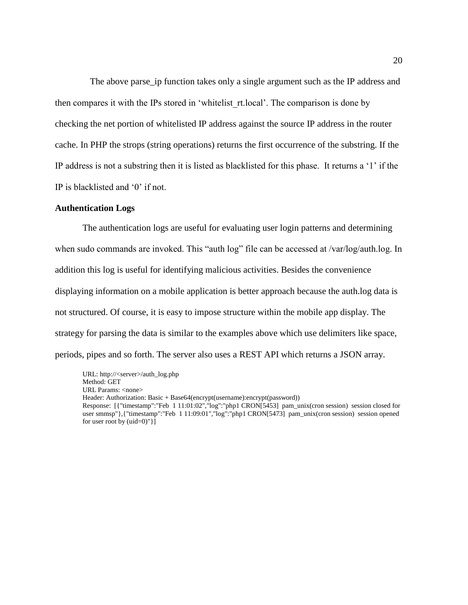The above parse\_ip function takes only a single argument such as the IP address and then compares it with the IPs stored in 'whitelist\_rt.local'. The comparison is done by checking the net portion of whitelisted IP address against the source IP address in the router cache. In PHP the strops (string operations) returns the first occurrence of the substring. If the IP address is not a substring then it is listed as blacklisted for this phase. It returns a '1' if the IP is blacklisted and '0' if not.

#### **Authentication Logs**

The authentication logs are useful for evaluating user login patterns and determining when sudo commands are invoked. This "auth log" file can be accessed at /var/log/auth.log. In addition this log is useful for identifying malicious activities. Besides the convenience displaying information on a mobile application is better approach because the auth.log data is not structured. Of course, it is easy to impose structure within the mobile app display. The strategy for parsing the data is similar to the examples above which use delimiters like space, periods, pipes and so forth. The server also uses a REST API which returns a JSON array.

URL: http://<server>/auth\_log.php Method: GET URL Params: <none> Header: Authorization: Basic + Base64(encrypt(username):encrypt(password)) Response: [{"timestamp":"Feb 1 11:01:02","log":"php1 CRON[5453] pam\_unix(cron session) session closed for user smmsp"},{"timestamp":"Feb 1 11:09:01","log":"php1 CRON[5473] pam\_unix(cron session) session opened for user root by  $(\text{uid}=0)$ "}]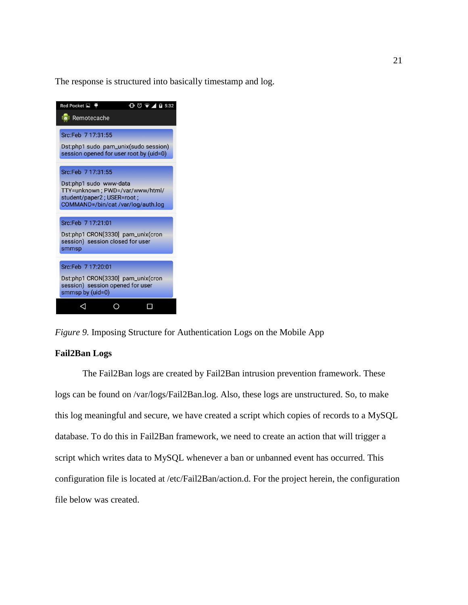The response is structured into basically timestamp and log.



*Figure 9.* Imposing Structure for Authentication Logs on the Mobile App

#### **Fail2Ban Logs**

The Fail2Ban logs are created by Fail2Ban intrusion prevention framework. These logs can be found on /var/logs/Fail2Ban.log. Also, these logs are unstructured. So, to make this log meaningful and secure, we have created a script which copies of records to a MySQL database. To do this in Fail2Ban framework, we need to create an action that will trigger a script which writes data to MySQL whenever a ban or unbanned event has occurred. This configuration file is located at /etc/Fail2Ban/action.d. For the project herein, the configuration file below was created.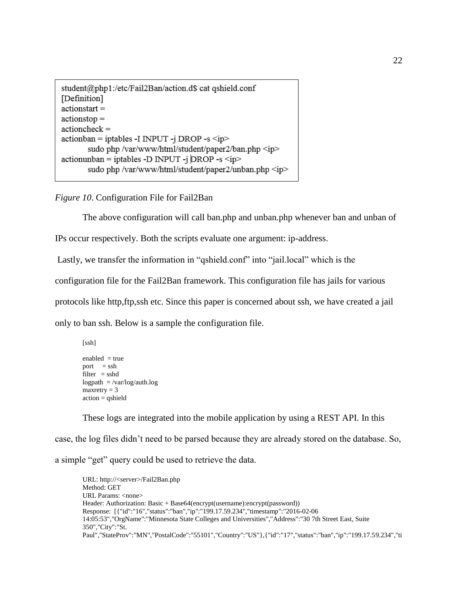student@php1:/etc/Fail2Ban/action.d\$ cat qshield.conf [Definition]  $action start =$  $actions to =$  $actioncheck =$ actionban = iptables -I INPUT -j DROP -s <ip> sudo php /var/www/html/student/paper2/ban.php <ip>  $actionunban = iptables -D \nIPUT - j \nDROP - s \n *ip*$ sudo php /var/www/html/student/paper2/unban.php <ip>

*Figure 10*. Configuration File for Fail2Ban

The above configuration will call ban.php and unban.php whenever ban and unban of

IPs occur respectively. Both the scripts evaluate one argument: ip-address.

Lastly, we transfer the information in "qshield.conf" into "jail.local" which is the

configuration file for the Fail2Ban framework. This configuration file has jails for various

protocols like http,ftp,ssh etc. Since this paper is concerned about ssh, we have created a jail

only to ban ssh. Below is a sample the configuration file.

enabled  $=$  true port  $=$  ssh  $filter = sshd$ logpath = /var/log/auth.log  $maxerty = 3$ action = qshield

[ssh]

These logs are integrated into the mobile application by using a REST API. In this

case, the log files didn't need to be parsed because they are already stored on the database. So,

a simple "get" query could be used to retrieve the data.

URL: http://<server>/Fail2Ban.php Method: GET URL Params: <none> Header: Authorization: Basic + Base64(encrypt(username):encrypt(password)) Response: [{"id":"16","status":"ban","ip":"199.17.59.234","timestamp":"2016-02-06 14:05:53","OrgName":"Minnesota State Colleges and Universities","Address":"30 7th Street East, Suite 350","City":"St. Paul","StateProv":"MN","PostalCode":"55101","Country":"US"},{"id":"17","status":"ban","ip":"199.17.59.234","ti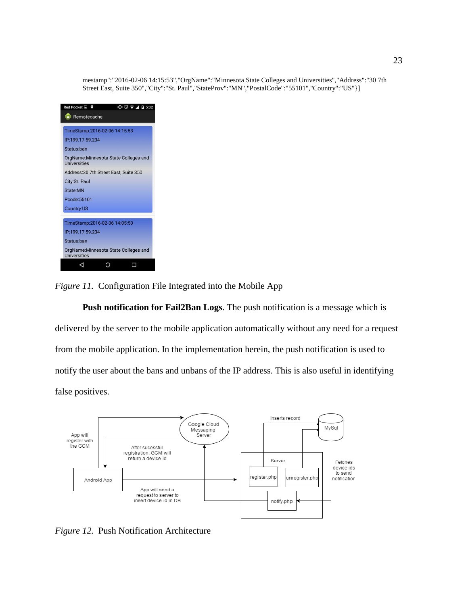mestamp":"2016-02-06 14:15:53","OrgName":"Minnesota State Colleges and Universities","Address":"30 7th Street East, Suite 350","City":"St. Paul","StateProv":"MN","PostalCode":"55101","Country":"US"}]



*Figure 11.* Configuration File Integrated into the Mobile App

**Push notification for Fail2Ban Logs**. The push notification is a message which is delivered by the server to the mobile application automatically without any need for a request from the mobile application. In the implementation herein, the push notification is used to notify the user about the bans and unbans of the IP address. This is also useful in identifying false positives.



*Figure 12.* Push Notification Architecture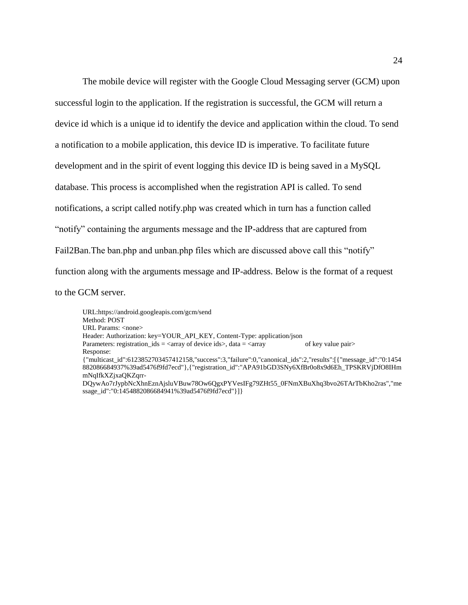The mobile device will register with the Google Cloud Messaging server (GCM) upon successful login to the application. If the registration is successful, the GCM will return a device id which is a unique id to identify the device and application within the cloud. To send a notification to a mobile application, this device ID is imperative. To facilitate future development and in the spirit of event logging this device ID is being saved in a MySQL database. This process is accomplished when the registration API is called. To send notifications, a script called notify.php was created which in turn has a function called "notify" containing the arguments message and the IP-address that are captured from Fail2Ban. The ban.php and unban.php files which are discussed above call this "notify" function along with the arguments message and IP-address. Below is the format of a request to the GCM server.

URL:https://android.googleapis.com/gcm/send Method: POST URL Params: <none> Header: Authorization: key=YOUR\_API\_KEY, Content-Type: application/json Parameters: registration\_ids =  $\langle \text{array} \rangle$  of key value pair> Response: {"multicast\_id":6123852703457412158,"success":3,"failure":0,"canonical\_ids":2,"results":[{"message\_id":"0:1454 882086684937%39ad5476f9fd7ecd"},{"registration\_id":"APA91bGD3SNy6XfBr0o8x9d6Eh\_TPSKRVjDfO8IHm mNqIfkXZjxaQKZqrr-DQywAo7rJypbNcXhnEznAjsluVBuw78Ow6QgxPYVesIFg79ZHt55\_0FNmXBuXhq3bvo26TArTbKho2ras","me ssage\_id":"0:1454882086684941%39ad5476f9fd7ecd"}]}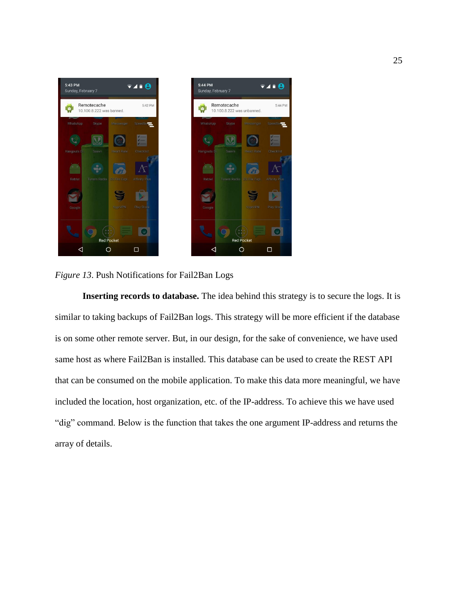

*Figure 13*. Push Notifications for Fail2Ban Logs

**Inserting records to database.** The idea behind this strategy is to secure the logs. It is similar to taking backups of Fail2Ban logs. This strategy will be more efficient if the database is on some other remote server. But, in our design, for the sake of convenience, we have used same host as where Fail2Ban is installed. This database can be used to create the REST API that can be consumed on the mobile application. To make this data more meaningful, we have included the location, host organization, etc. of the IP-address. To achieve this we have used "dig" command. Below is the function that takes the one argument IP-address and returns the array of details.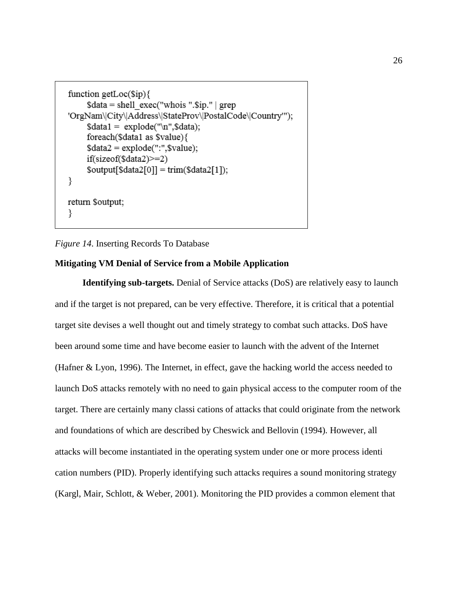```
function getLoc(\text{Sip})\text{Sdata} = \text{shell} \ \text{exec("whois ".Sip."} | \ \text{prep}'OrgNam\|City\|Address\|StateProv\|PostalCode\|Country'");
      \deltadata1 = explode("\n", \deltadata);
      foreach($data1 as $value){
      \text{Sdata2} = \text{explode}("::".\text{Svalue});if(sizeof(\$data2)\geq=2)\text{South[Sdata2[0]]} = \text{trim(Sdata2[1])};₹
return $output;
ł
```
#### *Figure 14*. Inserting Records To Database

#### **Mitigating VM Denial of Service from a Mobile Application**

**Identifying sub-targets.** Denial of Service attacks (DoS) are relatively easy to launch and if the target is not prepared, can be very effective. Therefore, it is critical that a potential target site devises a well thought out and timely strategy to combat such attacks. DoS have been around some time and have become easier to launch with the advent of the Internet (Hafner & Lyon, 1996). The Internet, in effect, gave the hacking world the access needed to launch DoS attacks remotely with no need to gain physical access to the computer room of the target. There are certainly many classi cations of attacks that could originate from the network and foundations of which are described by Cheswick and Bellovin (1994). However, all attacks will become instantiated in the operating system under one or more process identi cation numbers (PID). Properly identifying such attacks requires a sound monitoring strategy (Kargl, Mair, Schlott, & Weber, 2001). Monitoring the PID provides a common element that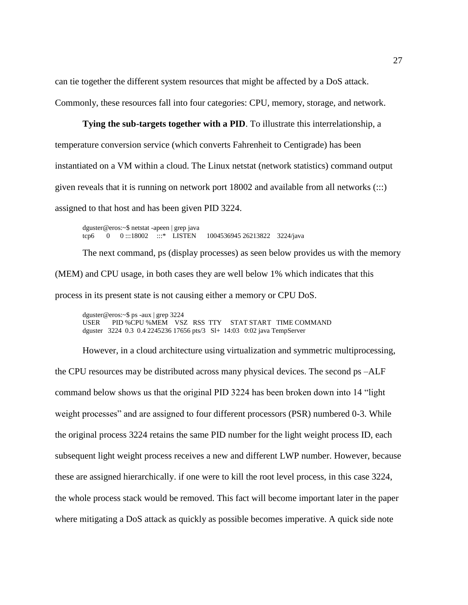can tie together the different system resources that might be affected by a DoS attack.

Commonly, these resources fall into four categories: CPU, memory, storage, and network.

#### **Tying the sub-targets together with a PID**. To illustrate this interrelationship, a

temperature conversion service (which converts Fahrenheit to Centigrade) has been instantiated on a VM within a cloud. The Linux netstat (network statistics) command output given reveals that it is running on network port 18002 and available from all networks (:::) assigned to that host and has been given PID 3224.

dguster@eros:~\$ netstat -apeen | grep java tcp6 0 0 :::18002 :::\* LISTEN 1004536945 26213822 3224/java

The next command, ps (display processes) as seen below provides us with the memory (MEM) and CPU usage, in both cases they are well below 1% which indicates that this process in its present state is not causing either a memory or CPU DoS.

dguster@eros:~\$ ps -aux | grep 3224 USER PID %CPU %MEM VSZ RSS TTY STAT START TIME COMMAND dguster 3224 0.3 0.4 2245236 17656 pts/3 Sl+ 14:03 0:02 java TempServer

However, in a cloud architecture using virtualization and symmetric multiprocessing, the CPU resources may be distributed across many physical devices. The second ps –ALF command below shows us that the original PID 3224 has been broken down into 14 "light weight processes" and are assigned to four different processors (PSR) numbered 0-3. While the original process 3224 retains the same PID number for the light weight process ID, each subsequent light weight process receives a new and different LWP number. However, because these are assigned hierarchically. if one were to kill the root level process, in this case 3224, the whole process stack would be removed. This fact will become important later in the paper where mitigating a DoS attack as quickly as possible becomes imperative. A quick side note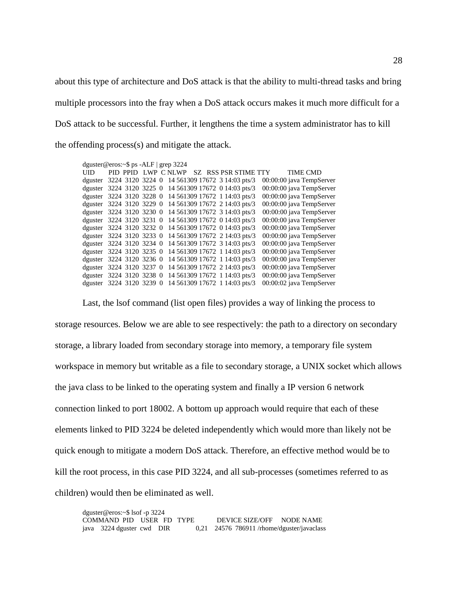about this type of architecture and DoS attack is that the ability to multi-thread tasks and bring multiple processors into the fray when a DoS attack occurs makes it much more difficult for a DoS attack to be successful. Further, it lengthens the time a system administrator has to kill the offending process(s) and mitigate the attack.

| dguster@eros: $\sim$ \$ ps -ALF   grep 3224 |                          |  |  |                               |                          |
|---------------------------------------------|--------------------------|--|--|-------------------------------|--------------------------|
| UID.                                        | PID PPID LWP CNLWP       |  |  | <b>SZ RSS PSR STIME TTY</b>   | <b>TIME CMD</b>          |
| dguster                                     | 3224 3120 3224 0         |  |  | 14 561309 17672 3 14:03 pts/3 | 00:00:00 java TempServer |
| dguster                                     | 3224 3120 3225 0         |  |  | 14 561309 17672 0 14:03 pts/3 | 00:00:00 java TempServer |
| dguster                                     | 3224 3120 3228 0         |  |  | 14 561309 17672 1 14:03 pts/3 | 00:00:00 java TempServer |
| dguster                                     | 3224 3120 3229 0         |  |  | 14 561309 17672 2 14:03 pts/3 | 00:00:00 java TempServer |
|                                             | dguster 3224 3120 3230 0 |  |  | 14 561309 17672 3 14:03 pts/3 | 00:00:00 java TempServer |
|                                             | dguster 3224 3120 3231 0 |  |  | 14 561309 17672 0 14:03 pts/3 | 00:00:00 java TempServer |
| dguster                                     | 3224 3120 3232 0         |  |  | 14 561309 17672 0 14:03 pts/3 | 00:00:00 java TempServer |
|                                             | dguster 3224 3120 3233 0 |  |  | 14 561309 17672 2 14:03 pts/3 | 00:00:00 java TempServer |
|                                             | dguster 3224 3120 3234 0 |  |  | 14 561309 17672 3 14:03 pts/3 | 00:00:00 java TempServer |
| dguster                                     | 3224 3120 3235 0         |  |  | 14 561309 17672 1 14:03 pts/3 | 00:00:00 java TempServer |
|                                             | dguster 3224 3120 3236 0 |  |  | 14 561309 17672 1 14:03 pts/3 | 00:00:00 java TempServer |
|                                             | dguster 3224 3120 3237 0 |  |  | 14 561309 17672 2 14:03 pts/3 | 00:00:00 java TempServer |
|                                             | dguster 3224 3120 3238 0 |  |  | 14 561309 17672 1 14:03 pts/3 | 00:00:00 java TempServer |
|                                             | dguster 3224 3120 3239 0 |  |  | 14 561309 17672 1 14:03 pts/3 | 00:00:02 java TempServer |
|                                             |                          |  |  |                               |                          |

Last, the lsof command (list open files) provides a way of linking the process to storage resources. Below we are able to see respectively: the path to a directory on secondary storage, a library loaded from secondary storage into memory, a temporary file system workspace in memory but writable as a file to secondary storage, a UNIX socket which allows the java class to be linked to the operating system and finally a IP version 6 network connection linked to port 18002. A bottom up approach would require that each of these elements linked to PID 3224 be deleted independently which would more than likely not be quick enough to mitigate a modern DoS attack. Therefore, an effective method would be to kill the root process, in this case PID 3224, and all sub-processes (sometimes referred to as children) would then be eliminated as well.

| dguster@eros:~\$ lsof -p 3224 |                           |  |  |  |                                             |  |
|-------------------------------|---------------------------|--|--|--|---------------------------------------------|--|
|                               | COMMAND PID USER FD TYPE  |  |  |  | DEVICE SIZE/OFF NODE NAME                   |  |
|                               | java 3224 dguster cwd DIR |  |  |  | $0,21$ 24576 786911/rhome/dguster/javaclass |  |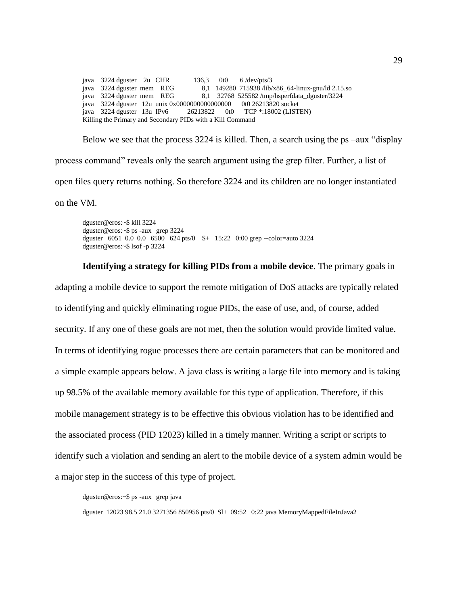java 3224 dguster 2u CHR 136,3 0t0 6 /dev/pts/3 java 3224 dguster mem REG 8,1 149280 715938 /lib/x86\_64-linux-gnu/ld 2.15.so java 3224 dguster mem REG 8,1 32768 525582 /tmp/hsperfdata\_dguster/3224 java 3224 dguster 12u unix 0x0000000000000000 0t0 26213820 socket java 3224 dguster 13u IPv6 26213822 0t0 TCP \*:18002 (LISTEN) Killing the Primary and Secondary PIDs with a Kill Command

Below we see that the process 3224 is killed. Then, a search using the ps –aux "display process command" reveals only the search argument using the grep filter. Further, a list of open files query returns nothing. So therefore 3224 and its children are no longer instantiated

on the VM.

dguster@eros:~\$ kill 3224 dguster@eros:~\$ ps -aux | grep 3224 dguster 6051 0.0 0.0 6500 624 pts/0 S+ 15:22 0:00 grep --color=auto 3224 dguster@eros:~\$ lsof -p 3224

**Identifying a strategy for killing PIDs from a mobile device**. The primary goals in adapting a mobile device to support the remote mitigation of DoS attacks are typically related to identifying and quickly eliminating rogue PIDs, the ease of use, and, of course, added security. If any one of these goals are not met, then the solution would provide limited value. In terms of identifying rogue processes there are certain parameters that can be monitored and a simple example appears below. A java class is writing a large file into memory and is taking up 98.5% of the available memory available for this type of application. Therefore, if this mobile management strategy is to be effective this obvious violation has to be identified and the associated process (PID 12023) killed in a timely manner. Writing a script or scripts to identify such a violation and sending an alert to the mobile device of a system admin would be a major step in the success of this type of project.

dguster@eros:~\$ ps -aux | grep java

dguster 12023 98.5 21.0 3271356 850956 pts/0 Sl+ 09:52 0:22 java MemoryMappedFileInJava2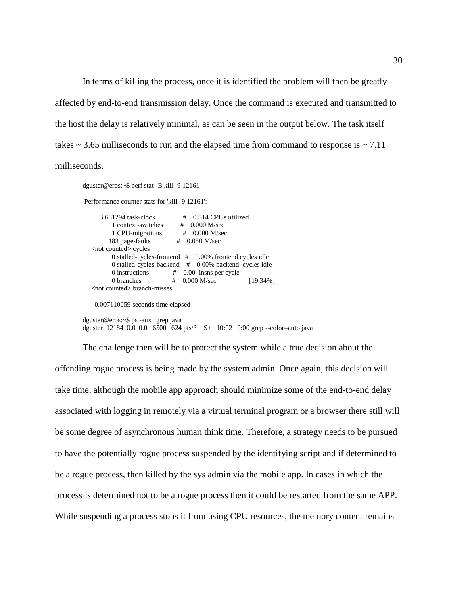In terms of killing the process, once it is identified the problem will then be greatly affected by end-to-end transmission delay. Once the command is executed and transmitted to the host the delay is relatively minimal, as can be seen in the output below. The task itself takes  $\sim$  3.65 milliseconds to run and the elapsed time from command to response is  $\sim$  7.11 milliseconds.

dguster@eros:~\$ perf stat -B kill -9 12161 Performance counter stats for 'kill -9 12161': 3.651294 task-clock # 0.514 CPUs utilized 1 context-switches # 0.000 M/sec 1 CPU-migrations # 0.000 M/sec 1 context-switches<br>
1 CPU-migrations # 0.000 M/sec<br>
183 page-faults # 0.050 M/sec <not counted> cycles 0 stalled-cycles-frontend # 0.00% frontend cycles idle 0 stalled-cycles-backend # 0.00% backend cycles idle 0 instructions # 0.00 insns per cycle 0 branches # 0.000 M/sec [19.34%] <not counted> branch-misses 0.007110059 seconds time elapsed

dguster@eros:~\$ ps -aux | grep java dguster 12184 0.0 0.0 6500 624 pts/3 S+ 10:02 0:00 grep --color=auto java

The challenge then will be to protect the system while a true decision about the offending rogue process is being made by the system admin. Once again, this decision will take time, although the mobile app approach should minimize some of the end-to-end delay associated with logging in remotely via a virtual terminal program or a browser there still will be some degree of asynchronous human think time. Therefore, a strategy needs to be pursued to have the potentially rogue process suspended by the identifying script and if determined to be a rogue process, then killed by the sys admin via the mobile app. In cases in which the process is determined not to be a rogue process then it could be restarted from the same APP. While suspending a process stops it from using CPU resources, the memory content remains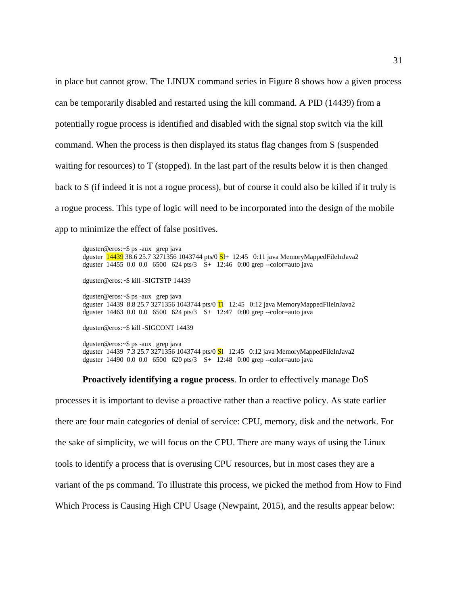in place but cannot grow. The LINUX command series in Figure 8 shows how a given process can be temporarily disabled and restarted using the kill command. A PID (14439) from a potentially rogue process is identified and disabled with the signal stop switch via the kill command. When the process is then displayed its status flag changes from S (suspended waiting for resources) to T (stopped). In the last part of the results below it is then changed back to S (if indeed it is not a rogue process), but of course it could also be killed if it truly is a rogue process. This type of logic will need to be incorporated into the design of the mobile app to minimize the effect of false positives.

dguster@eros:~\$ ps -aux | grep java dguster  $\frac{14439}{38.6}$  25.7 3271356 1043744 pts/0  $S1+$  12:45 0:11 java MemoryMappedFileInJava2 dguster 14455 0.0 0.0 6500 624 pts/3 S+ 12:46 0:00 grep --color=auto java dguster@eros:~\$ kill -SIGTSTP 14439 dguster@eros:~\$ ps -aux | grep java dguster 14439 8.8 25.7 3271356 1043744 pts/0  $\overline{T}$  12:45 0:12 java MemoryMappedFileInJava2 dguster 14463 0.0 0.0 6500 624 pts/3 S+ 12:47 0:00 grep --color=auto java dguster@eros:~\$ kill -SIGCONT 14439

dguster@eros:~\$ ps -aux | grep java dguster 14439 7.3 25.7 3271356 1043744 pts/0 Sl 12:45 0:12 java MemoryMappedFileInJava2 dguster 14490 0.0 0.0 6500 620 pts/3 S+ 12:48 0:00 grep --color=auto java

**Proactively identifying a rogue process**. In order to effectively manage DoS

processes it is important to devise a proactive rather than a reactive policy. As state earlier there are four main categories of denial of service: CPU, memory, disk and the network. For the sake of simplicity, we will focus on the CPU. There are many ways of using the Linux tools to identify a process that is overusing CPU resources, but in most cases they are a variant of the ps command. To illustrate this process, we picked the method from How to Find Which Process is Causing High CPU Usage (Newpaint, 2015), and the results appear below: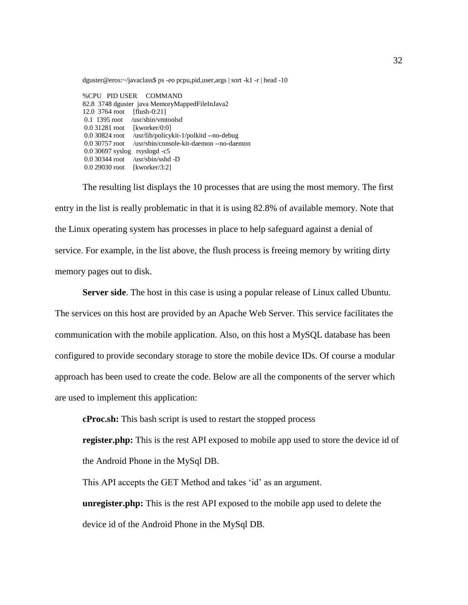dguster@eros:~/javaclass\$ ps -eo pcpu,pid,user,args | sort -k1 -r | head -10

%CPU PID USER COMMAND 82.8 3748 dguster java MemoryMappedFileInJava2 12.0 3764 root [flush-0:21] 0.1 1395 root /usr/sbin/vmtoolsd 0.0 31281 root [kworker/0:0] 0.0 30824 root /usr/lib/policykit-1/polkitd --no-debug 0.0 30757 root /usr/sbin/console-kit-daemon --no-daemon 0.0 30697 syslog rsyslogd -c5 0.0 30344 root /usr/sbin/sshd -D 0.0 29030 root [kworker/3:2]

The resulting list displays the 10 processes that are using the most memory. The first entry in the list is really problematic in that it is using 82.8% of available memory. Note that the Linux operating system has processes in place to help safeguard against a denial of service. For example, in the list above, the flush process is freeing memory by writing dirty memory pages out to disk.

**Server side**. The host in this case is using a popular release of Linux called Ubuntu. The services on this host are provided by an Apache Web Server. This service facilitates the communication with the mobile application. Also, on this host a MySQL database has been configured to provide secondary storage to store the mobile device IDs. Of course a modular approach has been used to create the code. Below are all the components of the server which are used to implement this application:

**cProc.sh:** This bash script is used to restart the stopped process

**register.php:** This is the rest API exposed to mobile app used to store the device id of the Android Phone in the MySql DB.

This API accepts the GET Method and takes 'id' as an argument.

**unregister.php:** This is the rest API exposed to the mobile app used to delete the device id of the Android Phone in the MySql DB.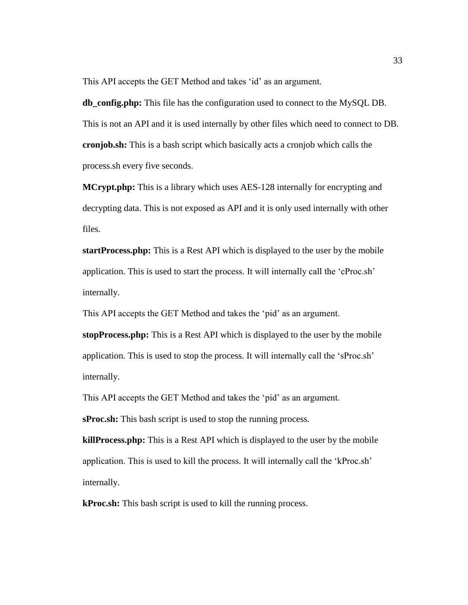This API accepts the GET Method and takes 'id' as an argument.

**db\_config.php:** This file has the configuration used to connect to the MySQL DB. This is not an API and it is used internally by other files which need to connect to DB. **cronjob.sh:** This is a bash script which basically acts a cronjob which calls the process.sh every five seconds.

**MCrypt.php:** This is a library which uses AES-128 internally for encrypting and decrypting data. This is not exposed as API and it is only used internally with other files.

**startProcess.php:** This is a Rest API which is displayed to the user by the mobile application. This is used to start the process. It will internally call the 'cProc.sh' internally.

This API accepts the GET Method and takes the 'pid' as an argument.

**stopProcess.php:** This is a Rest API which is displayed to the user by the mobile application. This is used to stop the process. It will internally call the 'sProc.sh' internally.

This API accepts the GET Method and takes the 'pid' as an argument.

**sProc.sh:** This bash script is used to stop the running process.

**killProcess.php:** This is a Rest API which is displayed to the user by the mobile application. This is used to kill the process. It will internally call the 'kProc.sh' internally.

**kProc.sh:** This bash script is used to kill the running process.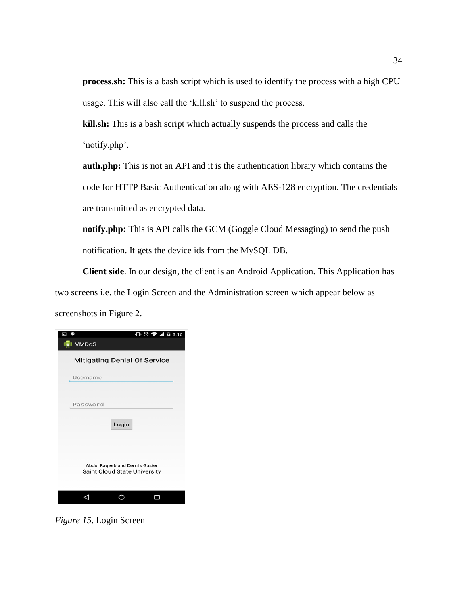**process.sh:** This is a bash script which is used to identify the process with a high CPU usage. This will also call the 'kill.sh' to suspend the process.

**kill.sh:** This is a bash script which actually suspends the process and calls the 'notify.php'.

**auth.php:** This is not an API and it is the authentication library which contains the code for HTTP Basic Authentication along with AES-128 encryption. The credentials are transmitted as encrypted data.

**notify.php:** This is API calls the GCM (Goggle Cloud Messaging) to send the push notification. It gets the device ids from the MySQL DB.

**Client side**. In our design, the client is an Android Application. This Application has two screens i.e. the Login Screen and the Administration screen which appear below as screenshots in Figure 2.

| $\bigoplus$ $\bigcirc$ $\blacktriangledown$ $\blacktriangle$ $\bigcirc$ 3:16<br><b>ICI</b> VMDoS |
|--------------------------------------------------------------------------------------------------|
| <b>Mitigating Denial Of Service</b>                                                              |
| Username                                                                                         |
| Password                                                                                         |
| Login                                                                                            |
|                                                                                                  |
| Abdul Raqeeb and Dennis Guster<br><b>Saint Cloud State University</b>                            |
|                                                                                                  |
|                                                                                                  |

*Figure 15*. Login Screen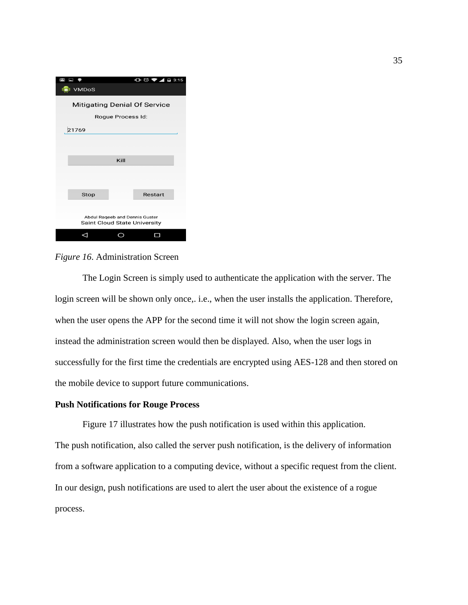| 日 争<br>$\preceq$                    |                                     | $\mathbf{C}$ $\odot$ $\blacktriangleright$ 4 $\ddot{a}$ 3:15 |
|-------------------------------------|-------------------------------------|--------------------------------------------------------------|
| <b>ISI</b> VMDoS                    |                                     |                                                              |
| <b>Mitigating Denial Of Service</b> |                                     |                                                              |
|                                     | Rogue Process Id:                   |                                                              |
| 21769                               |                                     |                                                              |
|                                     |                                     |                                                              |
|                                     |                                     |                                                              |
|                                     | Kill                                |                                                              |
|                                     |                                     |                                                              |
|                                     |                                     |                                                              |
| Stop                                |                                     | Restart                                                      |
|                                     |                                     |                                                              |
|                                     | Abdul Raqeeb and Dennis Guster      |                                                              |
|                                     | <b>Saint Cloud State University</b> |                                                              |
|                                     |                                     |                                                              |

*Figure 16*. Administration Screen

The Login Screen is simply used to authenticate the application with the server. The login screen will be shown only once,. i.e., when the user installs the application. Therefore, when the user opens the APP for the second time it will not show the login screen again, instead the administration screen would then be displayed. Also, when the user logs in successfully for the first time the credentials are encrypted using AES-128 and then stored on the mobile device to support future communications.

#### **Push Notifications for Rouge Process**

Figure 17 illustrates how the push notification is used within this application. The push notification, also called the server push notification, is the delivery of information from a software application to a computing device, without a specific request from the client. In our design, push notifications are used to alert the user about the existence of a rogue process.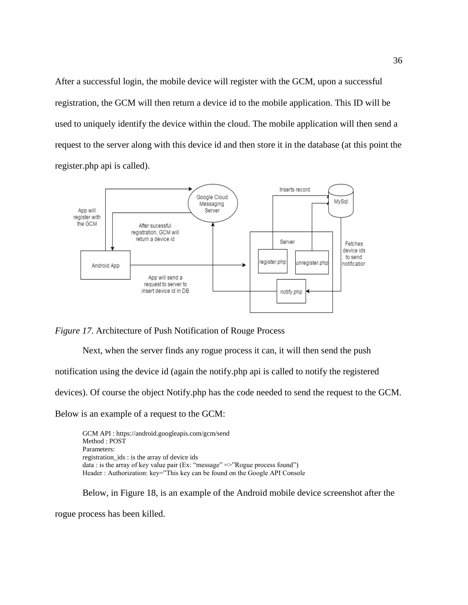After a successful login, the mobile device will register with the GCM, upon a successful registration, the GCM will then return a device id to the mobile application. This ID will be used to uniquely identify the device within the cloud. The mobile application will then send a request to the server along with this device id and then store it in the database (at this point the register.php api is called).



*Figure 17*. Architecture of Push Notification of Rouge Process

Next, when the server finds any rogue process it can, it will then send the push

notification using the device id (again the notify.php api is called to notify the registered

devices). Of course the object Notify.php has the code needed to send the request to the GCM.

Below is an example of a request to the GCM:

GCM API : https://android.googleapis.com/gcm/send Method : POST Parameters: registration\_ids : is the array of device ids data : is the array of key value pair (Ex: "message" =>"Rogue process found") Header : Authorization: key="This key can be found on the Google API Console

Below, in Figure 18, is an example of the Android mobile device screenshot after the

rogue process has been killed.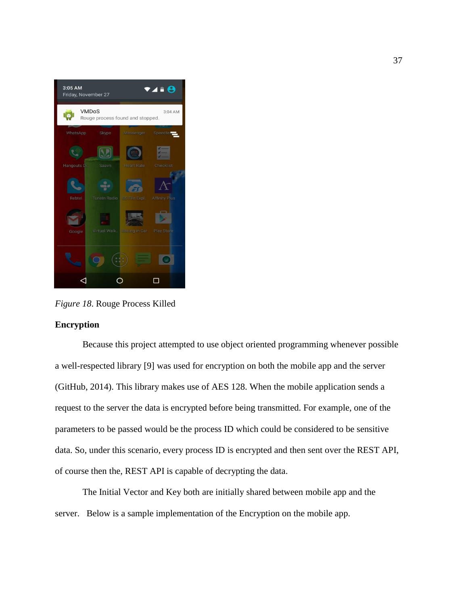

*Figure 18*. Rouge Process Killed

### **Encryption**

Because this project attempted to use object oriented programming whenever possible a well-respected library [9] was used for encryption on both the mobile app and the server (GitHub, 2014). This library makes use of AES 128. When the mobile application sends a request to the server the data is encrypted before being transmitted. For example, one of the parameters to be passed would be the process ID which could be considered to be sensitive data. So, under this scenario, every process ID is encrypted and then sent over the REST API, of course then the, REST API is capable of decrypting the data.

The Initial Vector and Key both are initially shared between mobile app and the server. Below is a sample implementation of the Encryption on the mobile app.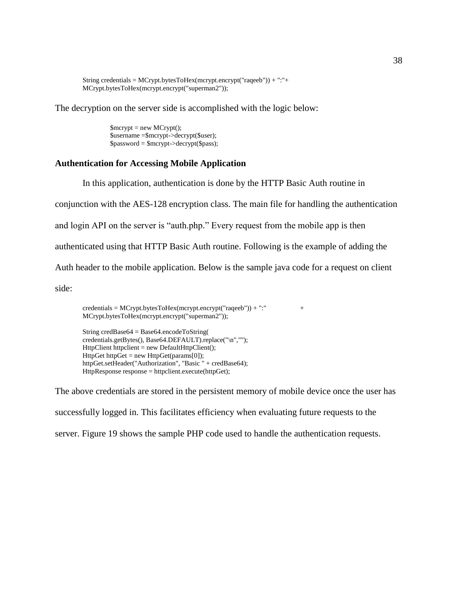```
String credentials = MCrypt.bytesToHex(mcrypt.encrypt("raqeeb")) + ":"+ 
MCrypt.bytesToHex(mcrypt.encrypt("superman2"));
```
The decryption on the server side is accomplished with the logic below:

\$mcrypt = new MCrypt(); \$username =\$mcrypt->decrypt(\$user);  $spassword =$ \$mcrypt->decrypt(\$pass);

### **Authentication for Accessing Mobile Application**

In this application, authentication is done by the HTTP Basic Auth routine in

conjunction with the AES-128 encryption class. The main file for handling the authentication

and login API on the server is "auth.php." Every request from the mobile app is then

authenticated using that HTTP Basic Auth routine. Following is the example of adding the

Auth header to the mobile application. Below is the sample java code for a request on client

side:

 $\text{credentials} = \text{MCrypt.bytesToHex(mcrypt.energyt("raqeeb")) + ":" +$ MCrypt.bytesToHex(mcrypt.encrypt("superman2"));

String credBase64 = Base64.encodeToString( credentials.getBytes(), Base64.DEFAULT).replace("\n",""); HttpClient httpclient = new DefaultHttpClient(); HttpGet httpGet = new HttpGet(params[0]); httpGet.setHeader("Authorization", "Basic " + credBase64); HttpResponse response = httpclient.execute(httpGet);

The above credentials are stored in the persistent memory of mobile device once the user has successfully logged in. This facilitates efficiency when evaluating future requests to the server. Figure 19 shows the sample PHP code used to handle the authentication requests.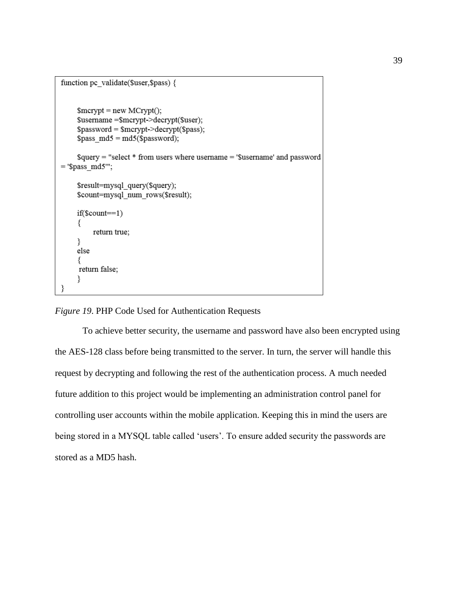```
function pc validate($user,$pass) {
    $merypt = new MCrypt();$username = $mcrypt->decrypt($user);
    spassword =Smcrypt->decrypt($pass);
    $pass md5 = md5($password);
    $query = "select * from users where username = '$username' and password
= '$pass md5"';
    $result=mysql query($query);
    $count=mysql num rows($result);
    if($count==1)
    ₹
         return true;
    ₹
    else
     ₹
     return false;
    ₹
```
# *Figure 19*. PHP Code Used for Authentication Requests

To achieve better security, the username and password have also been encrypted using the AES-128 class before being transmitted to the server. In turn, the server will handle this request by decrypting and following the rest of the authentication process. A much needed future addition to this project would be implementing an administration control panel for controlling user accounts within the mobile application. Keeping this in mind the users are being stored in a MYSQL table called 'users'. To ensure added security the passwords are stored as a MD5 hash.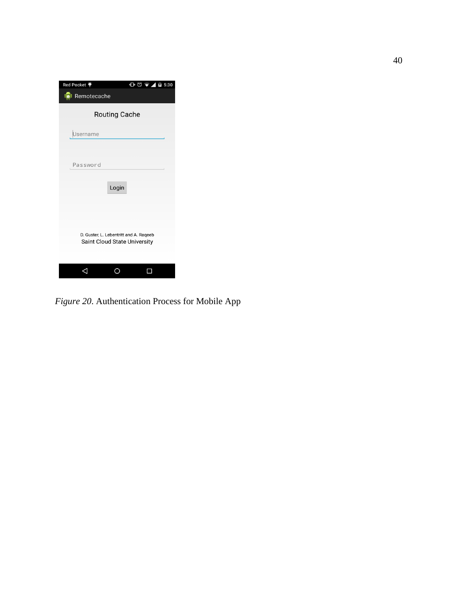| Red Pocket ♥                                                           | $\bigoplus$ $\bigcirc$ $\bigcirc$ $\bigotimes$ $\bigotimes$ 12 5:30 |
|------------------------------------------------------------------------|---------------------------------------------------------------------|
| Remotecache                                                            |                                                                     |
| <b>Routing Cache</b>                                                   |                                                                     |
| Username                                                               |                                                                     |
| Password                                                               |                                                                     |
|                                                                        | Login                                                               |
|                                                                        |                                                                     |
| D. Guster, L. Lebentritt and A. Rageeb<br>Saint Cloud State University |                                                                     |
|                                                                        |                                                                     |

*Figure 20*. Authentication Process for Mobile App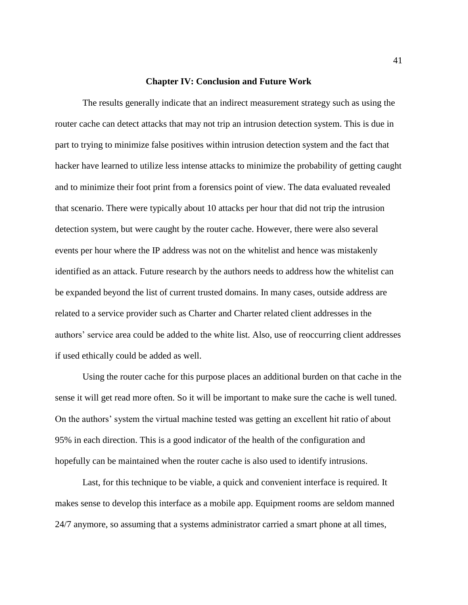#### **Chapter IV: Conclusion and Future Work**

The results generally indicate that an indirect measurement strategy such as using the router cache can detect attacks that may not trip an intrusion detection system. This is due in part to trying to minimize false positives within intrusion detection system and the fact that hacker have learned to utilize less intense attacks to minimize the probability of getting caught and to minimize their foot print from a forensics point of view. The data evaluated revealed that scenario. There were typically about 10 attacks per hour that did not trip the intrusion detection system, but were caught by the router cache. However, there were also several events per hour where the IP address was not on the whitelist and hence was mistakenly identified as an attack. Future research by the authors needs to address how the whitelist can be expanded beyond the list of current trusted domains. In many cases, outside address are related to a service provider such as Charter and Charter related client addresses in the authors' service area could be added to the white list. Also, use of reoccurring client addresses if used ethically could be added as well.

Using the router cache for this purpose places an additional burden on that cache in the sense it will get read more often. So it will be important to make sure the cache is well tuned. On the authors' system the virtual machine tested was getting an excellent hit ratio of about 95% in each direction. This is a good indicator of the health of the configuration and hopefully can be maintained when the router cache is also used to identify intrusions.

Last, for this technique to be viable, a quick and convenient interface is required. It makes sense to develop this interface as a mobile app. Equipment rooms are seldom manned 24/7 anymore, so assuming that a systems administrator carried a smart phone at all times,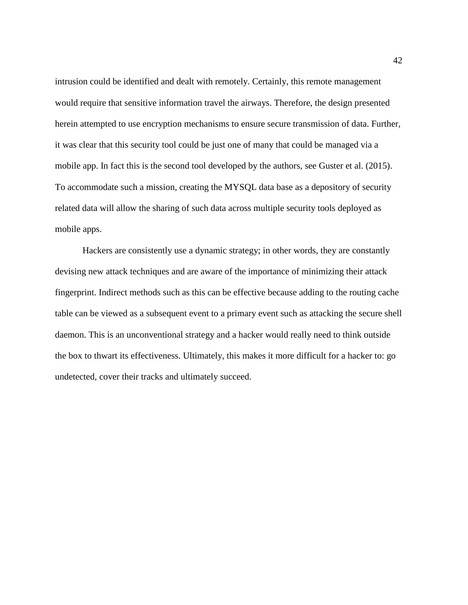intrusion could be identified and dealt with remotely. Certainly, this remote management would require that sensitive information travel the airways. Therefore, the design presented herein attempted to use encryption mechanisms to ensure secure transmission of data. Further, it was clear that this security tool could be just one of many that could be managed via a mobile app. In fact this is the second tool developed by the authors, see Guster et al. (2015). To accommodate such a mission, creating the MYSQL data base as a depository of security related data will allow the sharing of such data across multiple security tools deployed as mobile apps.

Hackers are consistently use a dynamic strategy; in other words, they are constantly devising new attack techniques and are aware of the importance of minimizing their attack fingerprint. Indirect methods such as this can be effective because adding to the routing cache table can be viewed as a subsequent event to a primary event such as attacking the secure shell daemon. This is an unconventional strategy and a hacker would really need to think outside the box to thwart its effectiveness. Ultimately, this makes it more difficult for a hacker to: go undetected, cover their tracks and ultimately succeed.

42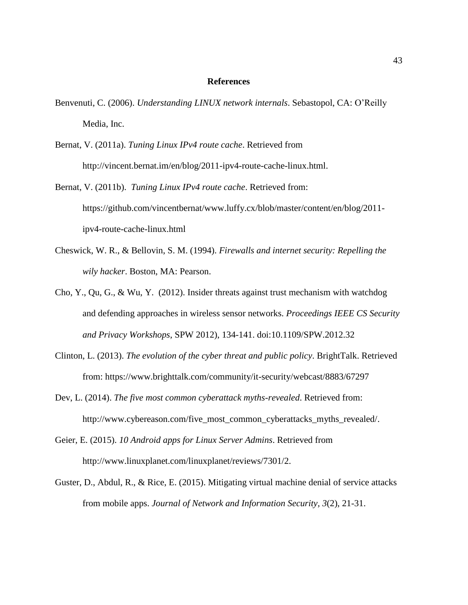#### **References**

- Benvenuti, C. (2006). *Understanding LINUX network internals*. Sebastopol, CA: O'Reilly Media, Inc.
- Bernat, V. (2011a). *Tuning Linux IPv4 route cache*. Retrieved from http://vincent.bernat.im/en/blog/2011-ipv4-route-cache-linux.html.
- Bernat, V. (2011b). *Tuning Linux IPv4 route cache*. Retrieved from: https://github.com/vincentbernat/www.luffy.cx/blob/master/content/en/blog/2011 ipv4-route-cache-linux.html
- Cheswick, W. R., & Bellovin, S. M. (1994). *Firewalls and internet security: Repelling the wily hacker*. Boston, MA: Pearson.
- Cho, Y., Qu, G., & Wu, Y. (2012). Insider threats against trust mechanism with watchdog and defending approaches in wireless sensor networks. *Proceedings IEEE CS Security and Privacy Workshops*, SPW 2012), 134-141. doi:10.1109/SPW.2012.32
- Clinton, L. (2013). *The evolution of the cyber threat and public policy*. BrightTalk. Retrieved from: https://www.brighttalk.com/community/it-security/webcast/8883/67297
- Dev, L. (2014). *The five most common cyberattack myths-revealed*. Retrieved from: http://www.cybereason.com/five\_most\_common\_cyberattacks\_myths\_revealed/.
- Geier, E. (2015). *10 Android apps for Linux Server Admins*. Retrieved from http://www.linuxplanet.com/linuxplanet/reviews/7301/2.
- Guster, D., Abdul, R., & Rice, E. (2015). Mitigating virtual machine denial of service attacks from mobile apps. *Journal of Network and Information Security, 3*(2), 21-31.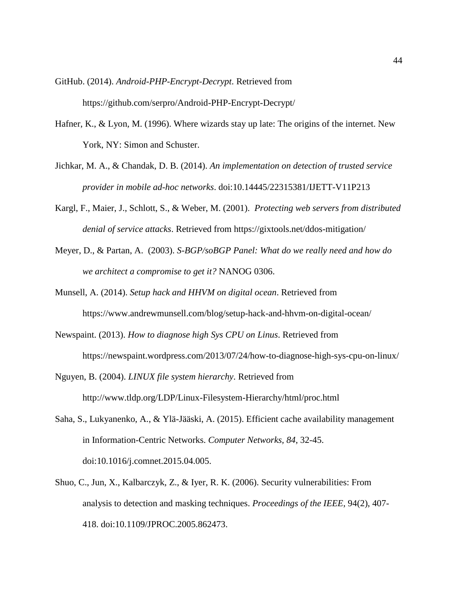GitHub. (2014). *Android-PHP-Encrypt-Decrypt*. Retrieved from https://github.com/serpro/Android-PHP-Encrypt-Decrypt/

- Hafner, K., & Lyon, M. (1996). Where wizards stay up late: The origins of the internet. New York, NY: Simon and Schuster.
- Jichkar, M. A., & Chandak, D. B. (2014). *An implementation on detection of trusted service provider in mobile ad-hoc networks*. doi:10.14445/22315381/IJETT-V11P213
- Kargl, F., Maier, J., Schlott, S., & Weber, M. (2001). *Protecting web servers from distributed denial of service attacks*. Retrieved from https://gixtools.net/ddos-mitigation/
- Meyer, D., & Partan, A. (2003). *S-BGP/soBGP Panel: What do we really need and how do we architect a compromise to get it?* NANOG 0306.
- Munsell, A. (2014). *Setup hack and HHVM on digital ocean*. Retrieved from https://www.andrewmunsell.com/blog/setup-hack-and-hhvm-on-digital-ocean/
- Newspaint. (2013). *How to diagnose high Sys CPU on Linus*. Retrieved from https://newspaint.wordpress.com/2013/07/24/how-to-diagnose-high-sys-cpu-on-linux/
- Nguyen, B. (2004). *LINUX file system hierarchy*. Retrieved from http://www.tldp.org/LDP/Linux-Filesystem-Hierarchy/html/proc.html
- Saha, S., Lukyanenko, A., & Ylä-Jääski, A. (2015). Efficient cache availability management in Information-Centric Networks. *Computer Networks, 84*, 32-45. doi:10.1016/j.comnet.2015.04.005.
- Shuo, C., Jun, X., Kalbarczyk, Z., & Iyer, R. K. (2006). Security vulnerabilities: From analysis to detection and masking techniques. *Proceedings of the IEEE*, 94(2), 407- 418. doi:10.1109/JPROC.2005.862473.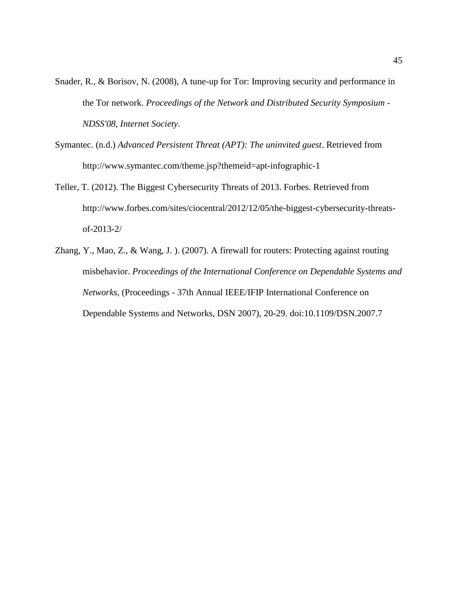- Snader, R., & Borisov, N. (2008), A tune-up for Tor: Improving security and performance in the Tor network. *Proceedings of the Network and Distributed Security Symposium - NDSS'08, Internet Society*.
- Symantec. (n.d.) *Advanced Persistent Threat (APT): The uninvited guest*. Retrieved from http://www.symantec.com/theme.jsp?themeid=apt-infographic-1
- Teller, T. (2012). The Biggest Cybersecurity Threats of 2013. Forbes. Retrieved from http://www.forbes.com/sites/ciocentral/2012/12/05/the-biggest-cybersecurity-threatsof-2013-2/
- Zhang, Y., Mao, Z., & Wang, J. ). (2007). A firewall for routers: Protecting against routing misbehavior. *Proceedings of the International Conference on Dependable Systems and Networks*, (Proceedings - 37th Annual IEEE/IFIP International Conference on Dependable Systems and Networks, DSN 2007), 20-29. doi:10.1109/DSN.2007.7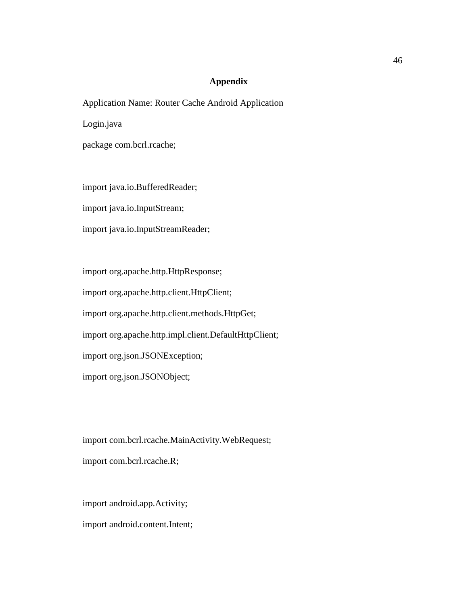## **Appendix**

Application Name: Router Cache Android Application

Login.java

package com.bcrl.rcache;

import java.io.BufferedReader;

import java.io.InputStream;

import java.io.InputStreamReader;

import org.apache.http.HttpResponse; import org.apache.http.client.HttpClient; import org.apache.http.client.methods.HttpGet; import org.apache.http.impl.client.DefaultHttpClient; import org.json.JSONException; import org.json.JSONObject;

import com.bcrl.rcache.MainActivity.WebRequest; import com.bcrl.rcache.R;

import android.app.Activity; import android.content.Intent;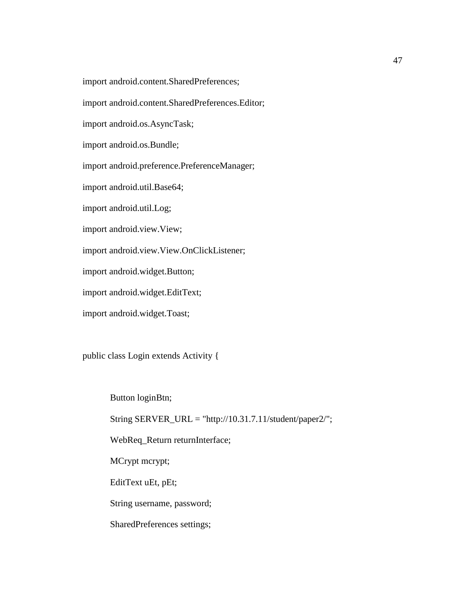import android.content.SharedPreferences;

import android.content.SharedPreferences.Editor;

import android.os.AsyncTask;

import android.os.Bundle;

import android.preference.PreferenceManager;

import android.util.Base64;

import android.util.Log;

import android.view.View;

import android.view.View.OnClickListener;

import android.widget.Button;

import android.widget.EditText;

import android.widget.Toast;

public class Login extends Activity {

Button loginBtn;

String SERVER\_URL = "http://10.31.7.11/student/paper2/";

WebReq\_Return returnInterface;

MCrypt mcrypt;

EditText uEt, pEt;

String username, password;

SharedPreferences settings;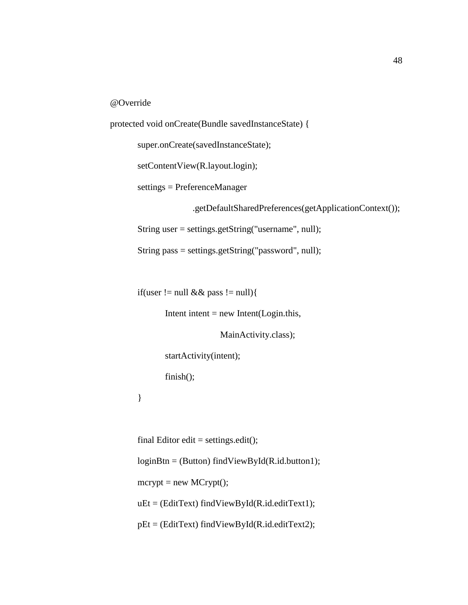@Override

```
protected void onCreate(Bundle savedInstanceState) {
       super.onCreate(savedInstanceState);
       setContentView(R.layout.login);
       settings = PreferenceManager
                      .getDefaultSharedPreferences(getApplicationContext());
       String user = settings.getString("username", null);
       String pass = settings.getString("password", null);
```
if(user != null && pass != null){

Intent intent  $=$  new Intent(Login.this,

MainActivity.class);

startActivity(intent);

finish();

}

final Editor edit = settings.edit(); loginBtn = (Button) findViewById(R.id.button1);  $mcrypt = new MCrypt$ ;  $uEt = (Edit Text) findViewById(R.id.edutrText1);$  $pEt = (Edit Text) findViewById(R.id.eduitText2);$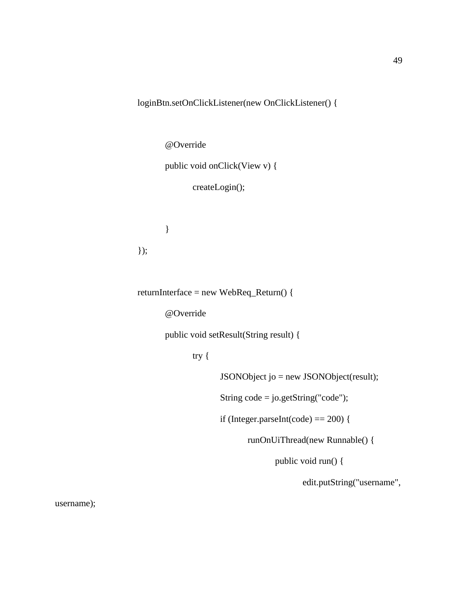loginBtn.setOnClickListener(new OnClickListener() {

@Override

public void onClick(View v) {

createLogin();

});

}

returnInterface = new WebReq\_Return() {

@Override

public void setResult(String result) {

try {

JSONObject jo = new JSONObject(result);

String code = jo.getString("code");

if (Integer.parseInt(code) == 200) {

runOnUiThread(new Runnable() {

public void run() {

edit.putString("username",

username);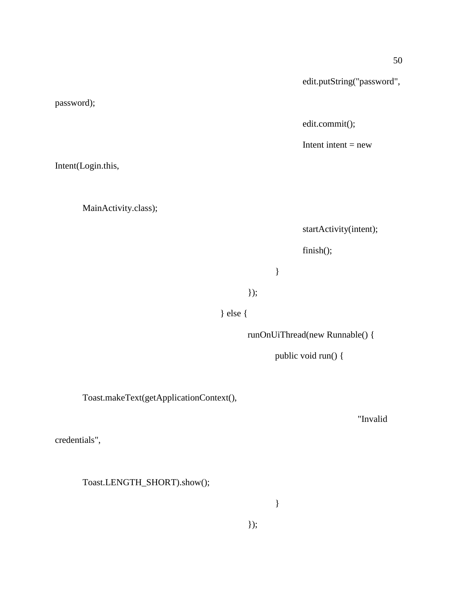edit.putString("password",

edit.commit();

Intent intent  $=$  new

Intent(Login.this,

password);

MainActivity.class);

startActivity(intent);

finish();

}

});

} else {

runOnUiThread(new Runnable() {

public void run() {

Toast.makeText(getApplicationContext(),

"Invalid

credentials",

Toast.LENGTH\_SHORT).show();

}

});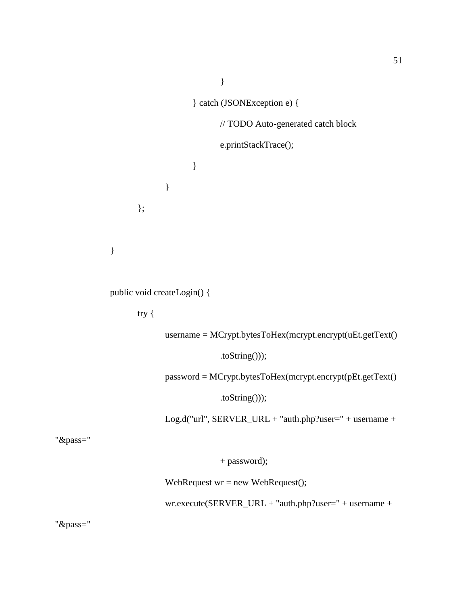} } catch (JSONException e) { // TODO Auto-generated catch block e.printStackTrace(); } } };

public void createLogin() {

try {

}

username = MCrypt.bytesToHex(mcrypt.encrypt(uEt.getText()

.toString()));

password = MCrypt.bytesToHex(mcrypt.encrypt(pEt.getText()

.toString()));

Log.d("url", SERVER\_URL + "auth.php?user=" + username +

"&pass="

+ password);

WebRequest  $wr = new WebRequest();$ 

wr.execute(SERVER\_URL + "auth.php?user=" + username +

"&pass="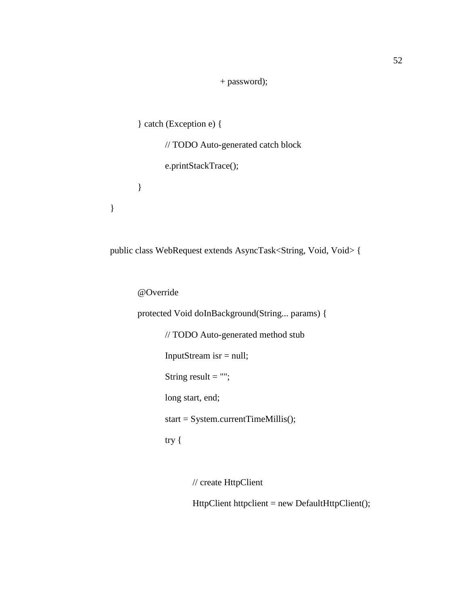+ password);

```
} catch (Exception e) {
      // TODO Auto-generated catch block
      e.printStackTrace();
}
```
public class WebRequest extends AsyncTask<String, Void, Void> {

@Override

}

protected Void doInBackground(String... params) { // TODO Auto-generated method stub InputStream isr = null; String result  $=$  ""; long start, end; start = System.currentTimeMillis(); try {

// create HttpClient

HttpClient httpclient = new DefaultHttpClient();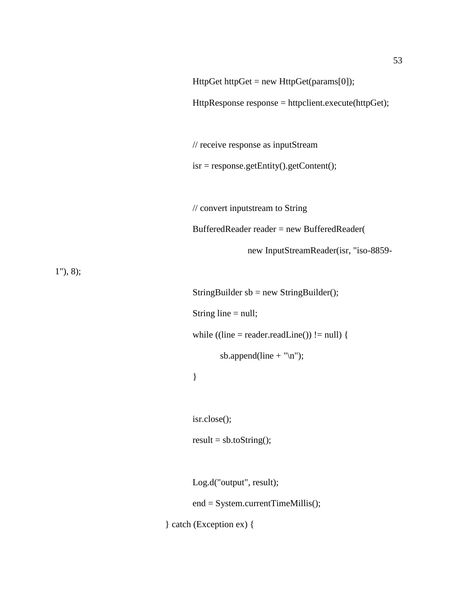HttpResponse response = httpclient.execute(httpGet);

// receive response as inputStream

isr = response.getEntity().getContent();

// convert inputstream to String BufferedReader reader = new BufferedReader( new InputStreamReader(isr, "iso-8859-

1"), 8);

StringBuilder sb = new StringBuilder(); String line = null;

while  $((line = reader.readLine()) := null)$  {

sb.append(line  $+$  "\n");

}

isr.close();

 $result = sb.toString();$ 

Log.d("output", result);

end = System.currentTimeMillis();

} catch (Exception ex) {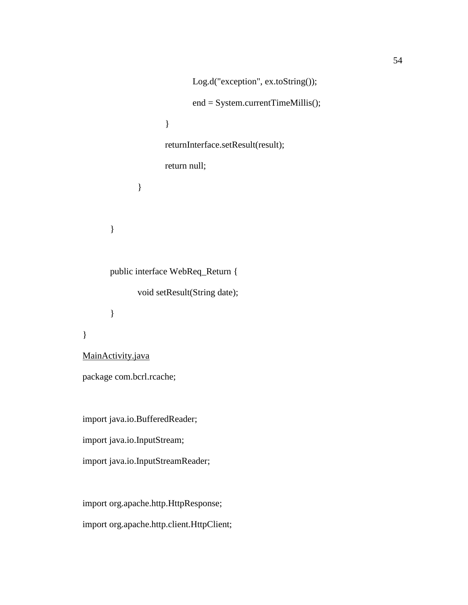```
Log.d("exception", ex.toString());
                             end = System.currentTimeMillis();
                      }
                     returnInterface.setResult(result);
                     return null;
              }
       }
       public interface WebReq_Return {
              void setResult(String date);
       }
MainActivity.java
package com.bcrl.rcache;
import java.io.BufferedReader;
import java.io.InputStream;
import java.io.InputStreamReader;
import org.apache.http.HttpResponse;
```
import org.apache.http.client.HttpClient;

}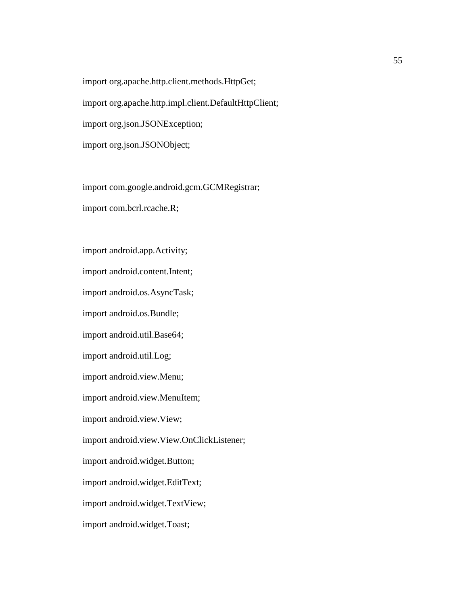import org.apache.http.client.methods.HttpGet; import org.apache.http.impl.client.DefaultHttpClient; import org.json.JSONException; import org.json.JSONObject;

import com.google.android.gcm.GCMRegistrar; import com.bcrl.rcache.R;

import android.app.Activity;

import android.content.Intent;

import android.os.AsyncTask;

import android.os.Bundle;

import android.util.Base64;

import android.util.Log;

import android.view.Menu;

import android.view.MenuItem;

import android.view.View;

import android.view.View.OnClickListener;

import android.widget.Button;

import android.widget.EditText;

import android.widget.TextView;

import android.widget.Toast;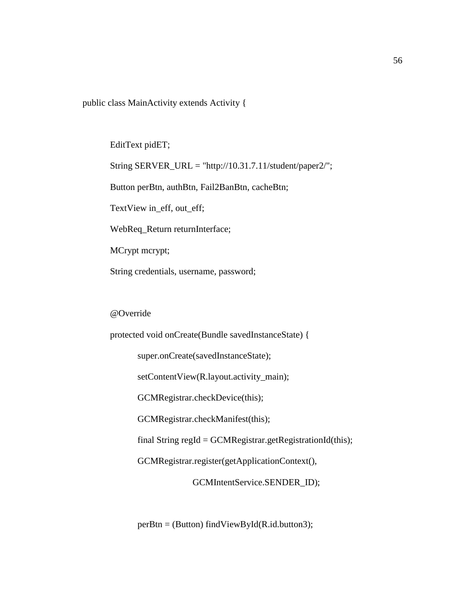public class MainActivity extends Activity {

EditText pidET;

String SERVER\_URL = "http://10.31.7.11/student/paper2/";

Button perBtn, authBtn, Fail2BanBtn, cacheBtn;

TextView in\_eff, out\_eff;

WebReq\_Return returnInterface;

MCrypt mcrypt;

String credentials, username, password;

## @Override

protected void onCreate(Bundle savedInstanceState) {

super.onCreate(savedInstanceState);

setContentView(R.layout.activity\_main);

GCMRegistrar.checkDevice(this);

GCMRegistrar.checkManifest(this);

final String regId = GCMRegistrar.getRegistrationId(this);

GCMRegistrar.register(getApplicationContext(),

GCMIntentService.SENDER\_ID);

perBtn = (Button) findViewById(R.id.button3);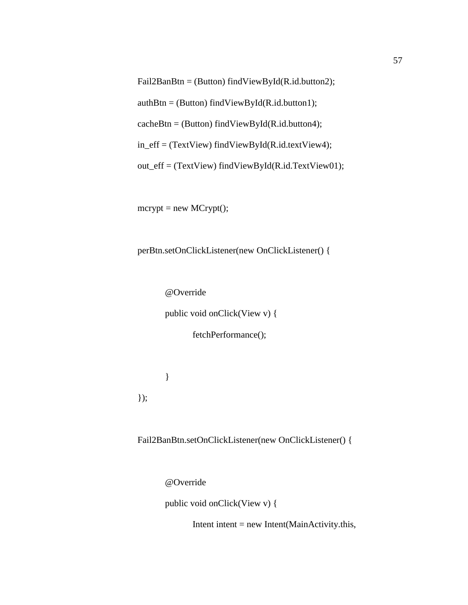Fail2BanBtn = (Button) findViewById(R.id.button2);

 $authBtn = (Button) findViewById(R.id.button1);$ 

 $cacheBtn = (Button) findViewById(R.id.button4);$ 

in\_eff = (TextView) findViewById(R.id.textView4);

out\_eff = (TextView) findViewById(R.id.TextView01);

 $mcrypt = new MCrypt();$ 

perBtn.setOnClickListener(new OnClickListener() {

@Override

public void onClick(View v) {

fetchPerformance();

});

}

Fail2BanBtn.setOnClickListener(new OnClickListener() {

@Override

public void onClick(View v) {

Intent intent  $=$  new Intent(MainActivity.this,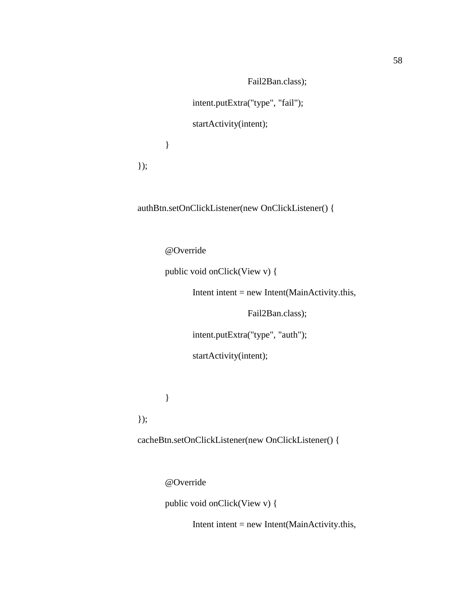Fail2Ban.class);

intent.putExtra("type", "fail");

startActivity(intent);

}

});

authBtn.setOnClickListener(new OnClickListener() {

@Override

public void onClick(View v) {

Intent intent = new Intent(MainActivity.this,

Fail2Ban.class);

intent.putExtra("type", "auth");

startActivity(intent);

}

});

cacheBtn.setOnClickListener(new OnClickListener() {

@Override

public void onClick(View v) {

Intent intent = new Intent(MainActivity.this,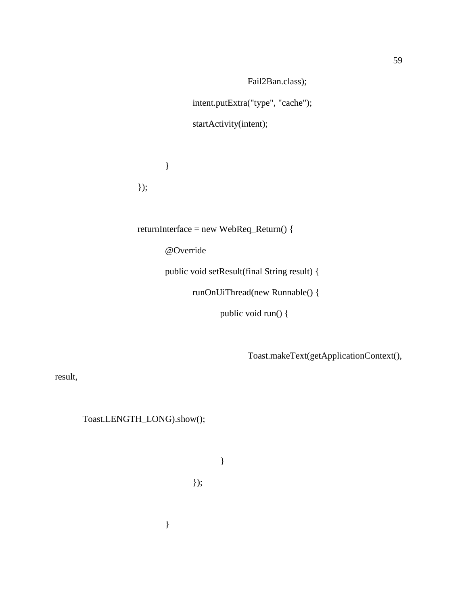Fail2Ban.class);

intent.putExtra("type", "cache");

startActivity(intent);

} });

returnInterface = new WebReq\_Return() {

@Override

public void setResult(final String result) {

runOnUiThread(new Runnable() {

public void run() {

Toast.makeText(getApplicationContext(),

result,

Toast.LENGTH\_LONG).show();

}

});

}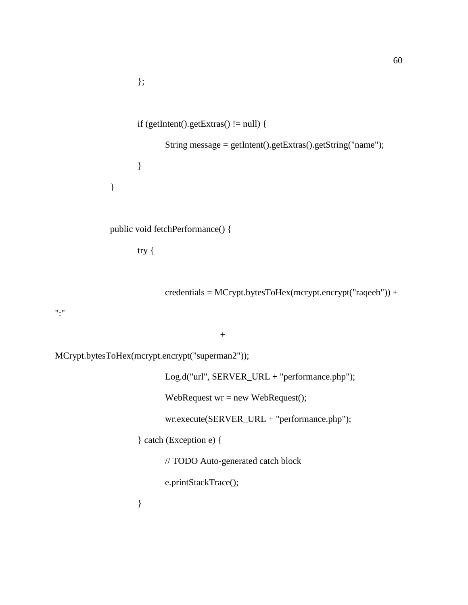```
};
       if (getIntent().getExtras() != null) {
               String message = getIntent().getExtras().getString("name");
       }
}
```
public void fetchPerformance() {

try {

credentials = MCrypt.bytesToHex(mcrypt.encrypt("raqeeb")) +

":"

+

MCrypt.bytesToHex(mcrypt.encrypt("superman2"));

Log.d("url", SERVER\_URL + "performance.php");

WebRequest wr = new WebRequest();

wr.execute(SERVER\_URL + "performance.php");

} catch (Exception e) {

// TODO Auto-generated catch block

e.printStackTrace();

}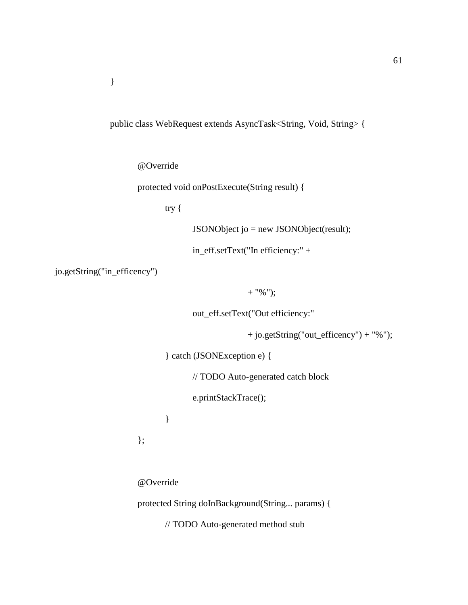public class WebRequest extends AsyncTask<String, Void, String> {

@Override

protected void onPostExecute(String result) {

try {

JSONObject jo = new JSONObject(result);

in\_eff.setText("In efficiency:" +

jo.getString("in\_efficency")

+ "%");

out\_eff.setText("Out efficiency:"

+ jo.getString("out\_efficency") + "%");

} catch (JSONException e) {

// TODO Auto-generated catch block

e.printStackTrace();

}

};

@Override

protected String doInBackground(String... params) {

// TODO Auto-generated method stub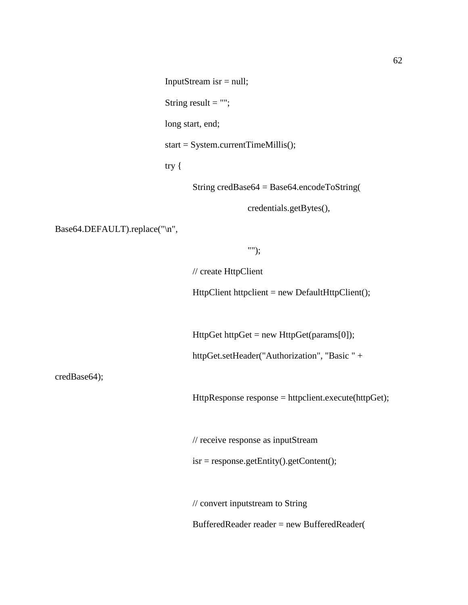String result  $=$  "";

long start, end;

start = System.currentTimeMillis();

try {

String credBase64 = Base64.encodeToString(

credentials.getBytes(),

Base64.DEFAULT).replace("\n",

"");

// create HttpClient

HttpClient httpclient = new DefaultHttpClient();

 $HttpGet httpGet = new  $HttpGet(params[0])$ ;$ 

httpGet.setHeader("Authorization", "Basic " +

credBase64);

HttpResponse response = httpclient.execute(httpGet);

// receive response as inputStream

isr = response.getEntity().getContent();

// convert inputstream to String

BufferedReader reader = new BufferedReader(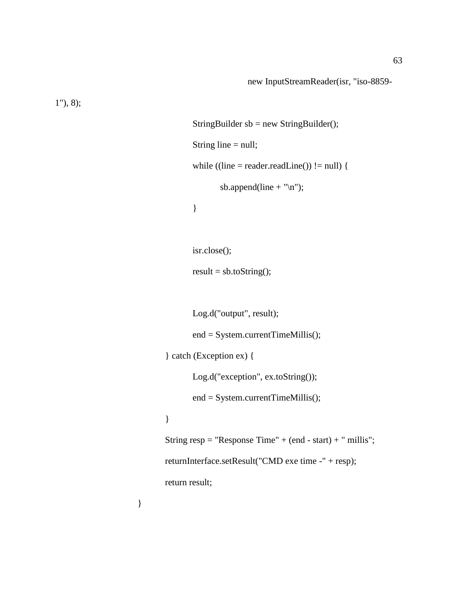1"), 8);

```
StringBuilder sb = new StringBuilder;
       String line = null;
       while ((line = reader.readLine()) != null) {
              sb.append(line + "\n");
       }
       isr.close();
       result = sb.toString();Log.d("output", result);
       end = System.currentTimeMillis();
} catch (Exception ex) {
       Log.d("exception", ex.toString());
       end = System.currentTimeMillis();
String resp = "Response Time" + (end - start) + "millis";returnInterface.setResult("CMD exe time -" + resp);
return result;
```
}

}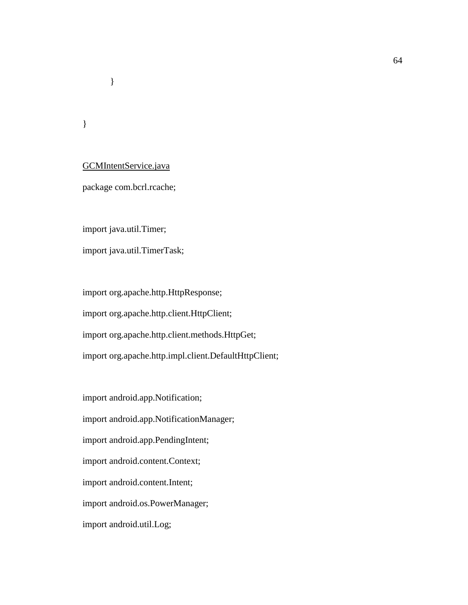}

}

# GCMIntentService.java

package com.bcrl.rcache;

import java.util.Timer;

import java.util.TimerTask;

import org.apache.http.HttpResponse; import org.apache.http.client.HttpClient; import org.apache.http.client.methods.HttpGet; import org.apache.http.impl.client.DefaultHttpClient;

import android.app.Notification; import android.app.NotificationManager; import android.app.PendingIntent; import android.content.Context; import android.content.Intent; import android.os.PowerManager; import android.util.Log;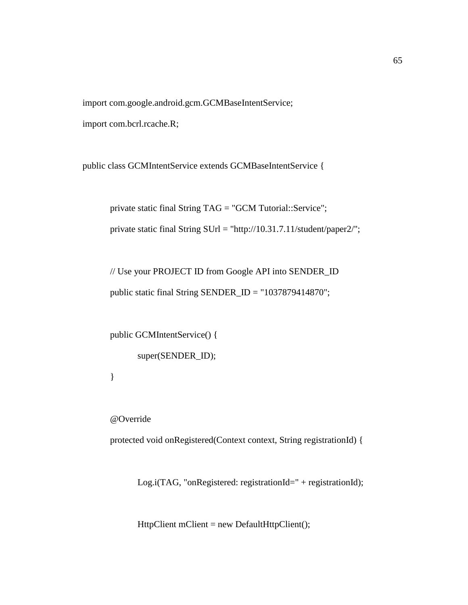import com.google.android.gcm.GCMBaseIntentService;

import com.bcrl.rcache.R;

public class GCMIntentService extends GCMBaseIntentService {

private static final String TAG = "GCM Tutorial::Service"; private static final String SUrl = "http://10.31.7.11/student/paper2/";

// Use your PROJECT ID from Google API into SENDER\_ID public static final String SENDER\_ID = "1037879414870";

public GCMIntentService() { super(SENDER\_ID);

}

@Override

protected void onRegistered(Context context, String registrationId) {

Log.i(TAG, "onRegistered: registrationId=" + registrationId);

HttpClient mClient = new DefaultHttpClient();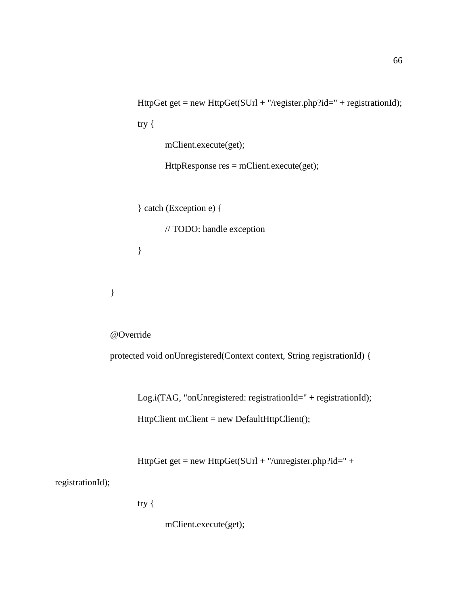```
HttpGet get = new HttpGet(SUrl + "/register.php?id=" + registrationId);
try {
       mClient.execute(get);
       HttpResponse res = mClient.execute(get);
```

```
} catch (Exception e) {
```
// TODO: handle exception

}

}

@Override

protected void onUnregistered(Context context, String registrationId) {

Log.i(TAG, "onUnregistered: registrationId=" + registrationId); HttpClient mClient = new DefaultHttpClient();

HttpGet get = new HttpGet(SUrl + "/unregister.php?id=" +

registrationId);

try {

mClient.execute(get);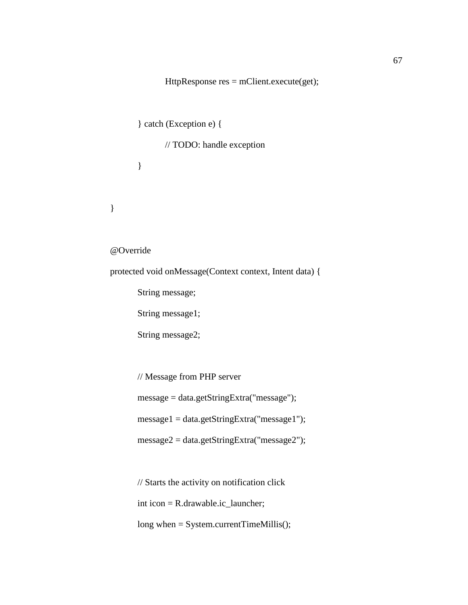HttpResponse res = mClient.execute(get);

} catch (Exception e) {

// TODO: handle exception

}

}

@Override

protected void onMessage(Context context, Intent data) {

String message;

String message1;

String message2;

// Message from PHP server

message = data.getStringExtra("message");

message1 = data.getStringExtra("message1");

message2 = data.getStringExtra("message2");

// Starts the activity on notification click

int icon = R.drawable.ic\_launcher;

long when = System.currentTimeMillis();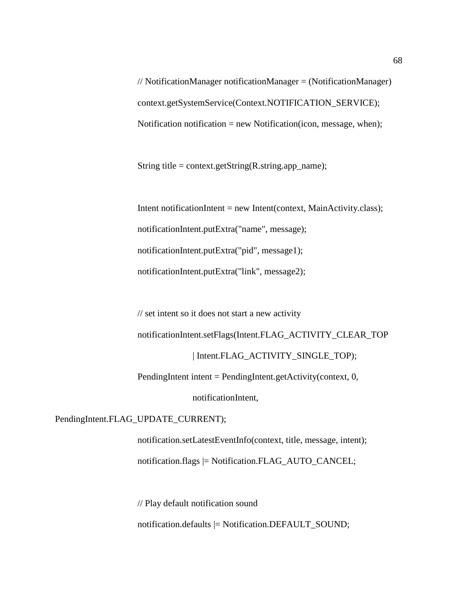// NotificationManager notificationManager = (NotificationManager) context.getSystemService(Context.NOTIFICATION\_SERVICE); Notification notification  $=$  new Notification(icon, message, when);

String title = context.getString(R.string.app\_name);

Intent notificationIntent = new Intent(context, MainActivity.class); notificationIntent.putExtra("name", message); notificationIntent.putExtra("pid", message1); notificationIntent.putExtra("link", message2);

// set intent so it does not start a new activity notificationIntent.setFlags(Intent.FLAG\_ACTIVITY\_CLEAR\_TOP | Intent.FLAG\_ACTIVITY\_SINGLE\_TOP);

PendingIntent intent = PendingIntent.getActivity(context, 0,

notificationIntent,

PendingIntent.FLAG\_UPDATE\_CURRENT);

notification.setLatestEventInfo(context, title, message, intent); notification.flags |= Notification.FLAG\_AUTO\_CANCEL;

// Play default notification sound

notification.defaults |= Notification.DEFAULT\_SOUND;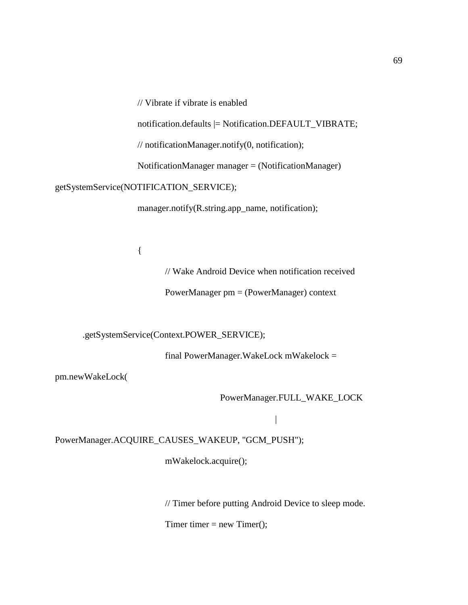// Vibrate if vibrate is enabled

notification.defaults |= Notification.DEFAULT\_VIBRATE;

// notificationManager.notify(0, notification);

NotificationManager manager = (NotificationManager)

getSystemService(NOTIFICATION\_SERVICE);

manager.notify(R.string.app\_name, notification);

{

// Wake Android Device when notification received

PowerManager pm = (PowerManager) context

.getSystemService(Context.POWER\_SERVICE);

final PowerManager.WakeLock mWakelock =

pm.newWakeLock(

PowerManager.FULL\_WAKE\_LOCK

|

PowerManager.ACQUIRE\_CAUSES\_WAKEUP, "GCM\_PUSH");

mWakelock.acquire();

// Timer before putting Android Device to sleep mode.

Timer timer  $=$  new Timer();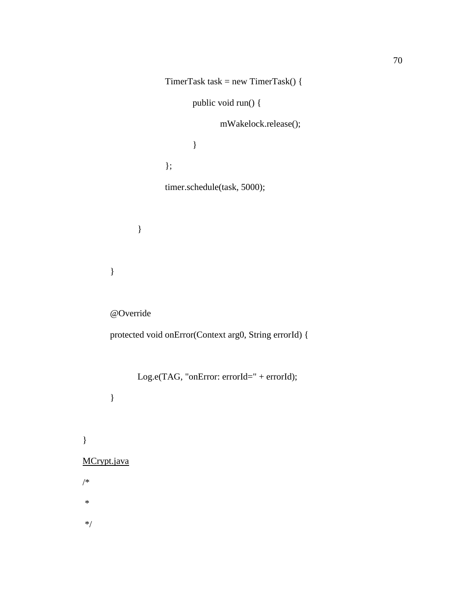```
TimerTask task = new TimerTask() {
                            public void run() {
                                   mWakelock.release();
                             }
                     };
                     timer.schedule(task, 5000);
              }
       }
       @Override
       protected void onError(Context arg0, String errorId) {
              Log.e(TAG, "onError: errorId=" + errorId);
       }
MCrypt.java
```
\*/

}

/\*

\*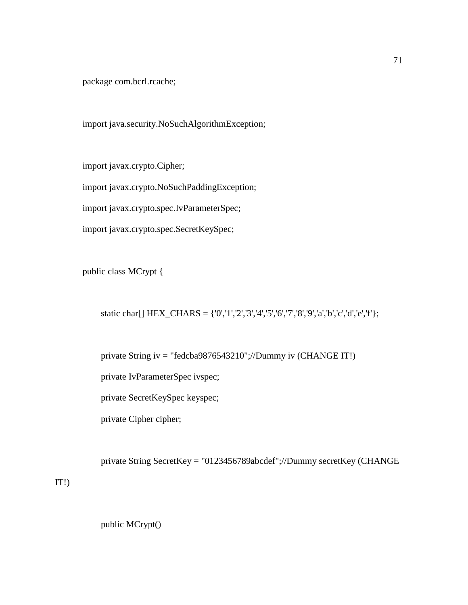package com.bcrl.rcache;

import java.security.NoSuchAlgorithmException;

import javax.crypto.Cipher;

import javax.crypto.NoSuchPaddingException;

import javax.crypto.spec.IvParameterSpec;

import javax.crypto.spec.SecretKeySpec;

public class MCrypt {

static char[]  $HEX_CHARS = \{0', 1', 2', 3', 4', 5', 6', 7', 8', 9', a', b', c', d', e', f'\};$ 

private String iv = "fedcba9876543210";//Dummy iv (CHANGE IT!)

private IvParameterSpec ivspec;

private SecretKeySpec keyspec;

private Cipher cipher;

private String SecretKey = "0123456789abcdef";//Dummy secretKey (CHANGE

IT!)

public MCrypt()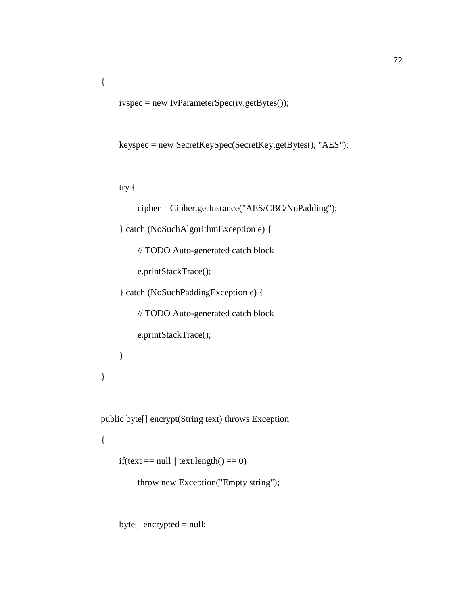ivspec = new IvParameterSpec(iv.getBytes());

```
 keyspec = new SecretKeySpec(SecretKey.getBytes(), "AES");
```
try {

{

```
 cipher = Cipher.getInstance("AES/CBC/NoPadding");
```
} catch (NoSuchAlgorithmException e) {

// TODO Auto-generated catch block

e.printStackTrace();

} catch (NoSuchPaddingException e) {

// TODO Auto-generated catch block

e.printStackTrace();

```
 }
 }
```
public byte[] encrypt(String text) throws Exception

## {

if(text == null  $\parallel$  text.length() == 0)

throw new Exception("Empty string");

byte[] encrypted = null;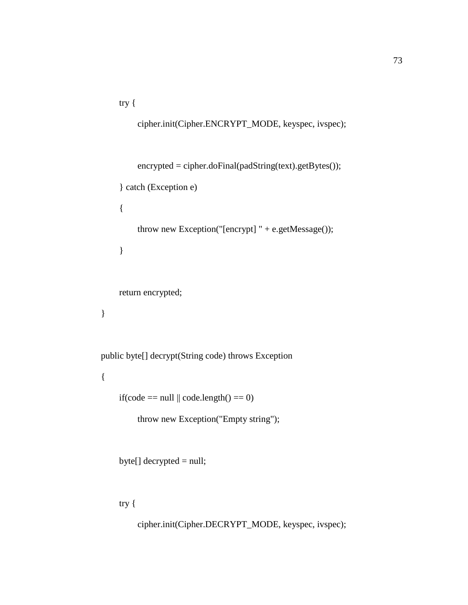try {

```
 cipher.init(Cipher.ENCRYPT_MODE, keyspec, ivspec);
     encrypted = cipher.doFinal(padString(text).getBytes());
 } catch (Exception e)
 { 
     throw new Exception("[encrypt] " + e.getMessage());
 }
 return encrypted;
```
public byte[] decrypt(String code) throws Exception

{

}

```
if(code == null \parallel code.length() == 0)
```
throw new Exception("Empty string");

```
 byte[] decrypted = null;
```
try {

cipher.init(Cipher.DECRYPT\_MODE, keyspec, ivspec);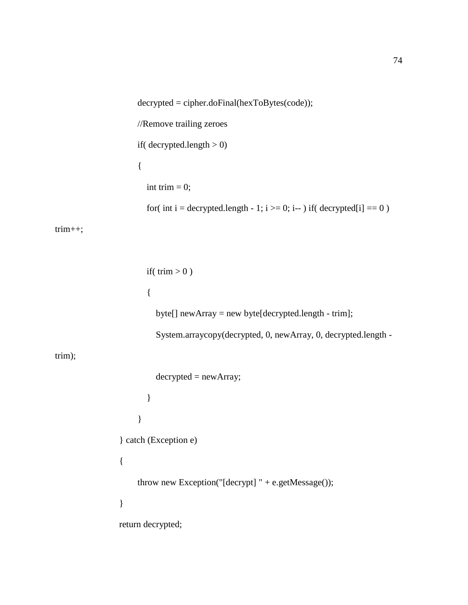```
 decrypted = cipher.doFinal(hexToBytes(code));
                     //Remove trailing zeroes
                    if( decrypted.length > 0)
                     {
                      int trim = 0;
                       for( int i = decrypted.length - 1; i > = 0; i-- ) if( decrypted[i] = = 0 )
trim++;
                      if( trim > 0 )
       \{ byte[] newArray = new byte[decrypted.length - trim];
                          System.arraycopy(decrypted, 0, newArray, 0, decrypted.length -
trim);
                         decrypted = newArray; }
        }
                 } catch (Exception e)
                 {
                     throw new Exception("[decrypt] " + e.getMessage());
                 }
                return decrypted;
```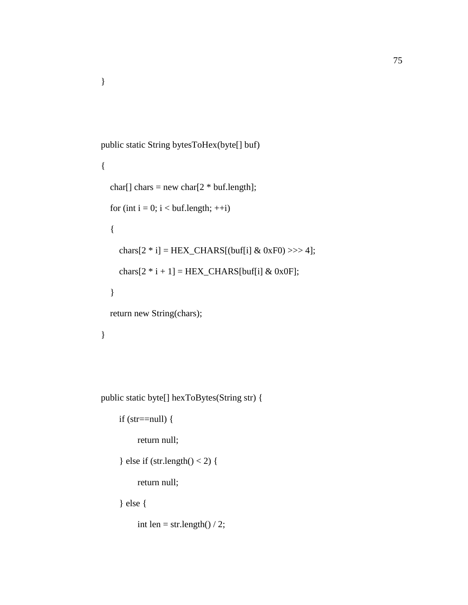```
 public static String bytesToHex(byte[] buf)
 {
  char[] chars = new char[2 * buf.length];
  for (int i = 0; i < buf.length; ++i)
   {
    chars[2 * i] = HEX_CHARS[(buf[i] & 0xF0) >>> 4];
    chars[2 * i + 1] = HEX_CHARS[buff] \& 0x0F]; }
   return new String(chars);
 }
```
public static byte[] hexToBytes(String str) {

```
if (str=null) {
```
}

return null;

```
} else if (str.length() < 2) {
```
return null;

} else {

int len = str.length $()$  / 2;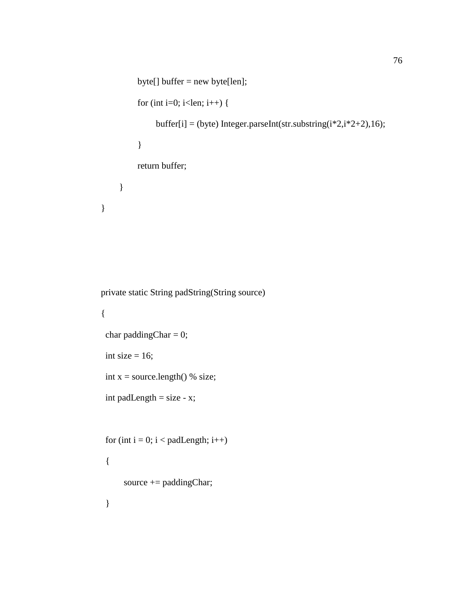```
 byte[] buffer = new byte[len];
          for (int i=0; i<len; i++) {
               buffer[i] = (byte) Integer.parseInt(str.substring(i*2,i*2+2),16);
           }
           return buffer;
      }
 }
```

```
 private static String padString(String source)
```

```
 {
char paddingChar = 0;
int size = 16;
int x = source.length() % size;int padLength = size - x;
for (int i = 0; i < padLength; i++)
  {
     source += paddingChar;
```
}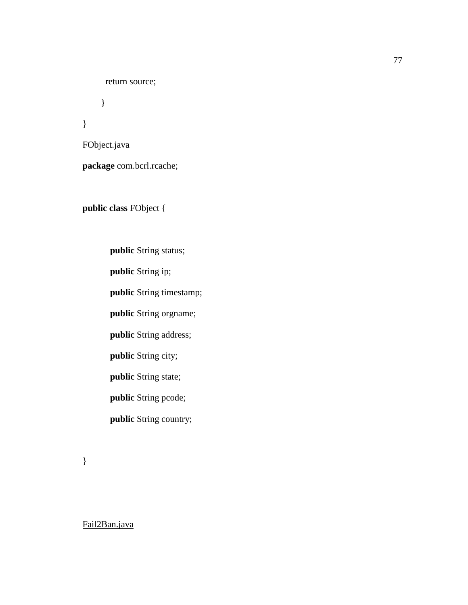return source;

}

FObject.java

}

**package** com.bcrl.rcache;

**public class** FObject {

**public** String status; **public** String ip; **public** String timestamp; **public** String orgname; **public** String address; **public** String city; **public** String state; **public** String pcode; **public** String country;

}

Fail2Ban.java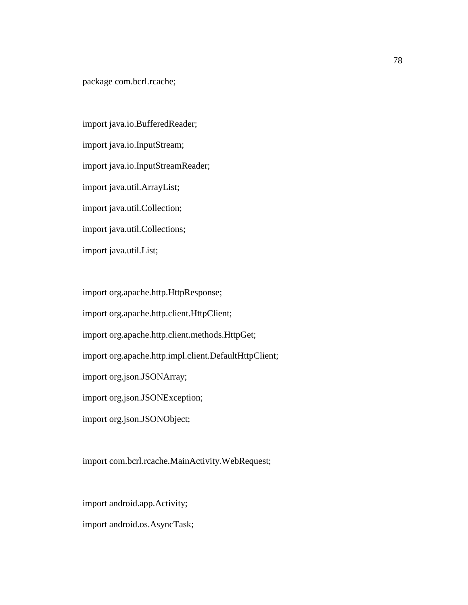package com.bcrl.rcache;

import java.io.BufferedReader; import java.io.InputStream; import java.io.InputStreamReader; import java.util.ArrayList; import java.util.Collection; import java.util.Collections; import java.util.List;

import org.apache.http.HttpResponse;

import org.apache.http.client.HttpClient;

import org.apache.http.client.methods.HttpGet;

import org.apache.http.impl.client.DefaultHttpClient;

import org.json.JSONArray;

import org.json.JSONException;

import org.json.JSONObject;

import com.bcrl.rcache.MainActivity.WebRequest;

import android.app.Activity; import android.os.AsyncTask;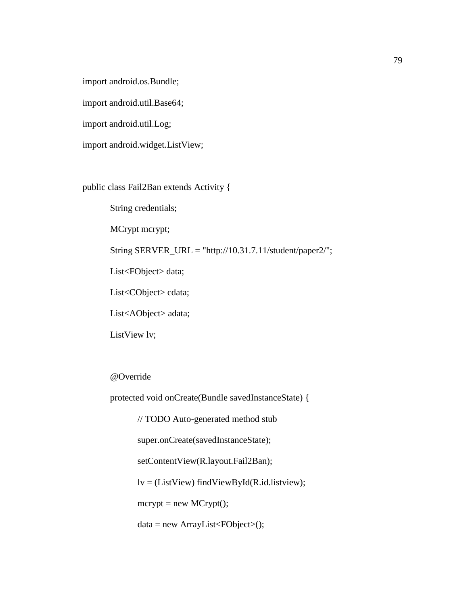import android.os.Bundle;

import android.util.Base64;

import android.util.Log;

import android.widget.ListView;

public class Fail2Ban extends Activity {

String credentials;

MCrypt mcrypt;

String SERVER\_URL = "http://10.31.7.11/student/paper2/";

List<FObject> data;

List<CObject> cdata;

List<AObject> adata;

ListView lv;

@Override

protected void onCreate(Bundle savedInstanceState) {

// TODO Auto-generated method stub

super.onCreate(savedInstanceState);

setContentView(R.layout.Fail2Ban);

 $lv = (ListView) findViewById(R.id. listview);$ 

 $mcrypt = new MCrypt$ ;

 $data = new ArrayList < FObject > ()$ ;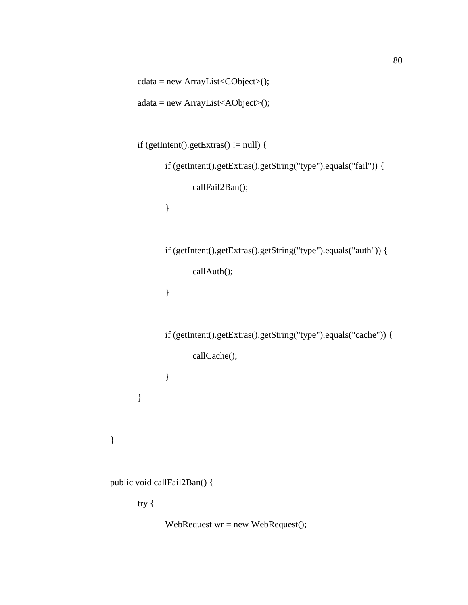```
adata = new ArrayList<AObject>();
       if (getIntent().getExtras() != null) {
               if (getIntent().getExtras().getString("type").equals("fail")) {
                      callFail2Ban();
               }
               if (getIntent().getExtras().getString("type").equals("auth")) {
                      callAuth();
               }
               if (getIntent().getExtras().getString("type").equals("cache")) {
                      callCache();
               }
       }
public void callFail2Ban() {
       try {
```
cdata = new ArrayList<CObject>();

WebRequest wr = new WebRequest();

}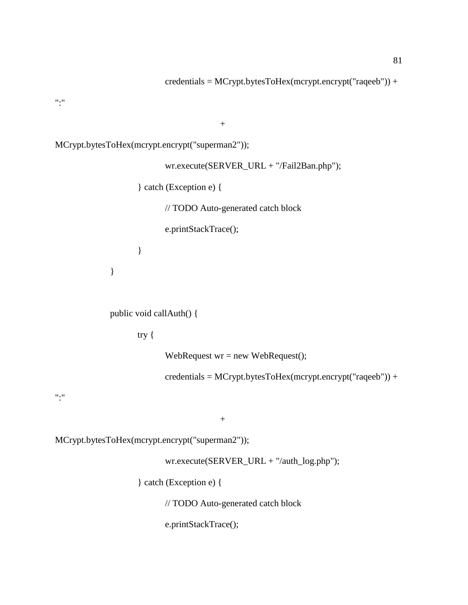credentials = MCrypt.bytesToHex(mcrypt.encrypt("raqeeb")) +

 $"$ :"

 $+$ 

MCrypt.bytesToHex(mcrypt.encrypt("superman2"));

wr.execute(SERVER\_URL + "/Fail2Ban.php"); } catch (Exception e) { // TODO Auto-generated catch block e.printStackTrace(); }

public void callAuth() {

try {

}

WebRequest wr = new WebRequest();

credentials = MCrypt.bytesToHex(mcrypt.encrypt("raqeeb")) +

 $"$ :"

 $\boldsymbol{+}$ 

MCrypt.bytesToHex(mcrypt.encrypt("superman2"));

wr.execute(SERVER\_URL + "/auth\_log.php");

} catch (Exception e) {

// TODO Auto-generated catch block

e.printStackTrace();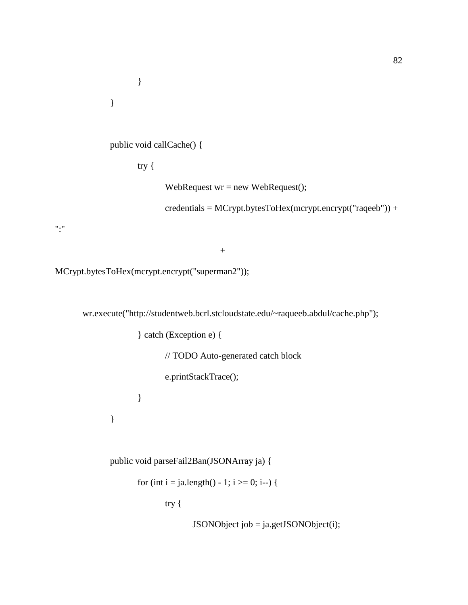}

```
public void callCache() {
```
try {

}

WebRequest wr = new WebRequest();

credentials = MCrypt.bytesToHex(mcrypt.encrypt("raqeeb")) +

 $"$ :"

 $^{+}$ 

MCrypt.bytesToHex(mcrypt.encrypt("superman2"));

wr.execute("http://studentweb.bcrl.stcloudstate.edu/~raqueeb.abdul/cache.php");

} catch (Exception e) {

// TODO Auto-generated catch block

e.printStackTrace();

}

}

public void parseFail2Ban(JSONArray ja) {

for (int i = ja.length() - 1; i >= 0; i--) {

try {

JSONObject job = ja.getJSONObject(i);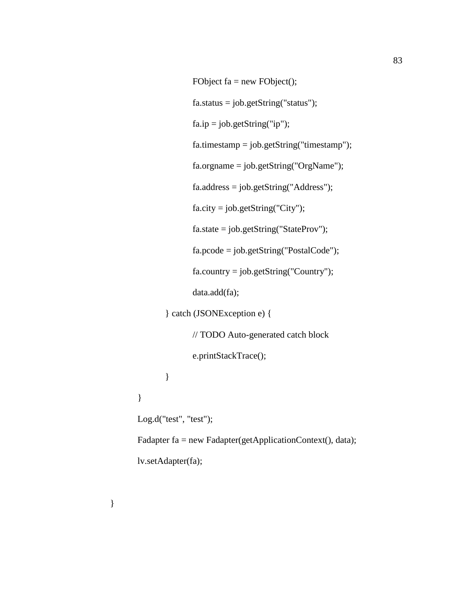```
FObject fa = new FObject();
              fa. status = job.getString("status");fa.jp = job.getString("ip");fa.timestamp = job.getString("timestamp");
              fa.orgname = job.getString("OrgName");
              fa.address = job.getString("Address");
              fa. city = job.getString("City");fa.state = job.getString("StateProv");
              fa.pcode = job.getString("PostalCode");
              fa.country = job.getString("Country");
              data.add(fa);
       } catch (JSONException e) {
              // TODO Auto-generated catch block
              e.printStackTrace();
       }
}
Log.d("test", "test");
Fadapter fa = new Fadapter(getApplicationContext(), data);
lv.setAdapter(fa);
```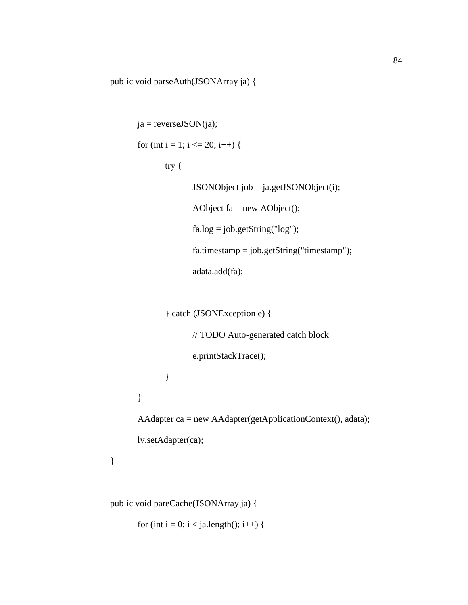public void parseAuth(JSONArray ja) {

```
ja = reverseJSON(ja);for (int i = 1; i <= 20; i++) {
       try {
               JSONObject job = ja.getJSONObject(i);
               AObject fa = new AObject();
               fa.log = job.getString("log");fa.timestamp = job.getString("timestamp");
               adata.add(fa);
```

```
} catch (JSONException e) {
```
// TODO Auto-generated catch block

e.printStackTrace();

}

}

AAdapter ca = new AAdapter(getApplicationContext(), adata);

lv.setAdapter(ca);

```
}
```
public void pareCache(JSONArray ja) {

for (int i = 0; i < ja.length(); i++) {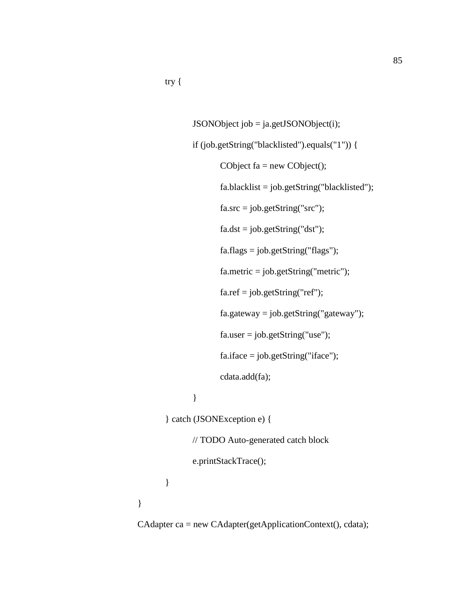```
JSONObject job = ja.getJSONObject(i);
       if (job.getString("blacklisted").equals("1")) {
              CObject fa = new CObject();
              fa.blacklist = job.getString("blacklisted");
               fa.src = job.getString("src");fa.dst = job.getString("dst");
              fa.flags = job.getString("flags");fa.metric = job.getString("metric");
              fa.ref = job.getString("ref");
               fa.gateway = job.getString("gateway");
              fa. user = job.getString("use");fa.iface = job.getString("iface");
               cdata.add(fa);
       }
} catch (JSONException e) {
       // TODO Auto-generated catch block
       e.printStackTrace();
```
}

}

CAdapter ca = new CAdapter(getApplicationContext(), cdata);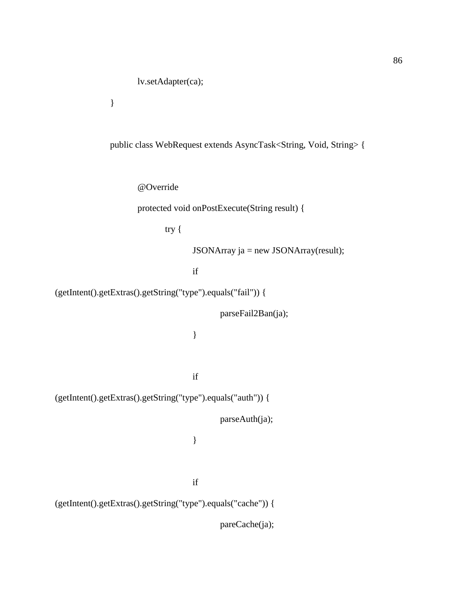}

public class WebRequest extends AsyncTask<String, Void, String> {

@Override

protected void onPostExecute(String result) {

try {

JSONArray ja = new JSONArray(result);

if

```
(getIntent().getExtras().getString("type").equals("fail")) {
```
parseFail2Ban(ja);

}

if

(getIntent().getExtras().getString("type").equals("auth")) {

parseAuth(ja);

}

if

(getIntent().getExtras().getString("type").equals("cache")) {

pareCache(ja);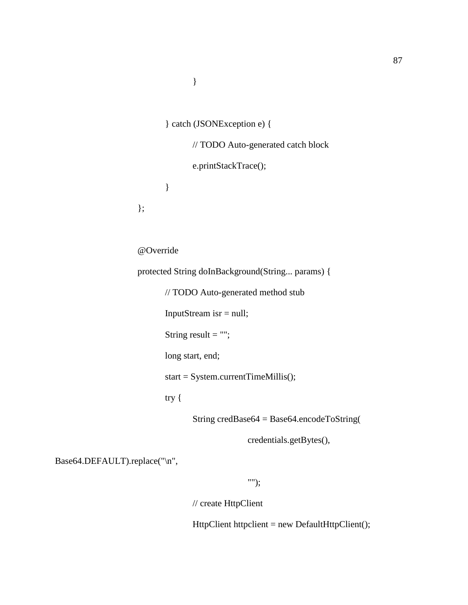```
} catch (JSONException e) {
```
// TODO Auto-generated catch block

e.printStackTrace();

}

};

@Override

protected String doInBackground(String... params) {

// TODO Auto-generated method stub

InputStream isr = null;

String result  $=$  "";

long start, end;

start = System.currentTimeMillis();

try {

String credBase64 = Base64.encodeToString(

credentials.getBytes(),

Base64.DEFAULT).replace("\n",

"");

// create HttpClient

HttpClient httpclient = new DefaultHttpClient();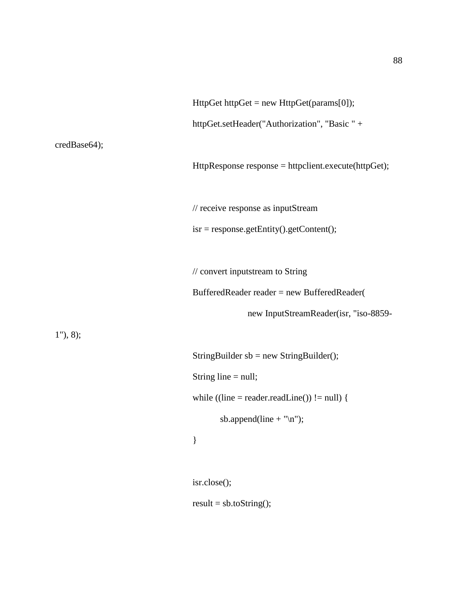|                          | $HttpGet httpGet = new HttpGet(params[0]);$          |
|--------------------------|------------------------------------------------------|
|                          | httpGet.setHeader("Authorization", "Basic " +        |
| credBase64);             |                                                      |
|                          | HttpResponse response = httpclient.execute(httpGet); |
|                          |                                                      |
|                          | // receive response as inputStream                   |
|                          | $is r = response.getEntity().getContent();$          |
|                          |                                                      |
|                          | // convert inputstream to String                     |
|                          | BufferedReader reader = new BufferedReader(          |
|                          |                                                      |
|                          | new InputStreamReader(isr, "iso-8859-                |
| $1^{\prime\prime}$ , 8); |                                                      |
|                          | StringBuilder $sb = new StringBuilder$ ;             |
|                          | String line $=$ null;                                |
|                          | while $($ (line = reader.readLine()) != null) {      |
|                          | sb.append(line + " $\langle n'' \rangle$ ;           |
|                          | }                                                    |
|                          |                                                      |
|                          | isr.close();                                         |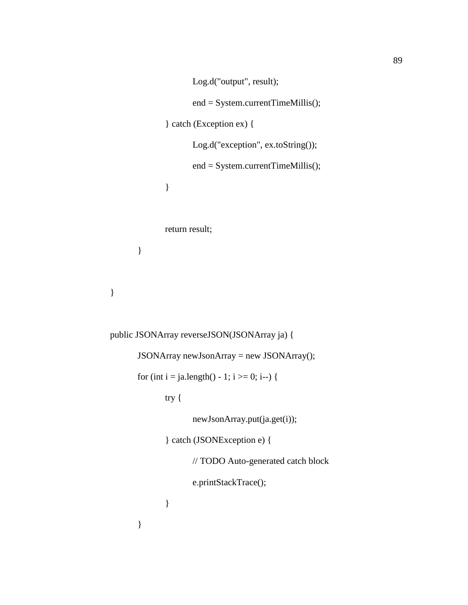```
Log.d("output", result);
              end = System.currentTimeMillis();
       } catch (Exception ex) {
              Log.d("exception", ex.toString());
              end = System.currentTimeMillis();
       }
       return result;
}
```

```
}
```

```
public JSONArray reverseJSON(JSONArray ja) {
       JSONArray newJsonArray = new JSONArray();
       for (int i = ja.length() - 1; i >= 0; i--) {
              try {
                     newJsonArray.put(ja.get(i));
              } catch (JSONException e) {
                     // TODO Auto-generated catch block
                     e.printStackTrace();
              }
       }
```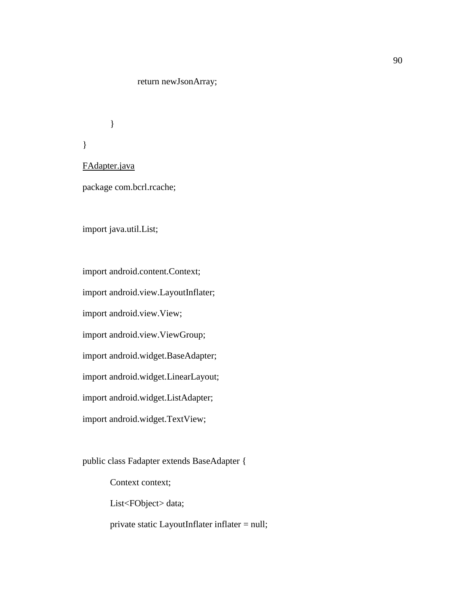## return newJsonArray;

}

FAdapter.java

}

package com.bcrl.rcache;

import java.util.List;

import android.content.Context;

import android.view.LayoutInflater;

import android.view.View;

import android.view.ViewGroup;

import android.widget.BaseAdapter;

import android.widget.LinearLayout;

import android.widget.ListAdapter;

import android.widget.TextView;

public class Fadapter extends BaseAdapter {

Context context;

List<FObject> data;

private static LayoutInflater inflater = null;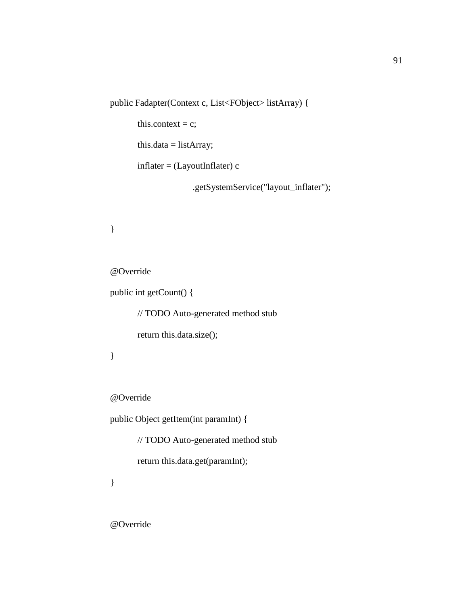public Fadapter(Context c, List<FObject> listArray) {

this.context =  $c$ ;

this.data =  $listArray;$ 

 $inflater = (LayoutInflater) c$ 

.getSystemService("layout\_inflater");

}

@Override

public int getCount() {

// TODO Auto-generated method stub

return this.data.size();

}

@Override

public Object getItem(int paramInt) {

// TODO Auto-generated method stub

return this.data.get(paramInt);

}

@Override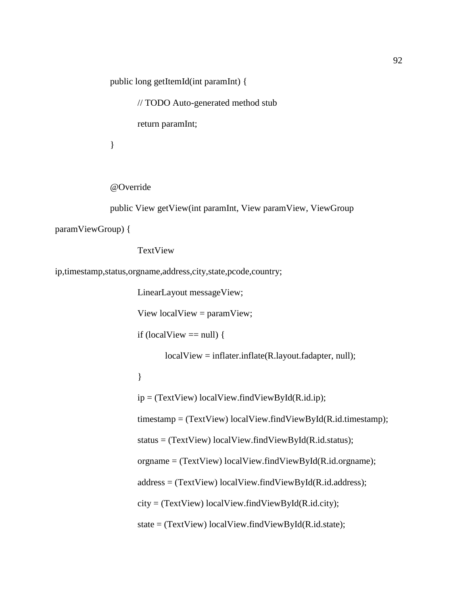public long getItemId(int paramInt) {

// TODO Auto-generated method stub

return paramInt;

}

@Override

public View getView(int paramInt, View paramView, ViewGroup

paramViewGroup) {

TextView

ip,timestamp,status,orgname,address,city,state,pcode,country;

LinearLayout messageView;

View localView = paramView;

if (localView  $==$  null) {

localView = inflater.inflate(R.layout.fadapter, null);

}

 $ip = (TextView) localView.findViewById(R.id.jp);$ 

timestamp = (TextView) localView.findViewById(R.id.timestamp);

status = (TextView) localView.findViewById(R.id.status);

orgname = (TextView) localView.findViewById(R.id.orgname);

address = (TextView) localView.findViewById(R.id.address);

city = (TextView) localView.findViewById(R.id.city);

state = (TextView) localView.findViewById(R.id.state);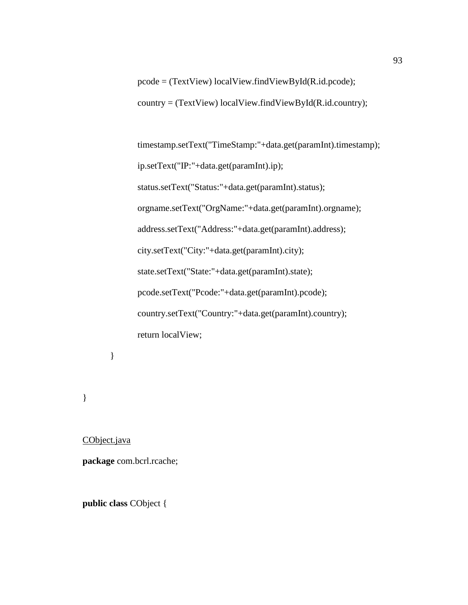pcode = (TextView) localView.findViewById(R.id.pcode); country = (TextView) localView.findViewById(R.id.country);

timestamp.setText("TimeStamp:"+data.get(paramInt).timestamp); ip.setText("IP:"+data.get(paramInt).ip); status.setText("Status:"+data.get(paramInt).status); orgname.setText("OrgName:"+data.get(paramInt).orgname); address.setText("Address:"+data.get(paramInt).address); city.setText("City:"+data.get(paramInt).city); state.setText("State:"+data.get(paramInt).state); pcode.setText("Pcode:"+data.get(paramInt).pcode); country.setText("Country:"+data.get(paramInt).country); return localView;

}

}

CObject.java

**package** com.bcrl.rcache;

**public class** CObject {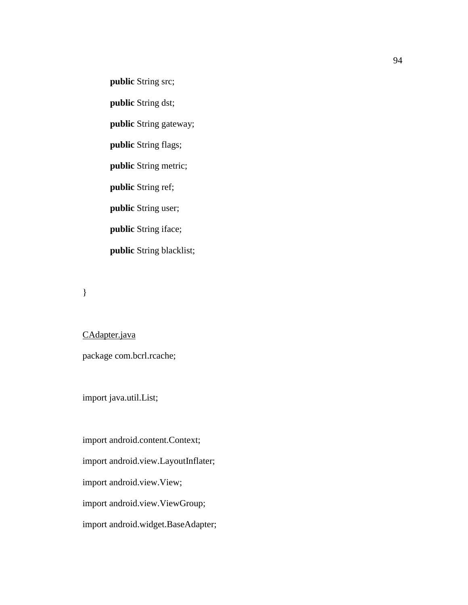**public** String src;

**public** String dst;

**public** String gateway;

**public** String flags;

**public** String metric;

**public** String ref;

**public** String user;

**public** String iface;

**public** String blacklist;

}

CAdapter.java package com.bcrl.rcache;

import java.util.List;

import android.content.Context;

import android.view.LayoutInflater;

import android.view.View;

import android.view.ViewGroup;

import android.widget.BaseAdapter;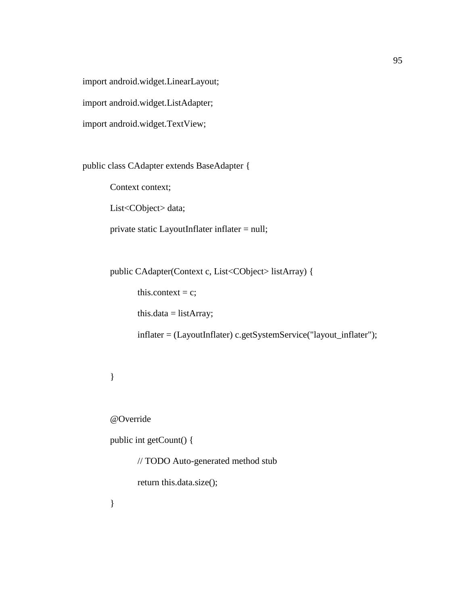import android.widget.LinearLayout;

import android.widget.ListAdapter;

import android.widget.TextView;

public class CAdapter extends BaseAdapter {

Context context;

List<CObject> data;

private static LayoutInflater inflater = null;

public CAdapter(Context c, List<CObject> listArray) {

this.context =  $c$ ;

this.data = listArray;

inflater = (LayoutInflater) c.getSystemService("layout\_inflater");

### }

@Override

public int getCount() {

// TODO Auto-generated method stub

return this.data.size();

}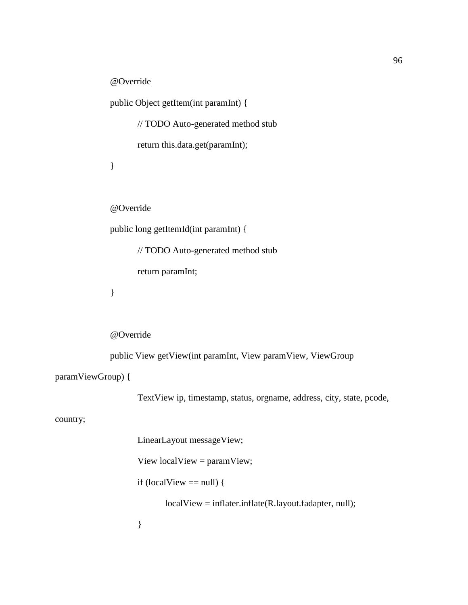@Override

public Object getItem(int paramInt) {

// TODO Auto-generated method stub

return this.data.get(paramInt);

}

@Override

public long getItemId(int paramInt) {

// TODO Auto-generated method stub

return paramInt;

}

@Override

public View getView(int paramInt, View paramView, ViewGroup

paramViewGroup) {

TextView ip, timestamp, status, orgname, address, city, state, pcode,

country;

LinearLayout messageView; View localView = paramView; if (localView  $==$  null) { localView = inflater.inflate(R.layout.fadapter, null); }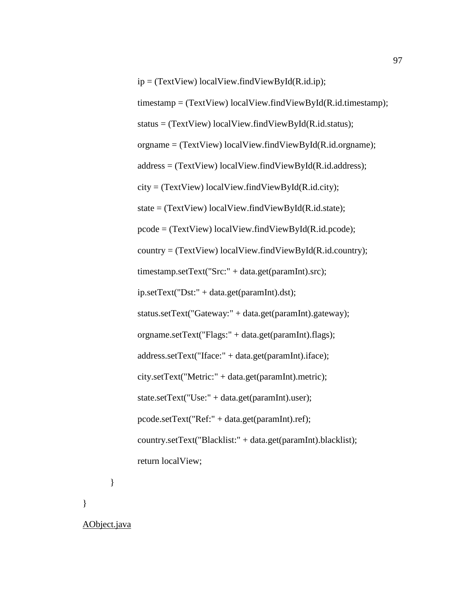ip = (TextView) localView.findViewById(R.id.ip);

timestamp = (TextView) localView.findViewById(R.id.timestamp);

status = (TextView) localView.findViewById(R.id.status);

orgname = (TextView) localView.findViewById(R.id.orgname);

address = (TextView) localView.findViewById(R.id.address);

 $city = (TextView) localView.findViewById(R.id.city);$ 

state = (TextView) localView.findViewById(R.id.state);

pcode = (TextView) localView.findViewById(R.id.pcode);

country = (TextView) localView.findViewById(R.id.country);

timestamp.setText("Src:" + data.get(paramInt).src);

ip.setText("Dst:" + data.get(paramInt).dst);

status.setText("Gateway:" + data.get(paramInt).gateway);

orgname.setText("Flags:" + data.get(paramInt).flags);

address.setText("Iface:" + data.get(paramInt).iface);

city.setText("Metric:" + data.get(paramInt).metric);

state.setText("Use:" + data.get(paramInt).user);

pcode.setText("Ref:" + data.get(paramInt).ref);

country.setText("Blacklist:" + data.get(paramInt).blacklist);

return localView;

}

}

AObject.java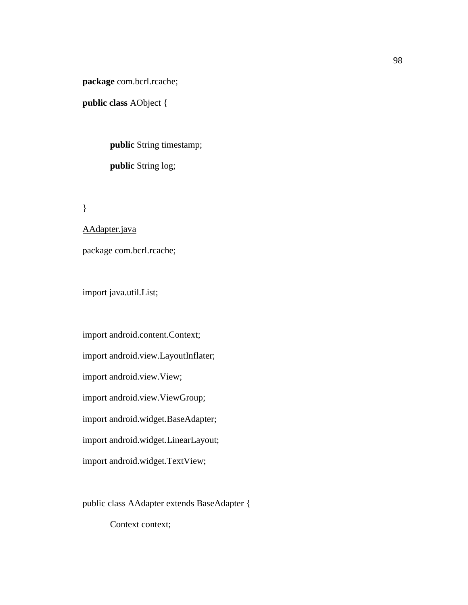**package** com.bcrl.rcache;

**public class** AObject {

**public** String timestamp; **public** String log;

}

AAdapter.java

package com.bcrl.rcache;

import java.util.List;

import android.content.Context; import android.view.LayoutInflater; import android.view.View; import android.view.ViewGroup; import android.widget.BaseAdapter; import android.widget.LinearLayout; import android.widget.TextView;

public class AAdapter extends BaseAdapter {

Context context;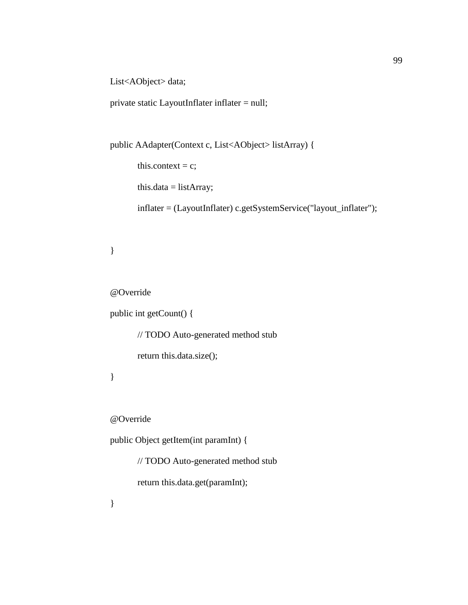List<AObject> data;

private static LayoutInflater inflater = null;

```
public AAdapter(Context c, List<AObject> listArray) {
```
this.context =  $c$ ;

this.data = listArray;

inflater = (LayoutInflater) c.getSystemService("layout\_inflater");

# }

@Override

public int getCount() {

// TODO Auto-generated method stub return this.data.size();

# }

@Override

public Object getItem(int paramInt) {

// TODO Auto-generated method stub

return this.data.get(paramInt);

}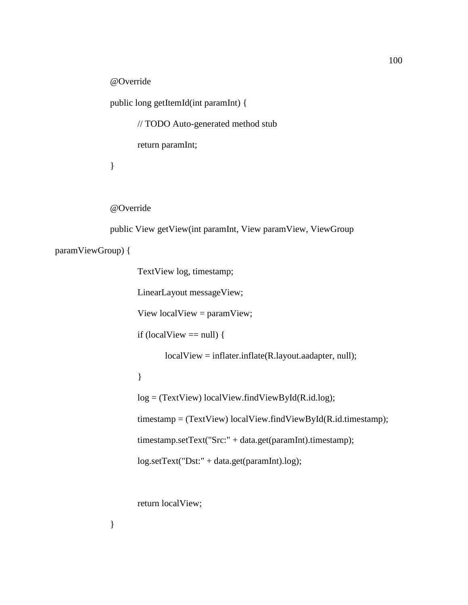@Override

public long getItemId(int paramInt) {

// TODO Auto-generated method stub

return paramInt;

}

@Override

public View getView(int paramInt, View paramView, ViewGroup

paramViewGroup) {

TextView log, timestamp;

LinearLayout messageView;

View localView = paramView;

```
if (localView == null) {
```
localView = inflater.inflate(R.layout.aadapter, null);

}

log = (TextView) localView.findViewById(R.id.log);

timestamp = (TextView) localView.findViewById(R.id.timestamp);

timestamp.setText("Src:" + data.get(paramInt).timestamp);

log.setText("Dst:" + data.get(paramInt).log);

return localView;

}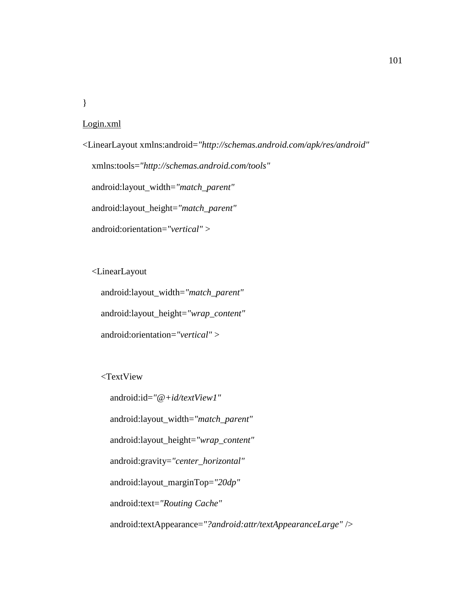}

### Login.xml

<LinearLayout xmlns:android=*"http://schemas.android.com/apk/res/android"* xmlns:tools=*"http://schemas.android.com/tools"* android:layout\_width=*"match\_parent"* android:layout\_height=*"match\_parent"* android:orientation=*"vertical"* >

<LinearLayout

android:layout\_width=*"match\_parent"*

android:layout\_height=*"wrap\_content"*

android:orientation=*"vertical"* >

<TextView

 android:id=*"@+id/textView1"* android:layout\_width=*"match\_parent"* android:layout\_height=*"wrap\_content"* android:gravity=*"center\_horizontal"* android:layout\_marginTop=*"20dp"* android:text=*"Routing Cache"* android:textAppearance=*"?android:attr/textAppearanceLarge"* />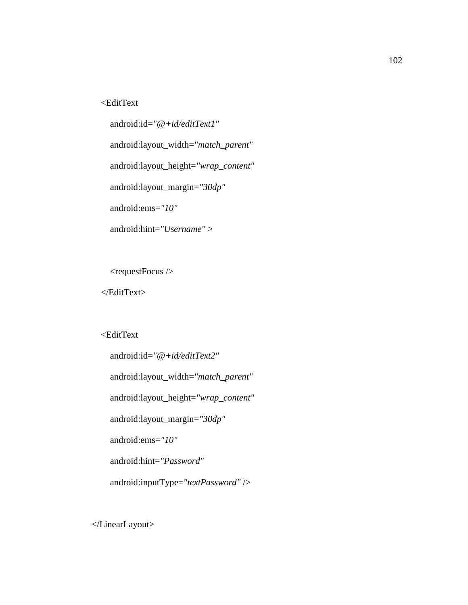## <EditText

 android:id=*"@+id/editText1"* android:layout\_width=*"match\_parent"* android:layout\_height=*"wrap\_content"* android:layout\_margin=*"30dp"* android:ems=*"10"* android:hint=*"Username"* >

<requestFocus />

</EditText>

#### <EditText

```
 android:id="@+id/editText2"
 android:layout_width="match_parent"
 android:layout_height="wrap_content"
 android:layout_margin="30dp"
 android:ems="10"
 android:hint="Password"
 android:inputType="textPassword" />
```
</LinearLayout>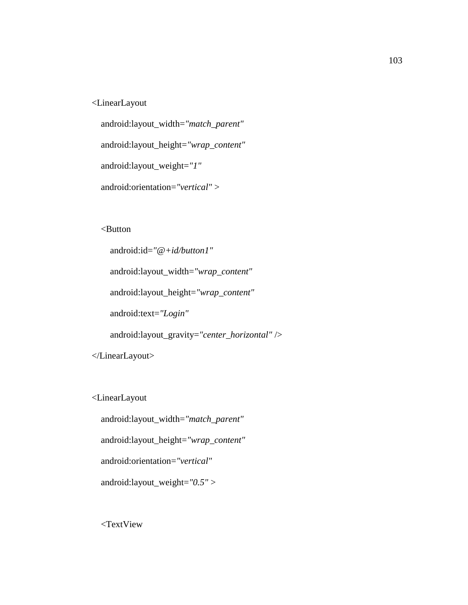## <LinearLayout

```
 android:layout_width="match_parent"
 android:layout_height="wrap_content"
 android:layout_weight="1"
```

```
 android:orientation="vertical" >
```
<Button

```
 android:id="@+id/button1"
     android:layout_width="wrap_content"
     android:layout_height="wrap_content"
     android:text="Login"
     android:layout_gravity="center_horizontal" />
 </LinearLayout>
```
<LinearLayout

android:layout\_width=*"match\_parent"*

android:layout\_height=*"wrap\_content"*

android:orientation=*"vertical"*

android:layout\_weight=*"0.5"* >

<TextView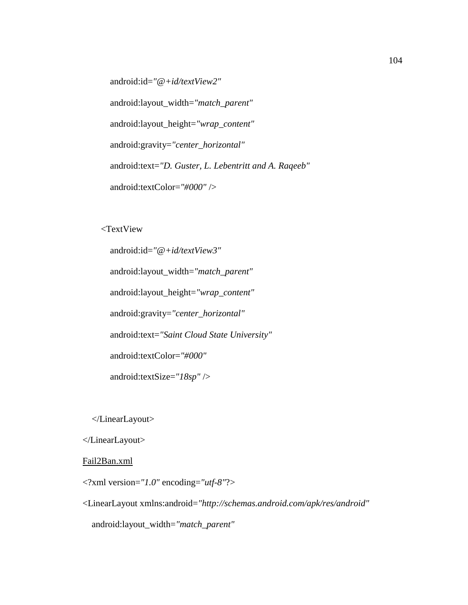android:id=*"@+id/textView2"*

android:layout\_width=*"match\_parent"*

android:layout\_height=*"wrap\_content"*

android:gravity=*"center\_horizontal"*

android:text=*"D. Guster, L. Lebentritt and A. Raqeeb"*

android:textColor=*"#000"* />

<TextView

 android:id=*"@+id/textView3"* android:layout\_width=*"match\_parent"* android:layout\_height=*"wrap\_content"* android:gravity=*"center\_horizontal"* android:text=*"Saint Cloud State University"* android:textColor=*"#000"* android:textSize=*"18sp"* />

</LinearLayout>

</LinearLayout>

#### Fail2Ban.xml

<?xml version=*"1.0"* encoding=*"utf-8"*?>

<LinearLayout xmlns:android=*"http://schemas.android.com/apk/res/android"* android:layout\_width=*"match\_parent"*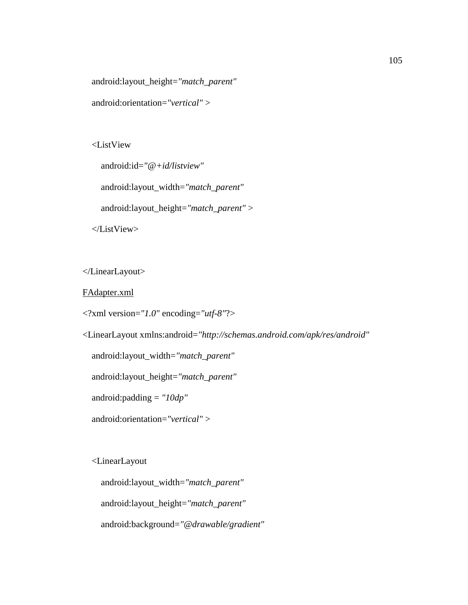android:layout\_height=*"match\_parent"*

android:orientation=*"vertical"* >

<ListView

 android:id=*"@+id/listview"* android:layout\_width=*"match\_parent"* android:layout\_height=*"match\_parent"* > </ListView>

</LinearLayout>

FAdapter.xml

<?xml version=*"1.0"* encoding=*"utf-8"*?>

<LinearLayout xmlns:android=*"http://schemas.android.com/apk/res/android"*

android:layout\_width=*"match\_parent"*

android:layout\_height=*"match\_parent"*

android:padding = *"10dp"*

android:orientation=*"vertical"* >

<LinearLayout

android:layout\_width=*"match\_parent"*

android:layout\_height=*"match\_parent"*

android:background=*"@drawable/gradient"*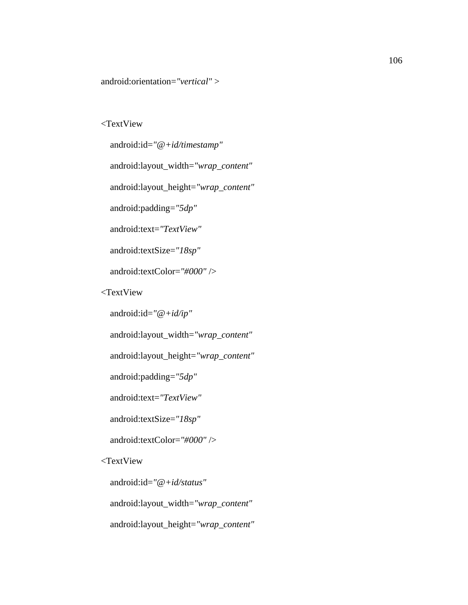android:orientation=*"vertical"* >

### <TextView

 android:id=*"@+id/timestamp"* android:layout\_width=*"wrap\_content"* android:layout\_height=*"wrap\_content"* android:padding=*"5dp"* android:text=*"TextView"* android:textSize=*"18sp"* android:textColor=*"#000"* /> <TextView android:id=*"@+id/ip"* android:layout\_width=*"wrap\_content"* android:layout\_height=*"wrap\_content"* android:padding=*"5dp"* android:text=*"TextView"*

android:textSize=*"18sp"*

android:textColor=*"#000"* />

### <TextView

android:id=*"@+id/status"*

android:layout\_width=*"wrap\_content"*

android:layout\_height=*"wrap\_content"*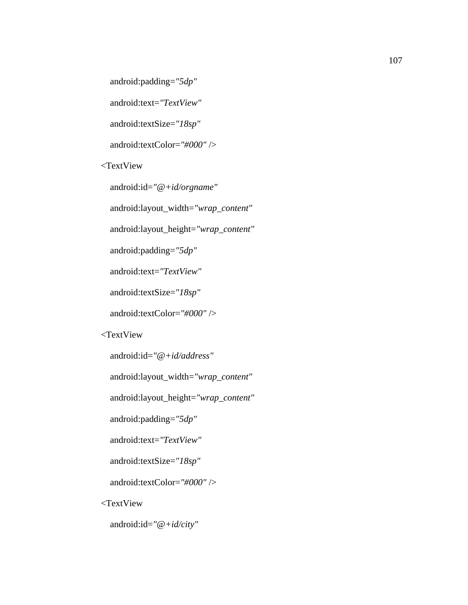android:padding=*"5dp"*

android:text=*"TextView"*

android:textSize=*"18sp"*

android:textColor=*"#000"* />

<TextView

android:id=*"@+id/orgname"*

android:layout\_width=*"wrap\_content"*

android:layout\_height=*"wrap\_content"*

android:padding=*"5dp"*

android:text=*"TextView"*

android:textSize=*"18sp"*

android:textColor=*"#000"* />

#### <TextView

android:id=*"@+id/address"*

android:layout\_width=*"wrap\_content"*

android:layout\_height=*"wrap\_content"*

android:padding=*"5dp"*

android:text=*"TextView"*

android:textSize=*"18sp"*

android:textColor=*"#000"* />

<TextView

android:id=*"@+id/city"*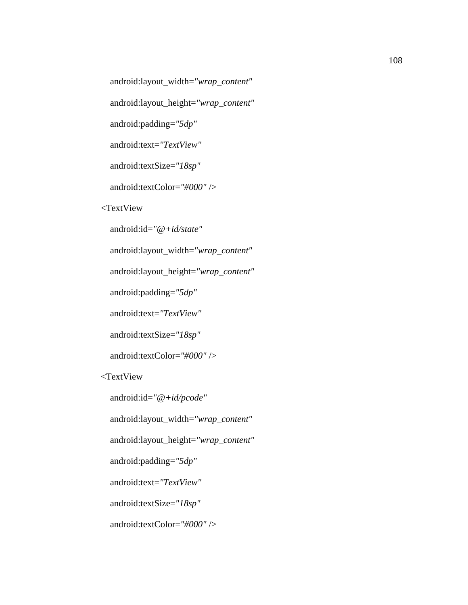android:layout\_width=*"wrap\_content"*

android:layout\_height=*"wrap\_content"*

android:padding=*"5dp"*

android:text=*"TextView"*

android:textSize=*"18sp"*

android:textColor=*"#000"* />

<TextView

android:id=*"@+id/state"*

android:layout\_width=*"wrap\_content"*

android:layout\_height=*"wrap\_content"*

android:padding=*"5dp"*

android:text=*"TextView"*

android:textSize=*"18sp"*

android:textColor=*"#000"* />

<TextView

android:id=*"@+id/pcode"*

android:layout\_width=*"wrap\_content"*

android:layout\_height=*"wrap\_content"*

android:padding=*"5dp"*

android:text=*"TextView"*

android:textSize=*"18sp"*

android:textColor=*"#000"* />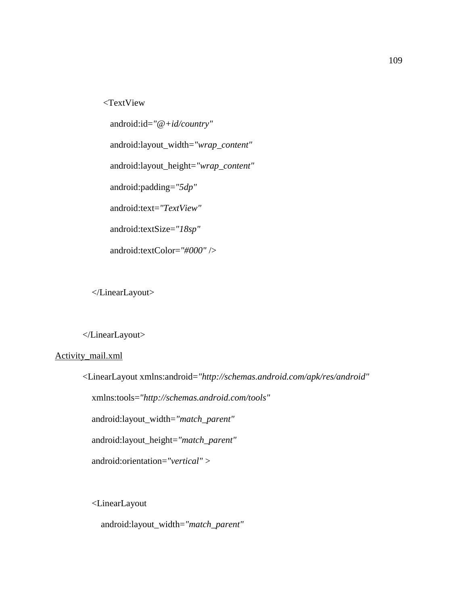<TextView

 android:id=*"@+id/country"* android:layout\_width=*"wrap\_content"* android:layout\_height=*"wrap\_content"* android:padding=*"5dp"* android:text=*"TextView"* android:textSize=*"18sp"* android:textColor=*"#000"* />

</LinearLayout>

</LinearLayout>

#### Activity\_mail.xml

```
<LinearLayout xmlns:android="http://schemas.android.com/apk/res/android"
   xmlns:tools="http://schemas.android.com/tools"
   android:layout_width="match_parent"
   android:layout_height="match_parent"
   android:orientation="vertical" >
```
<LinearLayout

```
 android:layout_width="match_parent"
```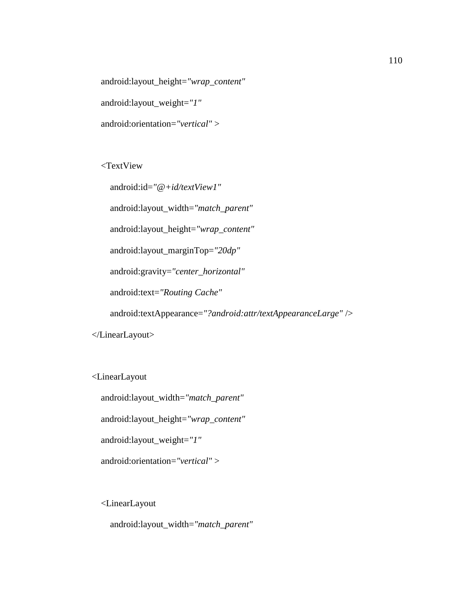android:layout\_height=*"wrap\_content"* android:layout\_weight=*"1"*

android:orientation=*"vertical"* >

<TextView

 android:id=*"@+id/textView1"* android:layout\_width=*"match\_parent"* android:layout\_height=*"wrap\_content"* android:layout\_marginTop=*"20dp"* android:gravity=*"center\_horizontal"*

android:text=*"Routing Cache"*

android:textAppearance=*"?android:attr/textAppearanceLarge"* />

</LinearLayout>

<LinearLayout

android:layout\_width=*"match\_parent"*

android:layout\_height=*"wrap\_content"*

android:layout\_weight=*"1"*

android:orientation=*"vertical"* >

<LinearLayout

android:layout\_width=*"match\_parent"*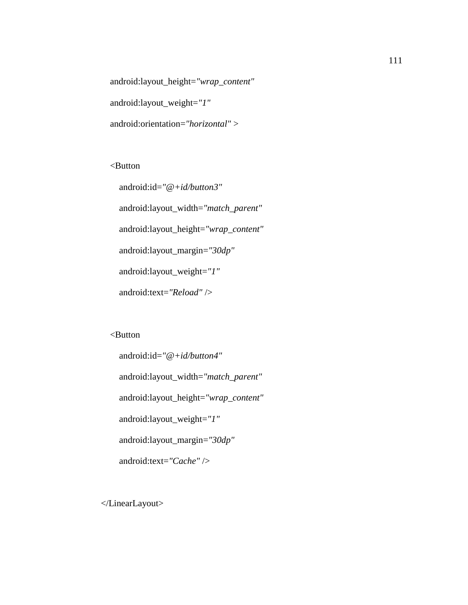android:layout\_height=*"wrap\_content"* android:layout\_weight=*"1"* android:orientation=*"horizontal"* >

<Button

 android:id=*"@+id/button3"* android:layout\_width=*"match\_parent"* android:layout\_height=*"wrap\_content"* android:layout\_margin=*"30dp"* android:layout\_weight=*"1"* android:text=*"Reload"* />

# <Button

```
 android:id="@+id/button4"
 android:layout_width="match_parent"
 android:layout_height="wrap_content"
 android:layout_weight="1"
 android:layout_margin="30dp"
 android:text="Cache" />
```
</LinearLayout>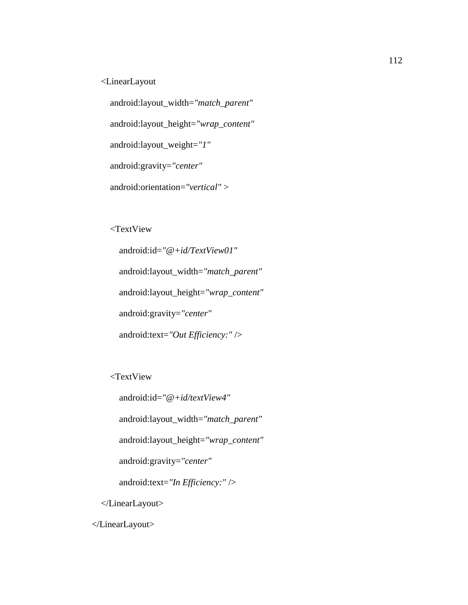<LinearLayout

 android:layout\_width=*"match\_parent"* android:layout\_height=*"wrap\_content"* android:layout\_weight=*"1"* android:gravity=*"center"*

android:orientation=*"vertical"* >

<TextView

 android:id=*"@+id/TextView01"* android:layout\_width=*"match\_parent"* android:layout\_height=*"wrap\_content"* android:gravity=*"center"* android:text=*"Out Efficiency:"* />

<TextView

 android:id=*"@+id/textView4"* android:layout\_width=*"match\_parent"* android:layout\_height=*"wrap\_content"* android:gravity=*"center"* android:text=*"In Efficiency:"* /> </LinearLayout>

</LinearLayout>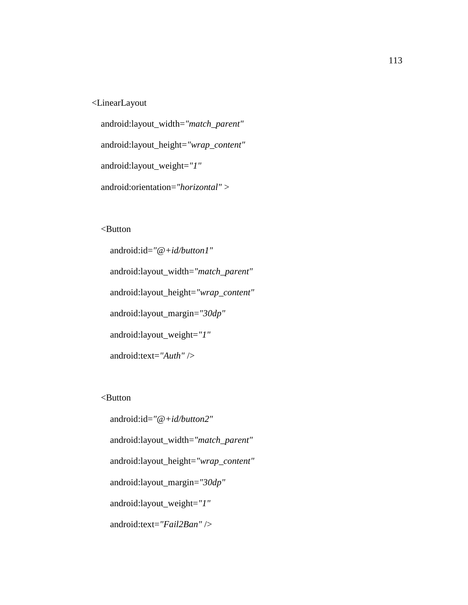## <LinearLayout

 android:layout\_width=*"match\_parent"* android:layout\_height=*"wrap\_content"* android:layout\_weight=*"1"* android:orientation=*"horizontal"* >

# <Button

 android:id=*"@+id/button1"* android:layout\_width=*"match\_parent"* android:layout\_height=*"wrap\_content"* android:layout\_margin=*"30dp"* android:layout\_weight=*"1"* android:text=*"Auth"* />

<Button

 android:id=*"@+id/button2"* android:layout\_width=*"match\_parent"* android:layout\_height=*"wrap\_content"* android:layout\_margin=*"30dp"* android:layout\_weight=*"1"* android:text=*"Fail2Ban"* />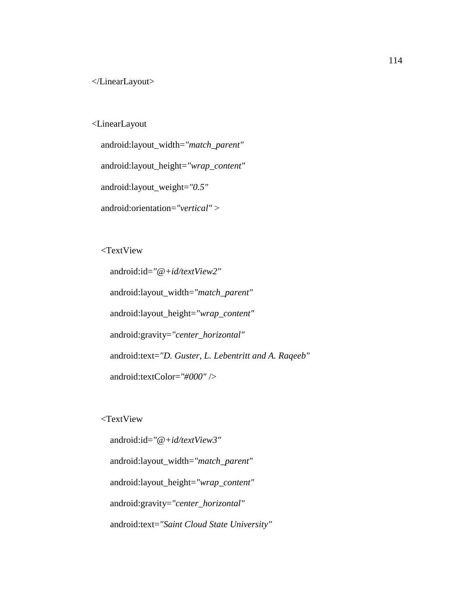### <LinearLayout

 android:layout\_width=*"match\_parent"* android:layout\_height=*"wrap\_content"* android:layout\_weight=*"0.5"* android:orientation=*"vertical"* >

<TextView

 android:id=*"@+id/textView2"* android:layout\_width=*"match\_parent"* android:layout\_height=*"wrap\_content"* android:gravity=*"center\_horizontal"* android:text=*"D. Guster, L. Lebentritt and A. Raqeeb"* android:textColor=*"#000"* />

<TextView

 android:id=*"@+id/textView3"* android:layout\_width=*"match\_parent"* android:layout\_height=*"wrap\_content"* android:gravity=*"center\_horizontal"* android:text=*"Saint Cloud State University"*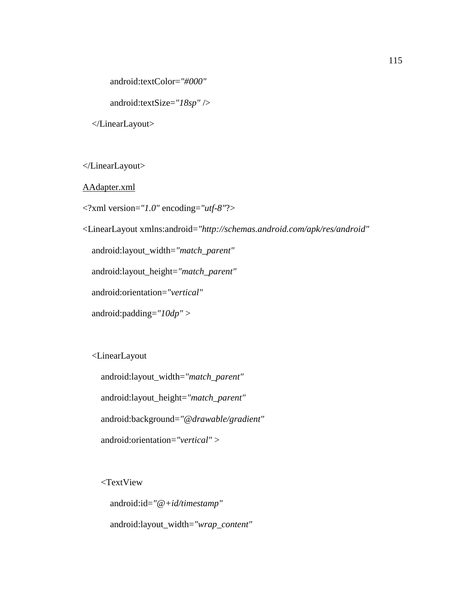android:textColor=*"#000"*

android:textSize=*"18sp"* />

</LinearLayout>

</LinearLayout>

AAdapter.xml

<?xml version=*"1.0"* encoding=*"utf-8"*?>

<LinearLayout xmlns:android=*"http://schemas.android.com/apk/res/android"*

android:layout\_width=*"match\_parent"*

android:layout\_height=*"match\_parent"*

android:orientation=*"vertical"*

android:padding=*"10dp"* >

<LinearLayout

 android:layout\_width=*"match\_parent"* android:layout\_height=*"match\_parent"* android:background=*"@drawable/gradient"* android:orientation=*"vertical"* >

<TextView

 android:id=*"@+id/timestamp"* android:layout\_width=*"wrap\_content"*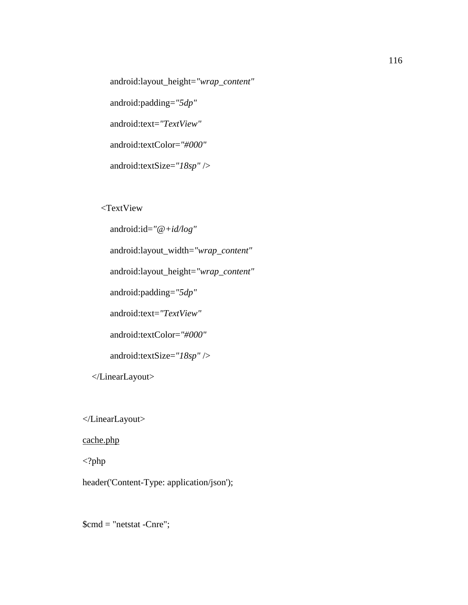android:layout\_height=*"wrap\_content"* android:padding=*"5dp"* android:text=*"TextView"* android:textColor=*"#000"* android:textSize=*"18sp"* />

<TextView

android:id=*"@+id/log"*

android:layout\_width=*"wrap\_content"*

android:layout\_height=*"wrap\_content"*

android:padding=*"5dp"*

android:text=*"TextView"*

android:textColor=*"#000"*

android:textSize=*"18sp"* />

</LinearLayout>

</LinearLayout>

cache.php

<?php

header('Content-Type: application/json');

\$cmd = "netstat -Cnre";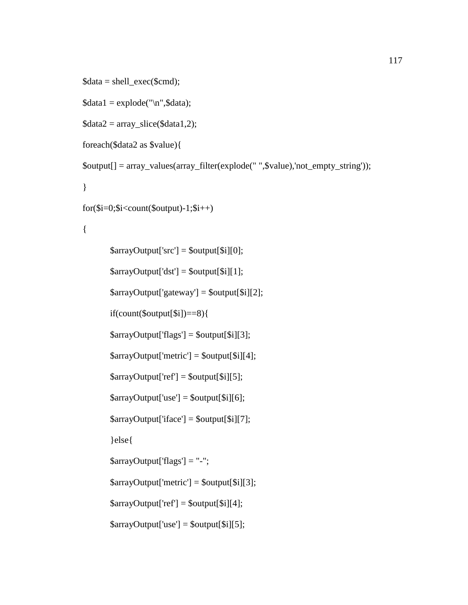```
\delta data = shell\_exec(\deltacmd);\delta \text{data1} = \text{explode("n",\delta \text{data})};\delta \text{data2} = \text{array\_slice}(\delta \text{data1,2});foreach($data2 as $value){
$output[] = array_values(array_filter(explode(" ",$value),'not_empty_string'));
\}for(\text{Si}=0;\text{Si}\le count(\text{South})-1;\text{Si}++)\{\text{SarrayOutput}['src'] = \text{South[$i][0]};\text{SarrayOutput}[\text{dst}^{\dagger}] = \text{SouthU}[\text{Si}][1];\text{SarrayOutput}[\text{gateway'}] = \text{South[Si][2]};if(count($output[$i])==8){
          \text{SarrayOutput}[\text{flags'}] = \text{South[Si][3]};\text{SarrayOutput}[\text{'}metric'] = \text{Soutput}[\text{Si}][4];\text{SarrayOutput}['ref] = \text{South[$i][5];}\text{SarrayOutput}[\text{'use'}] = \text{South[Si][6]};\text{SarrayOutput}[\text{`iface'}] = \text{Soutput}[\text{`s'}][7];\}else\{\text{SarrayOutput} ['flags'] = "-";
          \text{SarrayOutput}[\text{metric'}] = \text{South}[\text{Sil}][3];\text{SarrayOutput}['ref] = \text{South[$i][4]};\text{SarrayOutput}[\text{'use'}] = \text{South[Si][5]};
```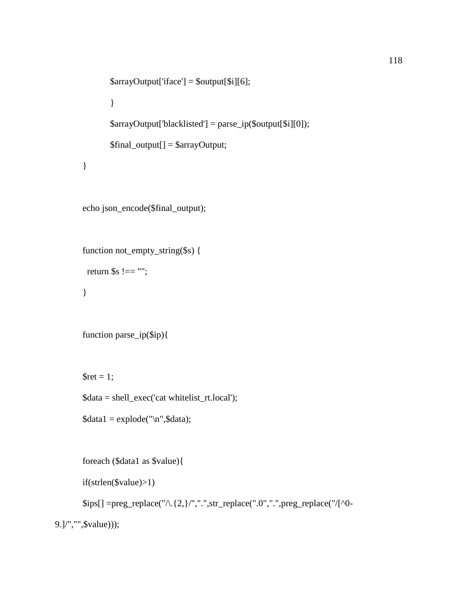```
$arrayOutput['iface'] = $output[$i][6];
         }
        \text{SarrayOutput}[\text{blacklisted'}] = \text{parse\_ip}(\text{South}[\$i][0]);$final_output[] = $arrayOutput;
}
```
echo json\_encode(\$final\_output);

```
function not_empty_string($s) {
```
return  $s = 2$ ";

}

```
function parse_ip($ip){
```
 $\text{Sret} = 1$ ;

\$data = shell\_exec('cat whitelist\_rt.local');

```
\delta data1 = \explode("n", \delta data);
```
foreach (\$data1 as \$value){

if(strlen(\$value)>1)

 $\text{Sps}[]=\text{preg\_replace}(\sqrt{2}, \{2\}, \sqrt{\frac{1}{2}}, \text{str\_replace}(\sqrt{\frac{1}{2}}, \sqrt{\frac{1}{2}}, \text{preg\_replace}(\sqrt{\frac{1}{2}})$ 

```
9.]/","",$value)));
```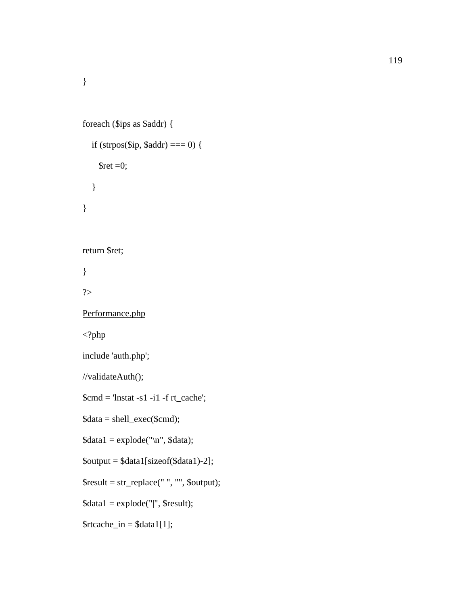}

```
foreach ($ips as $addr) {
   if (strpos($ip, $addr) === 0) {
      \text{Sret} = 0; }
}
return $ret;
} 
?>
Performance.php
<?php
include 'auth.php';
//validateAuth();
$cmd = 'Instat -s1 -i1 -f rt\_cache';\delta data = shell\_exec(\deltacmd);\delta\text{data1} = \text{explode}(\text{m}, \delta\text{data});$output = $data1[sizeof($data1)-2];
$result = str_replace(" ", "", $output);
\delta \text{data1} = \text{explode}("|", \text{Sresult});\frac{\text{strcache}\_{\text{in}} = \text{Sdata1}[1];}{\text{strata1}}
```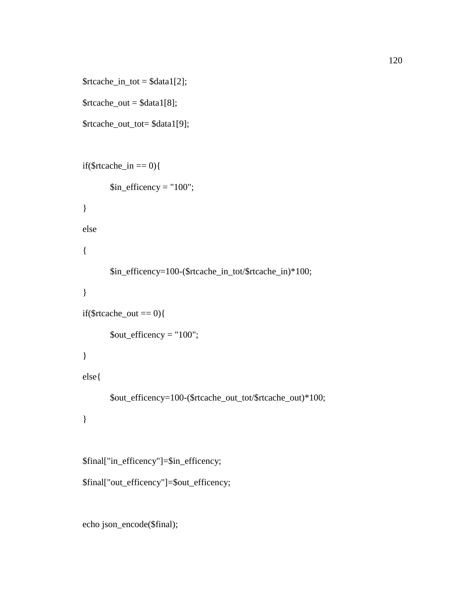```
\frac{\text{strcache}\_{\text{in}\_\text{tot}}}{\text{stat1}[2]};
```

```
\text{Strcache\_out} = \text{Sdata1[8]};
```

```
$rtcache_out_tot= $data1[9];
```

```
if($rtcache_in == 0){
       \sin_{\text{efficiency}} = "100";\}else
\{$in_efficency=100-($rtcache_in_tot/$rtcache_in)*100;
\big\}if($rtcache_out == 0){
       \text{South\_efficiency} = "100";\}else{
       $out_efficency=100-($rtcache_out_tot/$rtcache_out)*100;
\}$final["in_efficency"]=$in_efficency;
$final["out_efficency"]=$out_efficency;
```
echo json\_encode(\$final);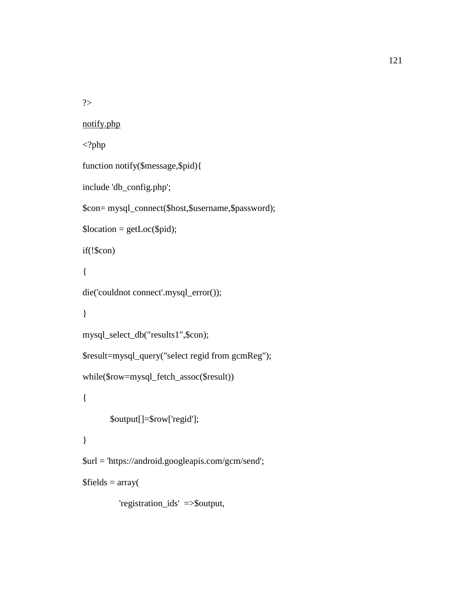?>

```
notify.php
<?php
function notify($message,$pid){
include 'db_config.php';
$con= mysql_connect($host,$username,$password);
\text{Slocation} = \text{getLoc}(\text{Spid});
if(!$con)
{
die('couldnot connect'.mysql_error());
}
mysql_select_db("results1",$con);
$result=mysql_query("select regid from gcmReg");
while($row=mysql_fetch_assoc($result))
{
       $output[]=$row['regid'];
}
$url = 'https://android.googleapis.com/gcm/send';
$fields = array( 'registration_ids' =>$output,
```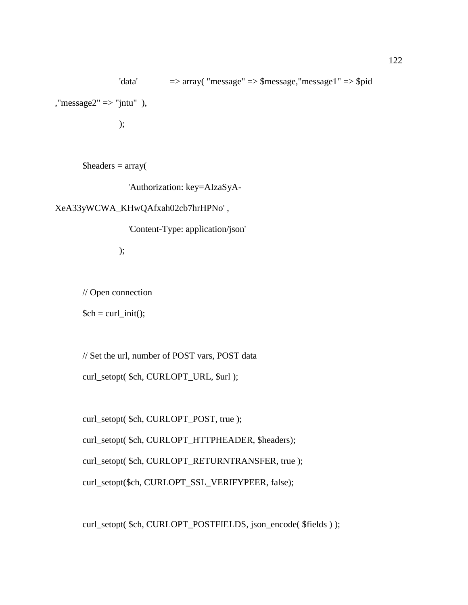'data' => array( "message" => \$message,"message1" => \$pid ," $message2" \Rightarrow "jntu"$ , );

 $\text{Sheaders} = \text{array}($ 

'Authorization: key=AIzaSyA-

XeA33yWCWA\_KHwQAfxah02cb7hrHPNo' ,

'Content-Type: application/json'

);

// Open connection

 $\mathcal{S}$ ch = curl\_init();

// Set the url, number of POST vars, POST data

curl\_setopt( \$ch, CURLOPT\_URL, \$url );

curl\_setopt( \$ch, CURLOPT\_POST, true );

curl\_setopt( \$ch, CURLOPT\_HTTPHEADER, \$headers);

curl\_setopt( \$ch, CURLOPT\_RETURNTRANSFER, true );

curl\_setopt(\$ch, CURLOPT\_SSL\_VERIFYPEER, false);

curl\_setopt( \$ch, CURLOPT\_POSTFIELDS, json\_encode( \$fields ) );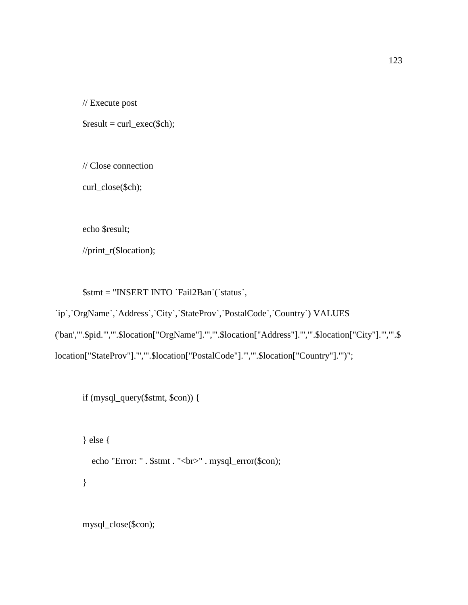// Execute post

 $$result = curl\_exec( $$ch$ );$ 

// Close connection

curl\_close(\$ch);

echo \$result;

//print\_r(\$location);

\$stmt = "INSERT INTO `Fail2Ban`(`status`,

`ip`,`OrgName`,`Address`,`City`,`StateProv`,`PostalCode`,`Country`) VALUES

('ban','".\$pid."','".\$location["OrgName"]."','".\$location["Address"]."','".\$location["City"]."','".\$

location["StateProv"]."','".\$location["PostalCode"]."','".\$location["Country"]."')";

if (mysql\_query(\$stmt, \$con)) {

} else { echo "Error: " . \$stmt . "<br/> : " . mysql\_error(\$con); }

mysql\_close(\$con);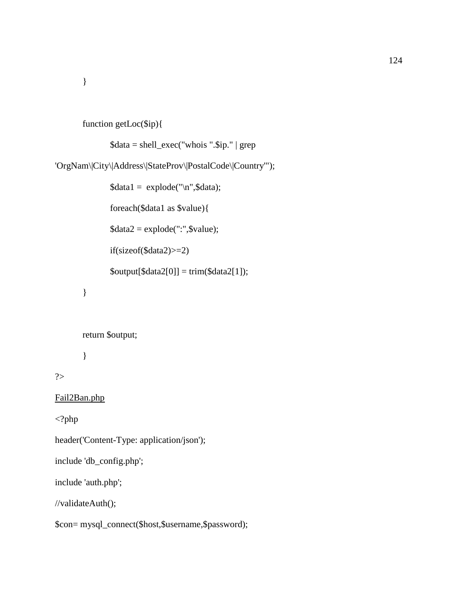}

```
function getLoc($ip){
```

```
$data = shell_exec("whois ".$ip." | grep
```
'OrgNam\|City\|Address\|StateProv\|PostalCode\|Country'");

```
\delta\text{data1} = \text{explode("n",\delta\text{data})};foreach($data1 as $value){
\text{8data2} = \text{explode}(";", \text{8value});if(sizeof($data2)>=2)
\text{South}[$data2[0]] = trim($data2[1]);
```

```
}
```
return \$output;

}

?>

Fail2Ban.php

 $\langle$ ?php

header('Content-Type: application/json');

include 'db\_config.php';

include 'auth.php';

//validateAuth();

\$con= mysql\_connect(\$host,\$username,\$password);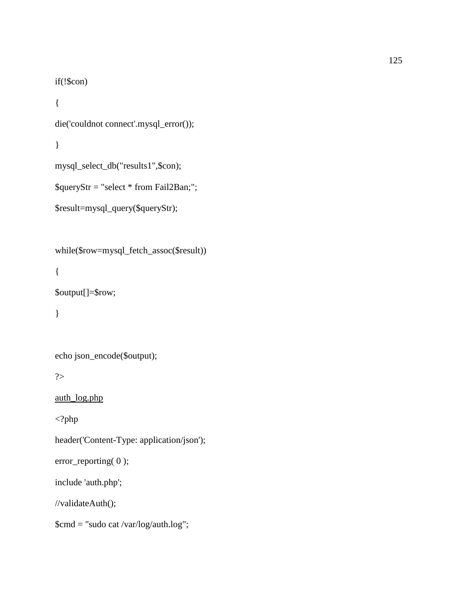```
if(!\(scon)
```

```
\{die('couldnot connect'.mysql_error());
\}
```

```
mysql_select_db("results1",$con);
```

```
$queryStr = "select * from Fail2Ban;";
```

```
$result=mysql_query($queryStr);
```

```
while($row=mysql_fetch_assoc($result))
```
 $\{$ 

```
$output[]=$row;
```
 $\big\}$ 

```
echo json_encode($output);
```
 $?$ 

```
auth_log.php
```
 $\langle$ ?php

header('Content-Type: application/json');

 $error\_reporting(0);$ 

include 'auth.php';

//validateAuth();

\$cmd = "sudo cat /var/log/auth.log";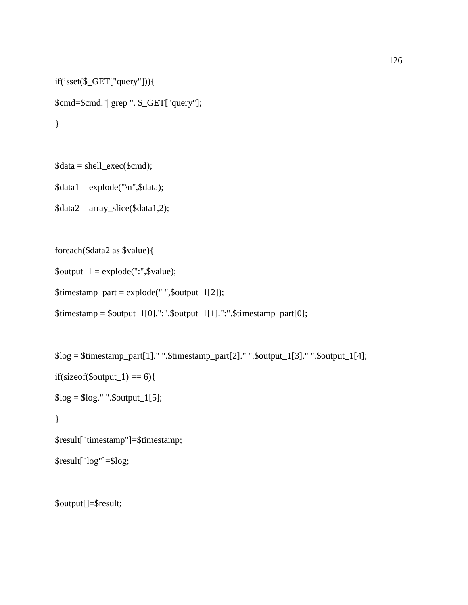```
if(isset($_GET["query"])){
$cmd=$cmd."| grep ". $_GET["query"];
}
```
 $\delta \text{data} = \text{shell} \text{exec}(\text{Scmd});$ 

 $\delta \text{data1} = \text{explode}(\text{``}\text{n''}, \delta \text{data});$ 

 $\delta \text{data2} = \text{array\_slice}(\delta \text{data1,2});$ 

foreach(\$data2 as \$value){

 $\text{South\_1} = \text{explode}("::", \text{Evaluate});$ 

\$timestamp\_part = explode(" ",\$output\_1[2]);

\$timestamp = \$output\_1[0].":".\$output\_1[1].":".\$timestamp\_part[0];

```
$log = $timesamp\_part[1]." ".$timestamp_part[2]." ".$output_1[3]." ".$output_1[4];
if(sizeof($output_1) == 6){
$log = $log." ".$output_1[5];}
$result["timestamp"]=$timestamp;
```
\$result["log"]=\$log;

\$output[]=\$result;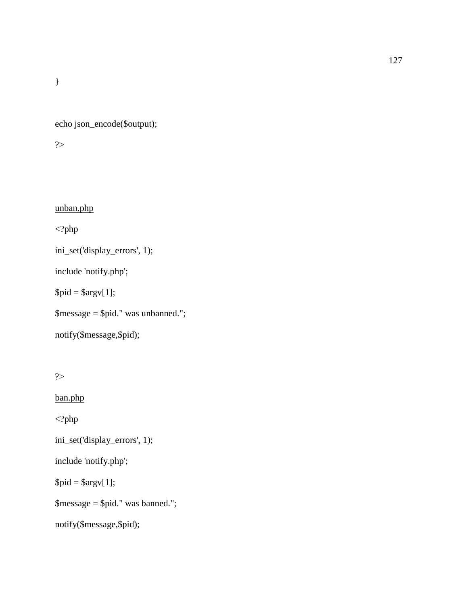echo json\_encode(\$output);

?>

unban.php

<?php

ini\_set('display\_errors', 1);

include 'notify.php';

 $$pid = $argv[1];$ 

\$message = \$pid." was unbanned.";

```
notify($message,$pid);
```

```
?>
```
ban.php

<?php

ini\_set('display\_errors', 1);

include 'notify.php';

 $$pid = $argv[1];$ 

\$message = \$pid." was banned.";

```
notify($message,$pid);
```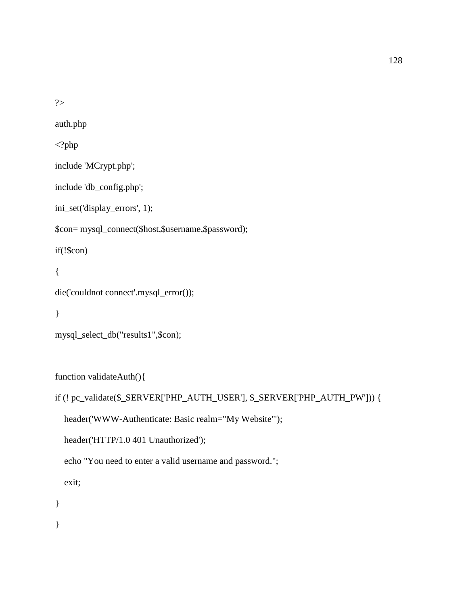?>

auth.php

<?php

include 'MCrypt.php';

include 'db\_config.php';

ini\_set('display\_errors', 1);

\$con= mysql\_connect(\$host,\$username,\$password);

if(!\$con)

```
{
```

```
die('couldnot connect'.mysql_error());
```

```
}
```

```
mysql_select_db("results1",$con);
```
function validateAuth(){

```
if (! pc_validate($_SERVER['PHP_AUTH_USER'], $_SERVER['PHP_AUTH_PW'])) {
```
header('WWW-Authenticate: Basic realm="My Website"');

header('HTTP/1.0 401 Unauthorized');

echo "You need to enter a valid username and password.";

exit;

}

}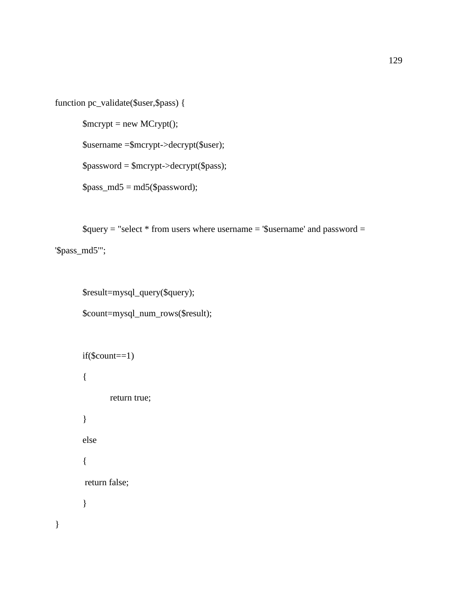```
function pc_validate($user,$pass) {
```
 $$merypt = new MCrypt$ ;

\$username =\$mcrypt->decrypt(\$user);

\$password = \$mcrypt->decrypt(\$pass);

 $spass_m d5 = md5(Spassword);$ 

 $\text{Squery} = \text{"select} * \text{from users where username} = \text{``Susername'} and password =$ 

'\$pass\_md5'";

}

\$result=mysql\_query(\$query); \$count=mysql\_num\_rows(\$result);

```
if(\text{Scount}==1){
        return true;
}
else
{
return false;
}
```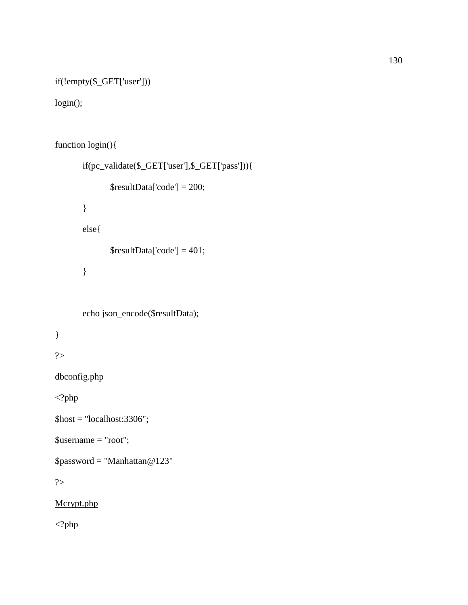```
if(!empty($_GET['user']))
```

```
login();
```

```
function login(){
       if(pc_validate($_GET['user'],$_GET['pass'])){
               $resultData['code'] = 200;
       }
       else{
               $resultData['code'] = 401;}
       echo json_encode($resultData);
}
?>
dbconfig.php
\langle?php
\text{Short} = \text{"localhost:}3306";$username = "root";
```
\$password = "Manhattan@123"

?>

Mcrypt.php

<?php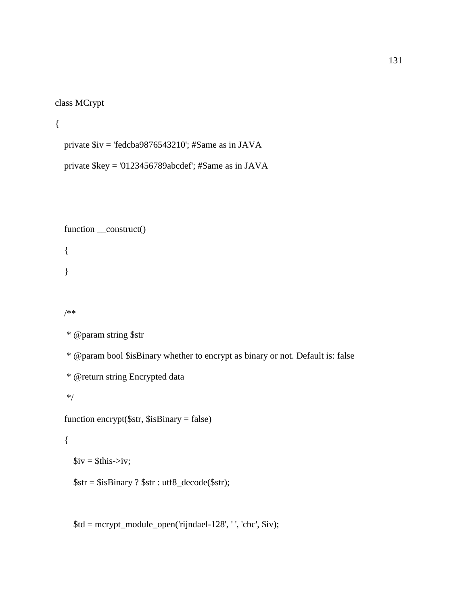```
class MCrypt
```

```
{
```
private \$iv = 'fedcba9876543210'; #Same as in JAVA

private \$key = '0123456789abcdef'; #Same as in JAVA

```
function __construct()
```
{

}

/\*\*

```
 * @param string $str
```
\* @param bool \$isBinary whether to encrypt as binary or not. Default is: false

```
 * @return string Encrypted data
```
\*/

```
 function encrypt($str, $isBinary = false)
```
{

 $$iv = $this \rightarrow iv$;$ 

\$str = \$isBinary ? \$str : utf8\_decode(\$str);

\$td = mcrypt\_module\_open('rijndael-128', ' ', 'cbc', \$iv);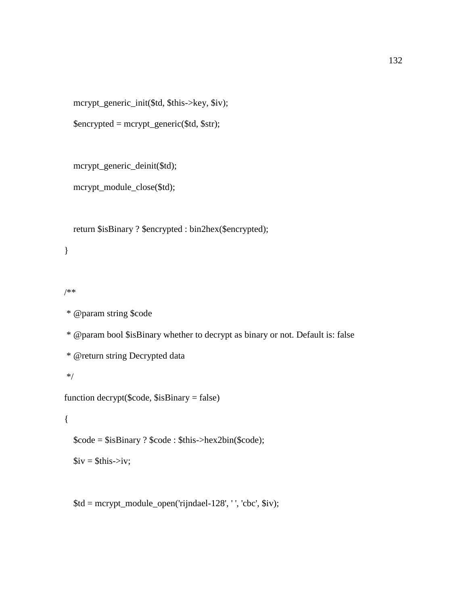mcrypt\_generic\_init(\$td, \$this->key, \$iv);

\$encrypted = mcrypt\_generic(\$td, \$str);

mcrypt\_generic\_deinit(\$td);

mcrypt\_module\_close(\$td);

return \$isBinary ? \$encrypted : bin2hex(\$encrypted);

}

/\*\*

\* @param string \$code

\* @param bool \$isBinary whether to decrypt as binary or not. Default is: false

\* @return string Decrypted data

\*/

function decrypt(\$code, \$isBinary = false)

{

\$code = \$isBinary ? \$code : \$this->hex2bin(\$code);

 $$iv = $this \rightarrow iv$;$ 

 $$td = mcrypt_model = open('rijndael-128', '', 'cbc', $iv);$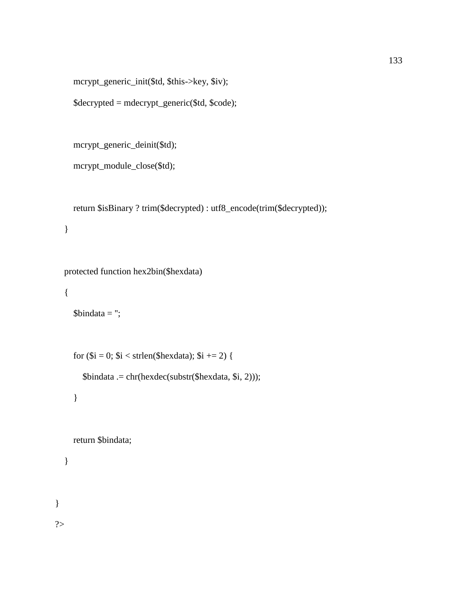mcrypt\_generic\_init(\$td, \$this->key, \$iv);

```
 $decrypted = mdecrypt_generic($td, $code);
```

```
 mcrypt_generic_deinit($td);
```

```
 mcrypt_module_close($td);
```

```
 return $isBinary ? trim($decrypted) : utf8_encode(trim($decrypted));
```

```
 }
```

```
 protected function hex2bin($hexdata)
```

```
 {
```

```
$bindata =";
```

```
for ($i = 0; $i < strlen($hexdata); $i += 2) {
```
\$bindata .= chr(hexdec(substr(\$hexdata, \$i, 2)));

}

return \$bindata;

}

}

?>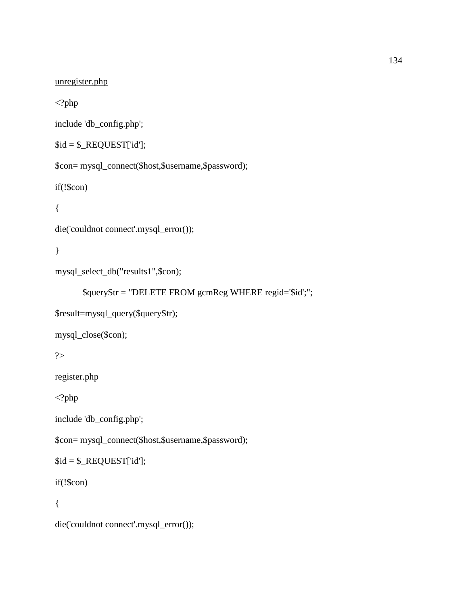```
unregister.php
```
 $\langle$ ?php

include 'db\_config.php';

```
$id = $_REQUEST['id'];
```
\$con= mysql\_connect(\$host,\$username,\$password);

 $if(!\$ (scon)

```
\{
```

```
die('couldnot connect'.mysql_error());
```
 $\}$ 

```
mysql_select_db("results1",$con);
```

```
$queryStr = "DELETE FROM gcmReg WHERE regid='$id';";
```

```
$result=mysql_query($queryStr);
```
mysql\_close(\$con);

 $\gamma$ 

register.php

 $\langle$ ?php

```
include 'db_config.php';
```
\$con= mysql\_connect(\$host,\$username,\$password);

```
$id = $_REQUEST['id'];
```
 $if(!\$ (scon)

 $\{$ 

```
die('couldnot connect'.mysql_error());
```